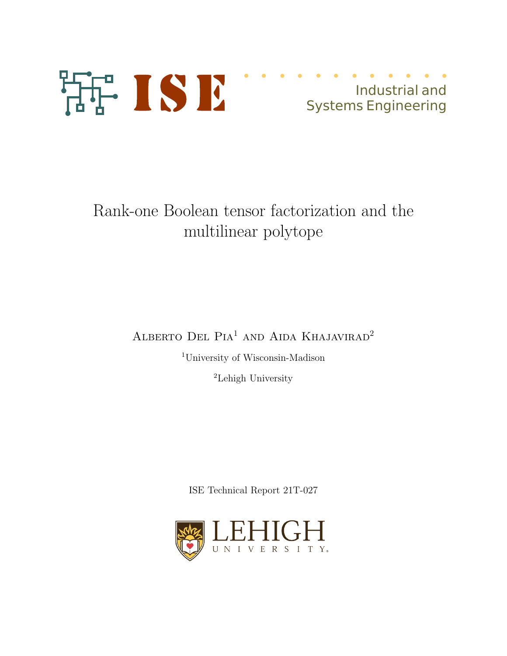

# Industrial and Systems Engineering

# Rank-one Boolean tensor factorization and the multilinear polytope

ALBERTO DEL PIA<sup>1</sup> AND AIDA KHAJAVIRAD<sup>2</sup>

<sup>1</sup>University of Wisconsin-Madison

<sup>2</sup>Lehigh University

ISE Technical Report 21T-027

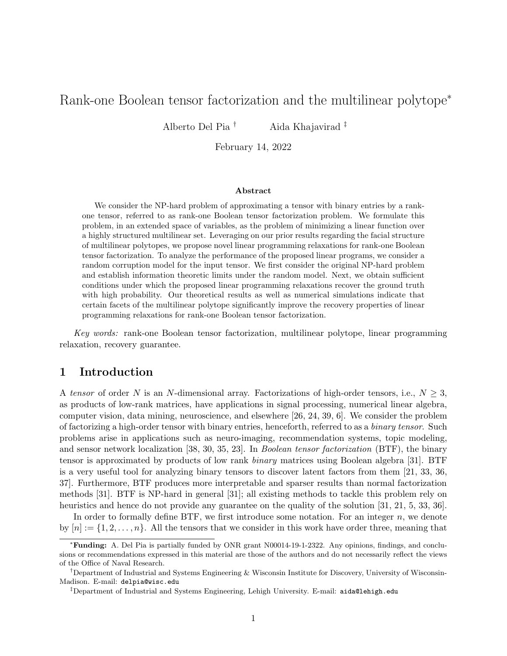# Rank-one Boolean tensor factorization and the multilinear polytope<sup>∗</sup>

Alberto Del Pia † Aida Khajavirad ‡

February 14, 2022

#### Abstract

We consider the NP-hard problem of approximating a tensor with binary entries by a rankone tensor, referred to as rank-one Boolean tensor factorization problem. We formulate this problem, in an extended space of variables, as the problem of minimizing a linear function over a highly structured multilinear set. Leveraging on our prior results regarding the facial structure of multilinear polytopes, we propose novel linear programming relaxations for rank-one Boolean tensor factorization. To analyze the performance of the proposed linear programs, we consider a random corruption model for the input tensor. We first consider the original NP-hard problem and establish information theoretic limits under the random model. Next, we obtain sufficient conditions under which the proposed linear programming relaxations recover the ground truth with high probability. Our theoretical results as well as numerical simulations indicate that certain facets of the multilinear polytope significantly improve the recovery properties of linear programming relaxations for rank-one Boolean tensor factorization.

Key words: rank-one Boolean tensor factorization, multilinear polytope, linear programming relaxation, recovery guarantee.

## 1 Introduction

A tensor of order N is an N-dimensional array. Factorizations of high-order tensors, i.e.,  $N \geq 3$ , as products of low-rank matrices, have applications in signal processing, numerical linear algebra, computer vision, data mining, neuroscience, and elsewhere [26, 24, 39, 6]. We consider the problem of factorizing a high-order tensor with binary entries, henceforth, referred to as a binary tensor. Such problems arise in applications such as neuro-imaging, recommendation systems, topic modeling, and sensor network localization [38, 30, 35, 23]. In *Boolean tensor factorization* (BTF), the binary tensor is approximated by products of low rank binary matrices using Boolean algebra [31]. BTF is a very useful tool for analyzing binary tensors to discover latent factors from them [21, 33, 36, 37]. Furthermore, BTF produces more interpretable and sparser results than normal factorization methods [31]. BTF is NP-hard in general [31]; all existing methods to tackle this problem rely on heuristics and hence do not provide any guarantee on the quality of the solution [31, 21, 5, 33, 36].

In order to formally define BTF, we first introduce some notation. For an integer  $n$ , we denote by  $[n] := \{1, 2, \ldots, n\}$ . All the tensors that we consider in this work have order three, meaning that

<sup>∗</sup>Funding: A. Del Pia is partially funded by ONR grant N00014-19-1-2322. Any opinions, findings, and conclusions or recommendations expressed in this material are those of the authors and do not necessarily reflect the views of the Office of Naval Research.

<sup>†</sup>Department of Industrial and Systems Engineering & Wisconsin Institute for Discovery, University of Wisconsin-Madison. E-mail: delpia@wisc.edu

<sup>‡</sup>Department of Industrial and Systems Engineering, Lehigh University. E-mail: aida@lehigh.edu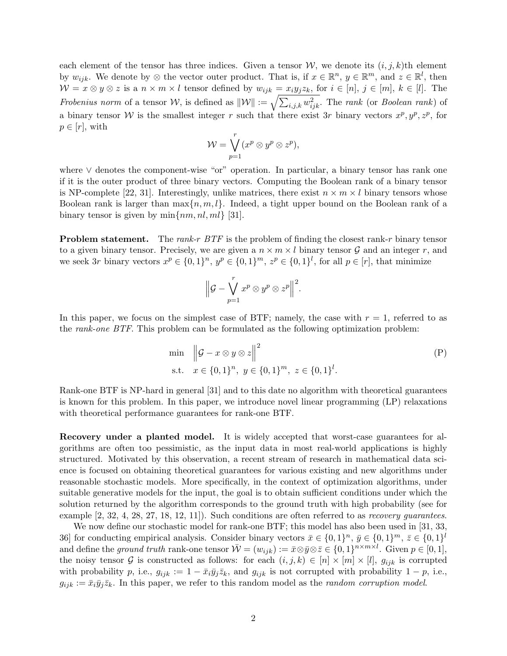each element of the tensor has three indices. Given a tensor  $\mathcal{W}$ , we denote its  $(i, j, k)$ th element by  $w_{ijk}$ . We denote by ⊗ the vector outer product. That is, if  $x \in \mathbb{R}^n$ ,  $y \in \mathbb{R}^m$ , and  $z \in \mathbb{R}^l$ , then  $W = x \otimes y \otimes z$  is a  $n \times m \times l$  tensor defined by  $w_{ijk} = x_i y_j z_k$ , for  $i \in [n], j \in [m], k \in [l]$ . The Frobenius norm of a tensor W, is defined as  $||\mathcal{W}|| := \sqrt{\sum_{i,j,k} w_{ijk}^2}$ . The rank (or Boolean rank) of a binary tensor W is the smallest integer r such that there exist 3r binary vectors  $x^p, y^p, z^p$ , for  $p \in [r]$ , with

$$
\mathcal{W} = \bigvee_{p=1}^r (x^p \otimes y^p \otimes z^p),
$$

where ∨ denotes the component-wise "or" operation. In particular, a binary tensor has rank one if it is the outer product of three binary vectors. Computing the Boolean rank of a binary tensor is NP-complete [22, 31]. Interestingly, unlike matrices, there exist  $n \times m \times l$  binary tensors whose Boolean rank is larger than  $\max\{n, m, l\}$ . Indeed, a tight upper bound on the Boolean rank of a binary tensor is given by  $\min\{nm, nl, ml\}$  [31].

**Problem statement.** The rank-r  $BTF$  is the problem of finding the closest rank-r binary tensor to a given binary tensor. Precisely, we are given a  $n \times m \times l$  binary tensor G and an integer r, and we seek 3r binary vectors  $x^p \in \{0,1\}^n$ ,  $y^p \in \{0,1\}^m$ ,  $z^p \in \{0,1\}^l$ , for all  $p \in [r]$ , that minimize

$$
\Big\|\mathcal{G}-\bigvee_{p=1}^rx^p\otimes y^p\otimes z^p\Big\|^2.
$$

In this paper, we focus on the simplest case of BTF; namely, the case with  $r = 1$ , referred to as the rank-one BTF. This problem can be formulated as the following optimization problem:

min 
$$
\|\mathcal{G} - x \otimes y \otimes z\|^2
$$
  
s.t.  $x \in \{0, 1\}^n$ ,  $y \in \{0, 1\}^m$ ,  $z \in \{0, 1\}^l$ . (P)

Rank-one BTF is NP-hard in general [31] and to this date no algorithm with theoretical guarantees is known for this problem. In this paper, we introduce novel linear programming (LP) relaxations with theoretical performance guarantees for rank-one BTF.

Recovery under a planted model. It is widely accepted that worst-case guarantees for algorithms are often too pessimistic, as the input data in most real-world applications is highly structured. Motivated by this observation, a recent stream of research in mathematical data science is focused on obtaining theoretical guarantees for various existing and new algorithms under reasonable stochastic models. More specifically, in the context of optimization algorithms, under suitable generative models for the input, the goal is to obtain sufficient conditions under which the solution returned by the algorithm corresponds to the ground truth with high probability (see for example [2, 32, 4, 28, 27, 18, 12, 11]). Such conditions are often referred to as *recovery quarantees*.

We now define our stochastic model for rank-one BTF; this model has also been used in [31, 33, 36] for conducting empirical analysis. Consider binary vectors  $\bar{x} \in \{0, 1\}^n$ ,  $\bar{y} \in \{0, 1\}^m$ ,  $\bar{z} \in \{0, 1\}^l$ and define the ground truth rank-one tensor  $\overline{W} = (w_{ijk}) := \overline{x} \otimes \overline{y} \otimes \overline{z} \in \{0, 1\}^{n \times m \times l}$ . Given  $p \in [0, 1]$ , the noisy tensor G is constructed as follows: for each  $(i, j, k) \in [n] \times [m] \times [l]$ ,  $g_{ijk}$  is corrupted with probability p, i.e.,  $g_{ijk} := 1 - \bar{x}_i \bar{y}_j \bar{z}_k$ , and  $g_{ijk}$  is not corrupted with probability  $1 - p$ , i.e.,  $g_{ijk} := \bar{x}_i \bar{y}_j \bar{z}_k$ . In this paper, we refer to this random model as the *random corruption model*.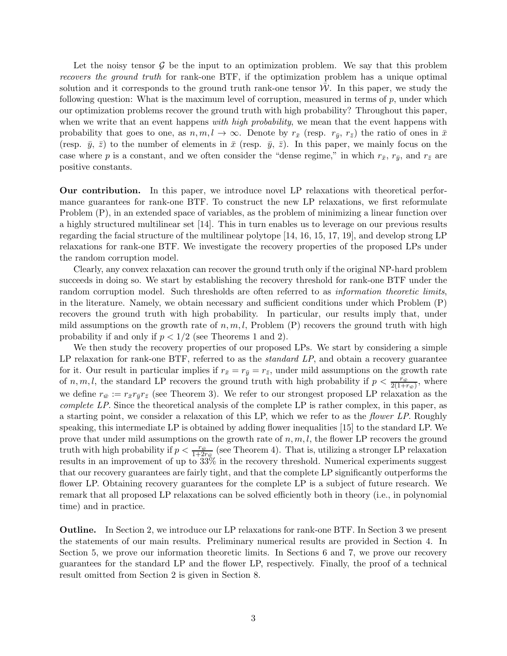Let the noisy tensor  $\mathcal G$  be the input to an optimization problem. We say that this problem recovers the ground truth for rank-one BTF, if the optimization problem has a unique optimal solution and it corresponds to the ground truth rank-one tensor  $W$ . In this paper, we study the following question: What is the maximum level of corruption, measured in terms of  $p$ , under which our optimization problems recover the ground truth with high probability? Throughout this paper, when we write that an event happens with high probability, we mean that the event happens with probability that goes to one, as  $n, m, l \to \infty$ . Denote by  $r_{\bar{x}}$  (resp.  $r_{\bar{y}}$ ,  $r_{\bar{z}}$ ) the ratio of ones in  $\bar{x}$ (resp.  $\bar{y}$ ,  $\bar{z}$ ) to the number of elements in  $\bar{x}$  (resp.  $\bar{y}$ ,  $\bar{z}$ ). In this paper, we mainly focus on the case where p is a constant, and we often consider the "dense regime," in which  $r_{\bar{x}}, r_{\bar{y}},$  and  $r_{\bar{z}}$  are positive constants.

Our contribution. In this paper, we introduce novel LP relaxations with theoretical performance guarantees for rank-one BTF. To construct the new LP relaxations, we first reformulate Problem (P), in an extended space of variables, as the problem of minimizing a linear function over a highly structured multilinear set [14]. This in turn enables us to leverage on our previous results regarding the facial structure of the multilinear polytope [14, 16, 15, 17, 19], and develop strong LP relaxations for rank-one BTF. We investigate the recovery properties of the proposed LPs under the random corruption model.

Clearly, any convex relaxation can recover the ground truth only if the original NP-hard problem succeeds in doing so. We start by establishing the recovery threshold for rank-one BTF under the random corruption model. Such thresholds are often referred to as *information theoretic limits*, in the literature. Namely, we obtain necessary and sufficient conditions under which Problem (P) recovers the ground truth with high probability. In particular, our results imply that, under mild assumptions on the growth rate of  $n, m, l$ , Problem (P) recovers the ground truth with high probability if and only if  $p < 1/2$  (see Theorems 1 and 2).

We then study the recovery properties of our proposed LPs. We start by considering a simple LP relaxation for rank-one BTF, referred to as the *standard LP*, and obtain a recovery guarantee for it. Our result in particular implies if  $r_{\bar{x}} = r_{\bar{y}} = r_{\bar{z}}$ , under mild assumptions on the growth rate of  $n, m, l$ , the standard LP recovers the ground truth with high probability if  $p < \frac{r_{\bar{w}}}{2(1+r_{\bar{w}})}$ , where we define  $r_{\bar{w}} := r_{\bar{x}} r_{\bar{y}} r_{\bar{z}}$  (see Theorem 3). We refer to our strongest proposed LP relaxation as the complete LP. Since the theoretical analysis of the complete LP is rather complex, in this paper, as a starting point, we consider a relaxation of this LP, which we refer to as the flower LP. Roughly speaking, this intermediate LP is obtained by adding flower inequalities [15] to the standard LP. We prove that under mild assumptions on the growth rate of  $n, m, l$ , the flower LP recovers the ground truth with high probability if  $p < \frac{r_{\bar{w}}}{1+2r_{\bar{w}}}}$  (see Theorem 4). That is, utilizing a stronger LP relaxation results in an improvement of up to  $33\%$  in the recovery threshold. Numerical experiments suggest that our recovery guarantees are fairly tight, and that the complete LP significantly outperforms the flower LP. Obtaining recovery guarantees for the complete LP is a subject of future research. We remark that all proposed LP relaxations can be solved efficiently both in theory (i.e., in polynomial time) and in practice.

Outline. In Section 2, we introduce our LP relaxations for rank-one BTF. In Section 3 we present the statements of our main results. Preliminary numerical results are provided in Section 4. In Section 5, we prove our information theoretic limits. In Sections 6 and 7, we prove our recovery guarantees for the standard LP and the flower LP, respectively. Finally, the proof of a technical result omitted from Section 2 is given in Section 8.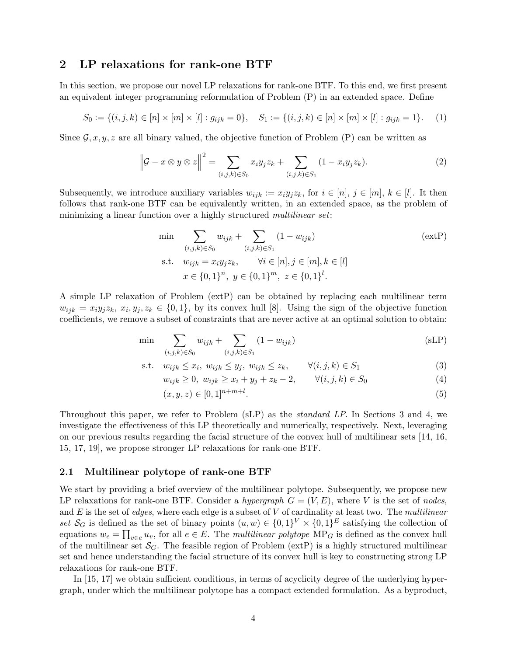# 2 LP relaxations for rank-one BTF

In this section, we propose our novel LP relaxations for rank-one BTF. To this end, we first present an equivalent integer programming reformulation of Problem (P) in an extended space. Define

$$
S_0 := \{(i, j, k) \in [n] \times [m] \times [l] : g_{ijk} = 0\}, \quad S_1 := \{(i, j, k) \in [n] \times [m] \times [l] : g_{ijk} = 1\}.
$$
 (1)

Since  $\mathcal{G}, x, y, z$  are all binary valued, the objective function of Problem (P) can be written as

$$
\left\|\mathcal{G} - x \otimes y \otimes z\right\|^2 = \sum_{(i,j,k) \in S_0} x_i y_j z_k + \sum_{(i,j,k) \in S_1} (1 - x_i y_j z_k). \tag{2}
$$

Subsequently, we introduce auxiliary variables  $w_{ijk} := x_i y_j z_k$ , for  $i \in [n], j \in [m], k \in [l]$ . It then follows that rank-one BTF can be equivalently written, in an extended space, as the problem of minimizing a linear function over a highly structured *multilinear set*:

min  
\n
$$
\sum_{(i,j,k)\in S_0} w_{ijk} + \sum_{(i,j,k)\in S_1} (1 - w_{ijk})
$$
\n
$$
\text{s.t.} \quad w_{ijk} = x_i y_j z_k, \qquad \forall i \in [n], j \in [m], k \in [l]
$$
\n
$$
x \in \{0,1\}^n, \ y \in \{0,1\}^m, \ z \in \{0,1\}^l.
$$
\n(exch. 1)

A simple LP relaxation of Problem (extP) can be obtained by replacing each multilinear term  $w_{ijk} = x_i y_j z_k, x_i, y_j, z_k \in \{0, 1\},$  by its convex hull [8]. Using the sign of the objective function coefficients, we remove a subset of constraints that are never active at an optimal solution to obtain:

$$
\min \sum_{(i,j,k)\in S_0} w_{ijk} + \sum_{(i,j,k)\in S_1} (1 - w_{ijk})
$$
\n(sLP)

$$
\text{s.t.} \quad w_{ijk} \le x_i, \ w_{ijk} \le y_j, \ w_{ijk} \le z_k, \qquad \forall (i, j, k) \in S_1 \tag{3}
$$

$$
w_{ijk} \ge 0, \ w_{ijk} \ge x_i + y_j + z_k - 2, \qquad \forall (i, j, k) \in S_0
$$
 (4)

$$
(x, y, z) \in [0, 1]^{n+m+l}.
$$
\n(5)

Throughout this paper, we refer to Problem (sLP) as the standard LP. In Sections 3 and 4, we investigate the effectiveness of this LP theoretically and numerically, respectively. Next, leveraging on our previous results regarding the facial structure of the convex hull of multilinear sets [14, 16, 15, 17, 19], we propose stronger LP relaxations for rank-one BTF.

## 2.1 Multilinear polytope of rank-one BTF

We start by providing a brief overview of the multilinear polytope. Subsequently, we propose new LP relaxations for rank-one BTF. Consider a hypergraph  $G = (V, E)$ , where V is the set of nodes, and  $E$  is the set of *edges*, where each edge is a subset of  $V$  of cardinality at least two. The *multilinear* set  $\mathcal{S}_G$  is defined as the set of binary points  $(u, w) \in \{0, 1\}^V \times \{0, 1\}^E$  satisfying the collection of equations  $w_e = \prod_{v \in e} u_v$ , for all  $e \in E$ . The multilinear polytope MP<sub>G</sub> is defined as the convex hull of the multilinear set  $\mathcal{S}_G$ . The feasible region of Problem (extP) is a highly structured multilinear set and hence understanding the facial structure of its convex hull is key to constructing strong LP relaxations for rank-one BTF.

In [15, 17] we obtain sufficient conditions, in terms of acyclicity degree of the underlying hypergraph, under which the multilinear polytope has a compact extended formulation. As a byproduct,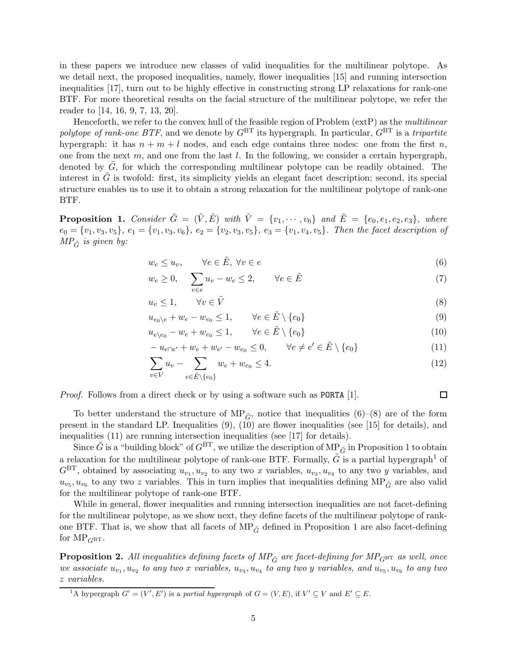in these papers we introduce new classes of valid inequalities for the multilinear polytope. As we detail next, the proposed inequalities, namely, flower inequalities [15] and running intersection inequalities [17], turn out to be highly effective in constructing strong LP relaxations for rank-one BTF. For more theoretical results on the facial structure of the multilinear polytope, we refer the reader to [14, 16, 9, 7, 13, 20].

Henceforth, we refer to the convex hull of the feasible region of Problem (extP) as the multilinear polytope of rank-one BTF, and we denote by  $G<sup>BT</sup>$  its hypergraph. In particular,  $G<sup>BT</sup>$  is a tripartite hypergraph: it has  $n + m + l$  nodes, and each edge contains three nodes: one from the first n, one from the next m, and one from the last  $l$ . In the following, we consider a certain hypergraph, denoted by  $G$ , for which the corresponding multilinear polytope can be readily obtained. The interest in  $\tilde{G}$  is twofold: first, its simplicity yields an elegant facet description; second, its special structure enables us to use it to obtain a strong relaxation for the multilinear polytope of rank-one BTF.

**Proposition 1.** Consider  $\tilde{G} = (\tilde{V}, \tilde{E})$  with  $\tilde{V} = \{v_1, \dots, v_6\}$  and  $\tilde{E} = \{e_0, e_1, e_2, e_3\}$ , where  $e_0 = \{v_1, v_3, v_5\}, e_1 = \{v_1, v_3, v_6\}, e_2 = \{v_2, v_3, v_5\}, e_3 = \{v_1, v_4, v_5\}.$  Then the facet description of  $MP_{\tilde{G}}$  is given by:

$$
w_e \le u_v, \qquad \forall e \in \tilde{E}, \ \forall v \in e \tag{6}
$$

$$
w_e \ge 0, \quad \sum_{v \in e} u_v - w_e \le 2, \qquad \forall e \in \tilde{E}
$$
 (7)

$$
u_v \le 1, \qquad \forall v \in \tilde{V} \tag{8}
$$

$$
u_{e_0 \setminus e} + w_e - w_{e_0} \le 1, \qquad \forall e \in \tilde{E} \setminus \{e_0\}
$$
\n
$$
(9)
$$

$$
u_{e \nvert e_0} - w_e + w_{e_0} \le 1, \qquad \forall e \in \tilde{E} \setminus \{e_0\} \tag{10}
$$

$$
-u_{e\cap e'} + w_e + w_{e'} - w_{e_0} \le 0, \qquad \forall e \ne e' \in \tilde{E} \setminus \{e_0\}
$$
\n
$$
(11)
$$

$$
\sum_{v \in V} u_v - \sum_{e \in \tilde{E} \setminus \{e_0\}} w_e + w_{e_0} \le 4.
$$
\n(12)

*Proof.* Follows from a direct check or by using a software such as PORTA [1].

To better understand the structure of MP<sub> $\tilde{G}$ </sub>, notice that inequalities (6)–(8) are of the form present in the standard LP. Inequalities  $(9)$ ,  $(10)$  are flower inequalities (see [15] for details), and inequalities (11) are running intersection inequalities (see [17] for details).

Since  $\tilde{G}$  is a "building block" of  $G^{BT}$ , we utilize the description of MP $_{\tilde{G}}$  in Proposition 1 to obtain a relaxation for the multilinear polytope of rank-one BTF. Formally,  $\tilde{G}$  is a partial hypergraph<sup>1</sup> of  $G<sup>BT</sup>$ , obtained by associating  $u_{v_1}, u_{v_2}$  to any two x variables,  $u_{v_3}, u_{v_4}$  to any two y variables, and  $u_{v_5}, u_{v_6}$  to any two z variables. This in turn implies that inequalities defining  $MP_{\tilde{G}}$  are also valid for the multilinear polytope of rank-one BTF.

While in general, flower inequalities and running intersection inequalities are not facet-defining for the multilinear polytope, as we show next, they define facets of the multilinear polytope of rankone BTF. That is, we show that all facets of  $MP_{\tilde{G}}$  defined in Proposition 1 are also facet-defining for  $MP_{G^{BT}}$ .

**Proposition 2.** All inequalities defining facets of  $MP_{\tilde{G}}$  are facet-defining for  $MP_{G^{\text{BT}}}$  as well, once we associate  $u_{v_1}, u_{v_2}$  to any two x variables,  $u_{v_3}, u_{v_4}$  to any two y variables, and  $u_{v_5}, u_{v_6}$  to any two z variables.

 $\Box$ 

<sup>&</sup>lt;sup>1</sup>A hypergraph  $G' = (V', E')$  is a *partial hypergraph* of  $G = (V, E)$ , if  $V' \subseteq V$  and  $E' \subseteq E$ .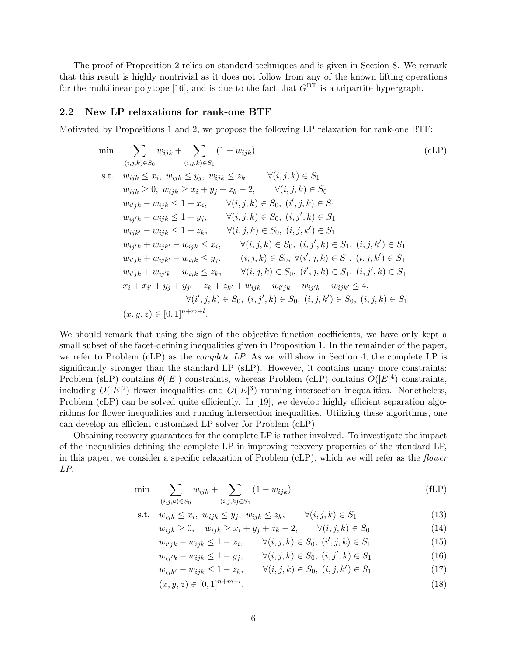The proof of Proposition 2 relies on standard techniques and is given in Section 8. We remark that this result is highly nontrivial as it does not follow from any of the known lifting operations for the multilinear polytope [16], and is due to the fact that  $G<sup>BT</sup>$  is a tripartite hypergraph.

## 2.2 New LP relaxations for rank-one BTF

Motivated by Propositions 1 and 2, we propose the following LP relaxation for rank-one BTF:

$$
\min \sum_{(i,j,k)\in S_0} w_{ijk} + \sum_{(i,j,k)\in S_1} (1 - w_{ijk})
$$
\n
$$
\text{s.t. } w_{ijk} \leq x_i, w_{ijk} \leq y_j, w_{ijk} \leq z_k, \forall (i,j,k)\in S_1
$$
\n
$$
w_{ijk} \geq 0, w_{ijk} \geq x_i + y_j + z_k - 2, \forall (i,j,k)\in S_0
$$
\n
$$
w_{i'jk} - w_{ijk} \leq 1 - x_i, \forall (i,j,k)\in S_0, (i',j,k)\in S_1
$$
\n
$$
w_{ij'k} - w_{ijk} \leq 1 - y_j, \forall (i,j,k)\in S_0, (i,j',k)\in S_1
$$
\n
$$
w_{ijk'} - w_{ijk} \leq 1 - z_k, \forall (i,j,k)\in S_0, (i,j,k') \in S_1
$$
\n
$$
w_{ij'k} + w_{ijk'} - w_{ijk} \leq x_i, \forall (i,j,k)\in S_0, (i,j',k)\in S_1, (i,j,k') \in S_1
$$
\n
$$
w_{i'jk} + w_{ijk'} - w_{ijk} \leq y_j, (i,j,k)\in S_0, \forall (i',j,k)\in S_1, (i,j,k') \in S_1
$$
\n
$$
w_{i'jk} + w_{ij'k} - w_{ijk} \leq z_k, \forall (i,j,k)\in S_0, (i',j,k)\in S_1, (i,j',k)\in S_1
$$
\n
$$
x_i + x_{i'} + y_j + y_{j'} + z_k + z_{k'} + w_{ijk} - w_{ij'k} - w_{ijk'} - w_{ijk'} \leq 4,
$$
\n
$$
\forall (i',j,k)\in S_0, (i,j',k') \in S_0, (i,j,k') \in S_0, (i,j,k) \in S_1
$$
\n
$$
(x, y, z) \in [0, 1]^{n+m+l}.
$$
\n
$$
(x, y, z) \in [0, 1]^{n+m+l}.
$$
\n
$$
(cLP)
$$

We should remark that using the sign of the objective function coefficients, we have only kept a small subset of the facet-defining inequalities given in Proposition 1. In the remainder of the paper, we refer to Problem  $(cLP)$  as the *complete LP*. As we will show in Section 4, the complete LP is significantly stronger than the standard LP (sLP). However, it contains many more constraints: Problem (sLP) contains  $\theta(|E|)$  constraints, whereas Problem (cLP) contains  $O(|E|^4)$  constraints, including  $O(|E|^2)$  flower inequalities and  $O(|E|^3)$  running intersection inequalities. Nonetheless, Problem (cLP) can be solved quite efficiently. In [19], we develop highly efficient separation algorithms for flower inequalities and running intersection inequalities. Utilizing these algorithms, one can develop an efficient customized LP solver for Problem (cLP).

Obtaining recovery guarantees for the complete LP is rather involved. To investigate the impact of the inequalities defining the complete LP in improving recovery properties of the standard LP, in this paper, we consider a specific relaxation of Problem (cLP), which we will refer as the flower LP.

$$
\min
$$

$$
\min \sum_{(i,j,k)\in S_0} w_{ijk} + \sum_{(i,j,k)\in S_1} (1 - w_{ijk})
$$
\n(fLP)

$$
\text{s.t.} \quad w_{ijk} \le x_i, \ w_{ijk} \le y_j, \ w_{ijk} \le z_k, \qquad \forall (i, j, k) \in S_1 \tag{13}
$$

$$
w_{ijk} \ge 0, \quad w_{ijk} \ge x_i + y_j + z_k - 2, \qquad \forall (i, j, k) \in S_0
$$
 (14)

$$
w_{i'jk} - w_{ijk} \le 1 - x_i, \qquad \forall (i, j, k) \in S_0, \ (i', j, k) \in S_1 \tag{15}
$$

- $w_{ij'k} w_{ijk} \leq 1 y_j, \qquad \forall (i, j, k) \in S_0, \ (i, j', k) \in S_1$  (16)
- $w_{ijk'} w_{ijk} \leq 1 z_k, \qquad \forall (i, j, k) \in S_0, \ (i, j, k') \in S_1$  (17)

$$
(x, y, z) \in [0, 1]^{n+m+l}.
$$
\n(18)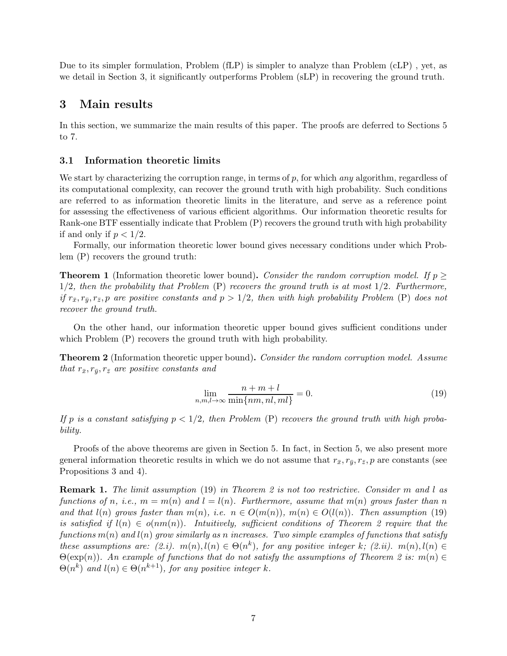Due to its simpler formulation, Problem (fLP) is simpler to analyze than Problem (cLP) , yet, as we detail in Section 3, it significantly outperforms Problem (sLP) in recovering the ground truth.

# 3 Main results

In this section, we summarize the main results of this paper. The proofs are deferred to Sections 5 to 7.

## 3.1 Information theoretic limits

We start by characterizing the corruption range, in terms of  $p$ , for which any algorithm, regardless of its computational complexity, can recover the ground truth with high probability. Such conditions are referred to as information theoretic limits in the literature, and serve as a reference point for assessing the effectiveness of various efficient algorithms. Our information theoretic results for Rank-one BTF essentially indicate that Problem (P) recovers the ground truth with high probability if and only if  $p < 1/2$ .

Formally, our information theoretic lower bound gives necessary conditions under which Problem (P) recovers the ground truth:

**Theorem 1** (Information theoretic lower bound). Consider the random corruption model. If  $p >$  $1/2$ , then the probability that Problem (P) recovers the ground truth is at most  $1/2$ . Furthermore, if  $r_{\bar{x}}, r_{\bar{y}}, r_{\bar{z}}, p$  are positive constants and  $p > 1/2$ , then with high probability Problem (P) does not recover the ground truth.

On the other hand, our information theoretic upper bound gives sufficient conditions under which Problem (P) recovers the ground truth with high probability.

**Theorem 2** (Information theoretic upper bound). Consider the random corruption model. Assume that  $r_{\bar{x}}, r_{\bar{y}}, r_{\bar{z}}$  are positive constants and

$$
\lim_{n,m,l\to\infty} \frac{n+m+l}{\min\{nm,nl,ml\}} = 0.
$$
\n(19)

If p is a constant satisfying  $p < 1/2$ , then Problem (P) recovers the ground truth with high probability.

Proofs of the above theorems are given in Section 5. In fact, in Section 5, we also present more general information theoretic results in which we do not assume that  $r_{\bar{x}}, r_{\bar{y}}, r_{\bar{z}}, p$  are constants (see Propositions 3 and 4).

**Remark 1.** The limit assumption (19) in Theorem 2 is not too restrictive. Consider m and l as functions of n, i.e.,  $m = m(n)$  and  $l = l(n)$ . Furthermore, assume that  $m(n)$  grows faster than n and that  $l(n)$  grows faster than  $m(n)$ , i.e.  $n \in O(m(n))$ ,  $m(n) \in O(l(n))$ . Then assumption (19) is satisfied if  $l(n) \in o(nm(n))$ . Intuitively, sufficient conditions of Theorem 2 require that the functions  $m(n)$  and  $l(n)$  grow similarly as n increases. Two simple examples of functions that satisfy these assumptions are:  $(2.i)$ .  $m(n)$ ,  $l(n) \in \Theta(n^k)$ , for any positive integer k;  $(2.ii)$ .  $m(n)$ ,  $l(n) \in$  $\Theta(\exp(n))$ . An example of functions that do not satisfy the assumptions of Theorem 2 is:  $m(n) \in$  $\Theta(n^k)$  and  $l(n) \in \Theta(n^{k+1})$ , for any positive integer k.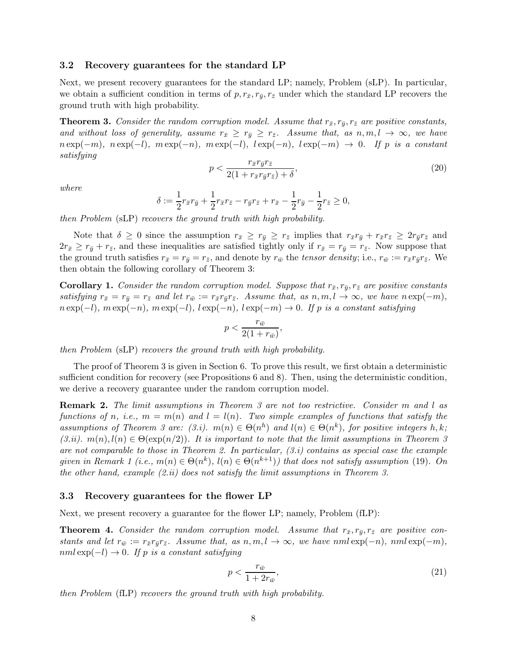## 3.2 Recovery guarantees for the standard LP

Next, we present recovery guarantees for the standard LP; namely, Problem (sLP). In particular, we obtain a sufficient condition in terms of  $p, r_{\bar{x}}, r_{\bar{y}}, r_{\bar{z}}$  under which the standard LP recovers the ground truth with high probability.

**Theorem 3.** Consider the random corruption model. Assume that  $r_{\bar{x}}, r_{\bar{y}}, r_{\bar{z}}$  are positive constants, and without loss of generality, assume  $r_{\bar{x}} \geq r_{\bar{y}} \geq r_{\bar{z}}$ . Assume that, as  $n, m, l \to \infty$ , we have  $n \exp(-m)$ ,  $n \exp(-l)$ ,  $m \exp(-n)$ ,  $m \exp(-l)$ ,  $l \exp(-n)$ ,  $l \exp(-m) \rightarrow 0$ . If p is a constant satisfying

$$
p < \frac{r_{\bar{x}} r_{\bar{y}} r_{\bar{z}}}{2(1 + r_{\bar{x}} r_{\bar{y}} r_{\bar{z}}) + \delta},\tag{20}
$$

where

$$
\delta := \frac{1}{2}r_{\bar{x}}r_{\bar{y}} + \frac{1}{2}r_{\bar{x}}r_{\bar{z}} - r_{\bar{y}}r_{\bar{z}} + r_{\bar{x}} - \frac{1}{2}r_{\bar{y}} - \frac{1}{2}r_{\bar{z}} \ge 0,
$$

then Problem (sLP) recovers the ground truth with high probability.

Note that  $\delta \geq 0$  since the assumption  $r_{\bar{x}} \geq r_{\bar{y}} \geq r_{\bar{z}}$  implies that  $r_{\bar{x}}r_{\bar{y}} + r_{\bar{x}}r_{\bar{z}} \geq 2r_{\bar{y}}r_{\bar{z}}$  and  $2r_{\bar{x}} \geq r_{\bar{y}} + r_{\bar{z}}$ , and these inequalities are satisfied tightly only if  $r_{\bar{x}} = r_{\bar{y}} = r_{\bar{z}}$ . Now suppose that the ground truth satisfies  $r_{\bar{x}} = r_{\bar{y}} = r_{\bar{z}}$ , and denote by  $r_{\bar{w}}$  the tensor density; i.e.,  $r_{\bar{w}} := r_{\bar{x}} r_{\bar{y}} r_{\bar{z}}$ . We then obtain the following corollary of Theorem 3:

**Corollary 1.** Consider the random corruption model. Suppose that  $r_{\bar{x}}, r_{\bar{y}}, r_{\bar{z}}$  are positive constants satisfying  $r_{\bar{x}} = r_{\bar{y}} = r_{\bar{z}}$  and let  $r_{\bar{w}} := r_{\bar{x}}r_{\bar{y}}r_{\bar{z}}$ . Assume that, as  $n, m, l \to \infty$ , we have  $n \exp(-m)$ ,  $n \exp(-l)$ ,  $m \exp(-n)$ ,  $m \exp(-l)$ ,  $l \exp(-n)$ ,  $l \exp(-m) \to 0$ . If p is a constant satisfying

$$
p < \frac{r_{\bar{w}}}{2(1+r_{\bar{w}})}
$$

,

then Problem (sLP) recovers the ground truth with high probability.

The proof of Theorem 3 is given in Section 6. To prove this result, we first obtain a deterministic sufficient condition for recovery (see Propositions 6 and 8). Then, using the deterministic condition, we derive a recovery guarantee under the random corruption model.

Remark 2. The limit assumptions in Theorem 3 are not too restrictive. Consider m and l as functions of n, i.e.,  $m = m(n)$  and  $l = l(n)$ . Two simple examples of functions that satisfy the assumptions of Theorem 3 are: (3.i).  $m(n) \in \Theta(n^h)$  and  $l(n) \in \Theta(n^k)$ , for positive integers h, k;  $(3.ii)$ .  $m(n)$ ,  $l(n) \in \Theta(\exp(n/2))$ . It is important to note that the limit assumptions in Theorem 3 are not comparable to those in Theorem 2. In particular,  $(3,i)$  contains as special case the example given in Remark 1 (i.e.,  $m(n) \in \Theta(n^k)$ ,  $l(n) \in \Theta(n^{k+1})$ ) that does not satisfy assumption (19). On the other hand, example  $(2.ii)$  does not satisfy the limit assumptions in Theorem 3.

#### 3.3 Recovery guarantees for the flower LP

Next, we present recovery a guarantee for the flower LP; namely, Problem (fLP):

**Theorem 4.** Consider the random corruption model. Assume that  $r_{\bar{x}}, r_{\bar{y}}, r_{\bar{z}}$  are positive constants and let  $r_{\bar{w}} := r_{\bar{x}} r_{\bar{y}} r_{\bar{z}}$ . Assume that, as  $n, m, l \to \infty$ , we have nml exp(-n), nml exp(-m),  $nml \exp(-l) \rightarrow 0$ . If p is a constant satisfying

$$
p < \frac{r_{\bar{w}}}{1 + 2r_{\bar{w}}},\tag{21}
$$

then Problem (fLP) recovers the ground truth with high probability.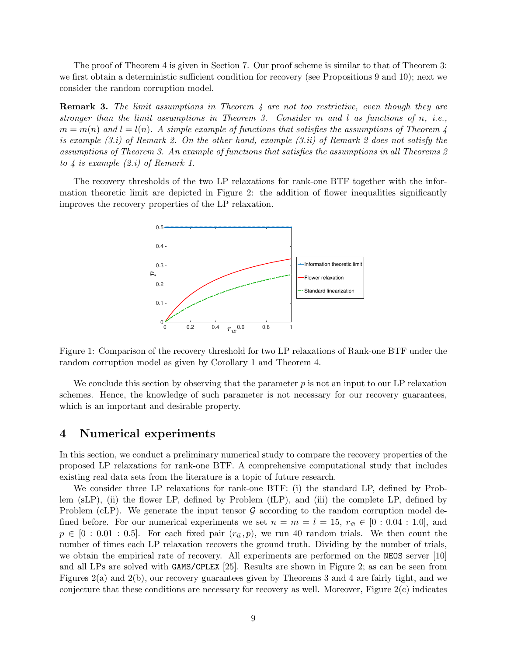The proof of Theorem 4 is given in Section 7. Our proof scheme is similar to that of Theorem 3: we first obtain a deterministic sufficient condition for recovery (see Propositions 9 and 10); next we consider the random corruption model.

**Remark 3.** The limit assumptions in Theorem 4 are not too restrictive, even though they are stronger than the limit assumptions in Theorem 3. Consider m and l as functions of n, i.e.,  $m = m(n)$  and  $l = l(n)$ . A simple example of functions that satisfies the assumptions of Theorem 4 is example  $(3,i)$  of Remark 2. On the other hand, example  $(3.ii)$  of Remark 2 does not satisfy the assumptions of Theorem 3. An example of functions that satisfies the assumptions in all Theorems 2 to  $\downarrow$  is example (2.i) of Remark 1.

The recovery thresholds of the two LP relaxations for rank-one BTF together with the information theoretic limit are depicted in Figure 2: the addition of flower inequalities significantly improves the recovery properties of the LP relaxation.



Figure 1: Comparison of the recovery threshold for two LP relaxations of Rank-one BTF under the random corruption model as given by Corollary 1 and Theorem 4.

We conclude this section by observing that the parameter  $p$  is not an input to our LP relaxation schemes. Hence, the knowledge of such parameter is not necessary for our recovery guarantees, which is an important and desirable property.

## 4 Numerical experiments

In this section, we conduct a preliminary numerical study to compare the recovery properties of the proposed LP relaxations for rank-one BTF. A comprehensive computational study that includes existing real data sets from the literature is a topic of future research.

We consider three LP relaxations for rank-one BTF: (i) the standard LP, defined by Problem (sLP), (ii) the flower LP, defined by Problem (fLP), and (iii) the complete LP, defined by Problem (cLP). We generate the input tensor  $\mathcal G$  according to the random corruption model defined before. For our numerical experiments we set  $n = m = l = 15$ ,  $r_{\bar{w}} \in [0:0.04:1.0]$ , and  $p \in [0:0.01:0.5]$ . For each fixed pair  $(r_{\bar{w}}, p)$ , we run 40 random trials. We then count the number of times each LP relaxation recovers the ground truth. Dividing by the number of trials, we obtain the empirical rate of recovery. All experiments are performed on the NEOS server [10] and all LPs are solved with GAMS/CPLEX [25]. Results are shown in Figure 2; as can be seen from Figures 2(a) and 2(b), our recovery guarantees given by Theorems 3 and 4 are fairly tight, and we conjecture that these conditions are necessary for recovery as well. Moreover, Figure  $2(c)$  indicates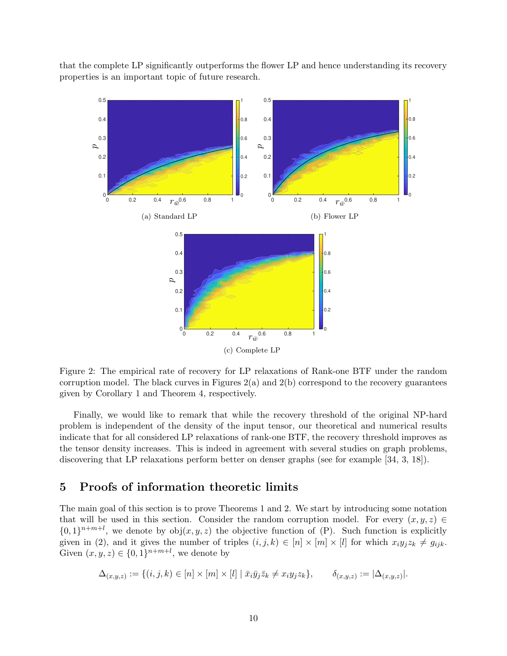that the complete LP significantly outperforms the flower LP and hence understanding its recovery properties is an important topic of future research.



Figure 2: The empirical rate of recovery for LP relaxations of Rank-one BTF under the random corruption model. The black curves in Figures  $2(a)$  and  $2(b)$  correspond to the recovery guarantees given by Corollary 1 and Theorem 4, respectively.

Finally, we would like to remark that while the recovery threshold of the original NP-hard problem is independent of the density of the input tensor, our theoretical and numerical results indicate that for all considered LP relaxations of rank-one BTF, the recovery threshold improves as the tensor density increases. This is indeed in agreement with several studies on graph problems, discovering that LP relaxations perform better on denser graphs (see for example [34, 3, 18]).

# 5 Proofs of information theoretic limits

The main goal of this section is to prove Theorems 1 and 2. We start by introducing some notation that will be used in this section. Consider the random corruption model. For every  $(x, y, z) \in$  $\{0,1\}^{n+m+l}$ , we denote by  $obj(x, y, z)$  the objective function of (P). Such function is explicitly given in (2), and it gives the number of triples  $(i, j, k) \in [n] \times [m] \times [l]$  for which  $x_i y_j z_k \neq g_{ijk}$ . Given  $(x, y, z) \in \{0, 1\}^{n+m+l}$ , we denote by

$$
\Delta_{(x,y,z)} := \{(i,j,k) \in [n] \times [m] \times [l] \mid \bar{x}_i \bar{y}_j \bar{z}_k \neq x_i y_j z_k\}, \qquad \delta_{(x,y,z)} := |\Delta_{(x,y,z)}|.
$$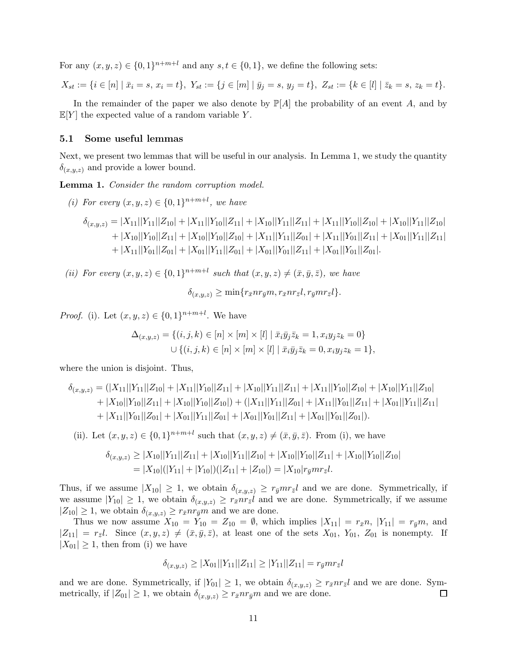For any  $(x, y, z) \in \{0, 1\}^{n+m+l}$  and any  $s, t \in \{0, 1\}$ , we define the following sets:

$$
X_{st} := \{ i \in [n] \mid \bar{x}_i = s, \, x_i = t \}, \, Y_{st} := \{ j \in [m] \mid \bar{y}_j = s, \, y_j = t \}, \, Z_{st} := \{ k \in [l] \mid \bar{z}_k = s, \, z_k = t \}.
$$

In the remainder of the paper we also denote by  $\mathbb{P}[A]$  the probability of an event A, and by  $\mathbb{E}[Y]$  the expected value of a random variable Y.

## 5.1 Some useful lemmas

Next, we present two lemmas that will be useful in our analysis. In Lemma 1, we study the quantity  $\delta_{(x,y,z)}$  and provide a lower bound.

Lemma 1. Consider the random corruption model.

(*i*) For every  $(x, y, z) \in \{0, 1\}^{n+m+l}$ , we have

$$
\delta_{(x,y,z)} = |X_{11}||Y_{11}||Z_{10}| + |X_{11}||Y_{10}||Z_{11}| + |X_{10}||Y_{11}||Z_{11}| + |X_{11}||Y_{10}||Z_{10}| + |X_{10}||Y_{11}||Z_{10}| + |X_{10}||Y_{10}||Z_{11}| + |X_{10}||Y_{10}||Z_{10}| + |X_{11}||Y_{11}||Z_{01}| + |X_{11}||Y_{01}||Z_{11}| + |X_{01}||Y_{11}||Z_{11}| + |X_{11}||Y_{01}||Z_{01}| + |X_{01}||Y_{11}||Z_{01}| + |X_{01}||Y_{01}||Z_{11}| + |X_{01}||Y_{01}||Z_{01}|.
$$

(ii) For every  $(x, y, z) \in \{0, 1\}^{n+m+l}$  such that  $(x, y, z) \neq (\bar{x}, \bar{y}, \bar{z})$ , we have  $\delta_{(x,y,z)} \geq \min\{r_{\bar{x}}nr_{\bar{y}}m, r_{\bar{x}}nr_{\bar{z}}l, r_{\bar{y}}mr_{\bar{z}}l\}.$ 

*Proof.* (i). Let  $(x, y, z) \in \{0, 1\}^{n+m+l}$ . We have

$$
\Delta_{(x,y,z)} = \{(i,j,k) \in [n] \times [m] \times [l] | \bar{x}_i \bar{y}_j \bar{z}_k = 1, x_i y_j z_k = 0\}
$$
  

$$
\cup \{(i,j,k) \in [n] \times [m] \times [l] | \bar{x}_i \bar{y}_j \bar{z}_k = 0, x_i y_j z_k = 1\},
$$

where the union is disjoint. Thus,

$$
\delta_{(x,y,z)} = (|X_{11}||Y_{11}||Z_{10}| + |X_{11}||Y_{10}||Z_{11}| + |X_{10}||Y_{11}||Z_{11}| + |X_{11}||Y_{10}||Z_{10}| + |X_{10}||Y_{11}||Z_{10}| + |X_{10}||Y_{10}||Z_{11}| + |X_{10}||Y_{10}||Z_{10}| + (|X_{11}||Y_{11}||Z_{01}| + |X_{11}||Y_{01}||Z_{11}| + |X_{01}||Y_{11}||Z_{11}| + |X_{11}||Y_{01}||Z_{01}| + |X_{01}||Y_{11}||Z_{01}| + |X_{01}||Y_{01}||Z_{11}| + |X_{01}||Y_{01}||Z_{01}|).
$$

(ii). Let  $(x, y, z) \in \{0, 1\}^{n+m+l}$  such that  $(x, y, z) \neq (\bar{x}, \bar{y}, \bar{z})$ . From (i), we have

$$
\delta_{(x,y,z)} \ge |X_{10}||Y_{11}||Z_{11}| + |X_{10}||Y_{11}||Z_{10}| + |X_{10}||Y_{10}||Z_{11}| + |X_{10}||Y_{10}||Z_{10}|
$$
  
=  $|X_{10}|(|Y_{11}| + |Y_{10}|)(|Z_{11}| + |Z_{10}|) = |X_{10}|r_{\bar{y}}mr_{\bar{z}}l.$ 

Thus, if we assume  $|X_{10}| \geq 1$ , we obtain  $\delta_{(x,y,z)} \geq r_{\bar{y}} m r_{\bar{z}} l$  and we are done. Symmetrically, if we assume  $|Y_{10}| \geq 1$ , we obtain  $\delta_{(x,y,z)} \geq r_{\bar{x}} n r_{\bar{z}} l$  and we are done. Symmetrically, if we assume  $|Z_{10}| \geq 1$ , we obtain  $\delta_{(x,y,z)} \geq r_{\bar{x}} n r_{\bar{y}} m$  and we are done.

Thus we now assume  $X_{10} = Y_{10} = Z_{10} = \emptyset$ , which implies  $|X_{11}| = r_{\bar{x}}n$ ,  $|Y_{11}| = r_{\bar{y}}m$ , and  $|Z_{11}| = r_{\bar{z}}l$ . Since  $(x, y, z) \neq (\bar{x}, \bar{y}, \bar{z})$ , at least one of the sets  $X_{01}$ ,  $Y_{01}$ ,  $Z_{01}$  is nonempty. If  $|X_{01}| \geq 1$ , then from (i) we have

$$
\delta_{(x,y,z)} \ge |X_{01}| |Y_{11}| |Z_{11}| \ge |Y_{11}| |Z_{11}| = r_{\bar{y}} m r_{\bar{z}} l
$$

and we are done. Symmetrically, if  $|Y_{01}| \ge 1$ , we obtain  $\delta_{(x,y,z)} \ge r_{\bar{x}} n r_{\bar{z}} l$  and we are done. Symmetrically, if  $|Z_{01}| > 1$ , we obtain  $\delta_{(x,y,z)} > r_{\bar{x}} n r_{\bar{y}} m$  and we are done. metrically, if  $|Z_{01}| \geq 1$ , we obtain  $\delta_{(x,y,z)} \geq r_{\bar{x}} n r_{\bar{y}} m$  and we are done.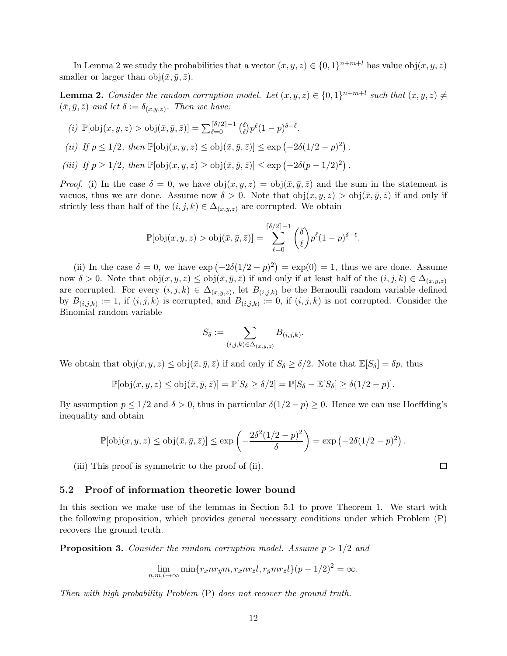In Lemma 2 we study the probabilities that a vector  $(x, y, z) \in \{0, 1\}^{n+m+l}$  has value  $obj(x, y, z)$ smaller or larger than  $obj(\bar{x}, \bar{y}, \bar{z})$ .

**Lemma 2.** Consider the random corruption model. Let  $(x, y, z) \in \{0, 1\}^{n+m+l}$  such that  $(x, y, z) \neq$  $(\bar{x}, \bar{y}, \bar{z})$  and let  $\delta := \delta_{(x,y,z)}$ . Then we have:

(i) 
$$
\mathbb{P}[\text{obj}(x, y, z) > \text{obj}(\bar{x}, \bar{y}, \bar{z})] = \sum_{\ell=0}^{\lceil \delta/2 \rceil - 1} { \delta \choose \ell} p^{\ell} (1 - p)^{\delta - \ell}.
$$

(ii) If  $p \le 1/2$ , then  $\mathbb{P}[\text{obj}(x, y, z) \le \text{obj}(\bar{x}, \bar{y}, \bar{z})] \le \exp(-2\delta(1/2 - p)^2)$ .

(iii) If  $p \ge 1/2$ , then  $\mathbb{P}[\text{obj}(x, y, z) \ge \text{obj}(\bar{x}, \bar{y}, \bar{z})] \le \exp(-2\delta(p - 1/2)^2)$ .

*Proof.* (i) In the case  $\delta = 0$ , we have  $obj(x, y, z) = obj(\bar{x}, \bar{y}, \bar{z})$  and the sum in the statement is vacuos, thus we are done. Assume now  $\delta > 0$ . Note that  $obj(x, y, z) > obj(\bar{x}, \bar{y}, \bar{z})$  if and only if strictly less than half of the  $(i, j, k) \in \Delta_{(x,y,z)}$  are corrupted. We obtain

$$
\mathbb{P}[\text{obj}(x, y, z) > \text{obj}(\bar{x}, \bar{y}, \bar{z})] = \sum_{\ell=0}^{\lceil \delta/2 \rceil - 1} {\delta \choose \ell} p^{\ell} (1 - p)^{\delta - \ell}.
$$

(ii) In the case  $\delta = 0$ , we have  $\exp(-2\delta(1/2 - p)^2) = \exp(0) = 1$ , thus we are done. Assume now  $\delta > 0$ . Note that  $obj(x, y, z) \leq obj(\bar{x}, \bar{y}, \bar{z})$  if and only if at least half of the  $(i, j, k) \in \Delta_{(x,y,z)}$ are corrupted. For every  $(i, j, k) \in \Delta_{(x,y,z)}$ , let  $B_{(i,j,k)}$  be the Bernoulli random variable defined by  $B_{(i,j,k)} := 1$ , if  $(i, j, k)$  is corrupted, and  $B_{(i,j,k)} := 0$ , if  $(i, j, k)$  is not corrupted. Consider the Binomial random variable

$$
S_{\delta} := \sum_{(i,j,k) \in \Delta_{(x,y,z)}} B_{(i,j,k)}.
$$

We obtain that  $obj(x, y, z) \leq obj(\bar{x}, \bar{y}, \bar{z})$  if and only if  $S_{\delta} \geq \delta/2$ . Note that  $\mathbb{E}[S_{\delta}] = \delta p$ , thus

$$
\mathbb{P}[\text{obj}(x, y, z) \leq \text{obj}(\bar{x}, \bar{y}, \bar{z})] = \mathbb{P}[S_{\delta} \geq \delta/2] = \mathbb{P}[S_{\delta} - \mathbb{E}[S_{\delta}] \geq \delta(1/2 - p)].
$$

By assumption  $p \leq 1/2$  and  $\delta > 0$ , thus in particular  $\delta(1/2 - p) \geq 0$ . Hence we can use Hoeffding's inequality and obtain

$$
\mathbb{P}[\text{obj}(x, y, z) \le \text{obj}(\bar{x}, \bar{y}, \bar{z})] \le \exp\left(-\frac{2\delta^2(1/2 - p)^2}{\delta}\right) = \exp\left(-2\delta(1/2 - p)^2\right).
$$

(iii) This proof is symmetric to the proof of (ii).

## 5.2 Proof of information theoretic lower bound

In this section we make use of the lemmas in Section 5.1 to prove Theorem 1. We start with the following proposition, which provides general necessary conditions under which Problem (P) recovers the ground truth.

**Proposition 3.** Consider the random corruption model. Assume  $p > 1/2$  and

$$
\lim_{n,m,l\to\infty} \min\{r_{\bar{x}}nr_{\bar{y}}m,r_{\bar{x}}nr_{\bar{z}}l,r_{\bar{y}}mr_{\bar{z}}l\}(p-1/2)^2=\infty.
$$

Then with high probability Problem (P) does not recover the ground truth.

 $\Box$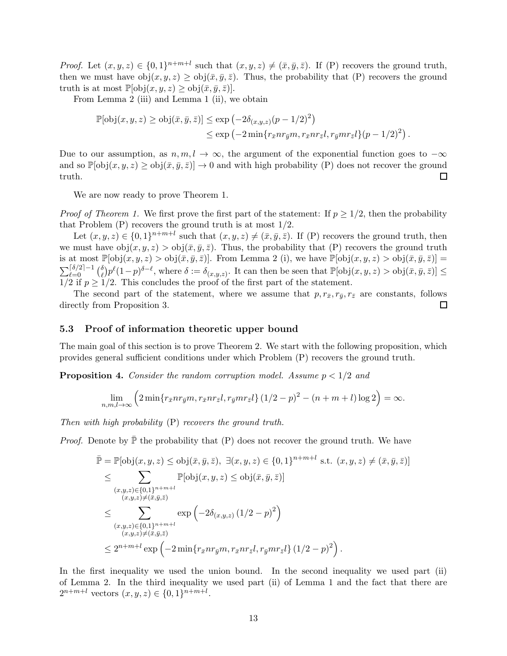*Proof.* Let  $(x, y, z) \in \{0, 1\}^{n+m+l}$  such that  $(x, y, z) \neq (\bar{x}, \bar{y}, \bar{z})$ . If (P) recovers the ground truth, then we must have  $obj(x, y, z) \geq obj(\bar{x}, \bar{y}, \bar{z})$ . Thus, the probability that (P) recovers the ground truth is at most  $\mathbb{P}[\text{obj}(x, y, z) \geq \text{obj}(\bar{x}, \bar{y}, \bar{z})].$ 

From Lemma 2 (iii) and Lemma 1 (ii), we obtain

$$
\mathbb{P}[\text{obj}(x, y, z) \ge \text{obj}(\bar{x}, \bar{y}, \bar{z})] \le \exp\left(-2\delta_{(x, y, z)}(p - 1/2)^2\right)
$$
  

$$
\le \exp\left(-2\min\{r_{\bar{x}}nr_{\bar{y}}m, r_{\bar{x}}nr_{\bar{z}}l, r_{\bar{y}}mr_{\bar{z}}l\}(p - 1/2)^2\right).
$$

Due to our assumption, as  $n, m, l \to \infty$ , the argument of the exponential function goes to  $-\infty$ and so  $\mathbb{P}[\text{obj}(x, y, z) \ge \text{obj}(\bar{x}, \bar{y}, \bar{z})] \to 0$  and with high probability (P) does not recover the ground truth. truth.

We are now ready to prove Theorem 1.

*Proof of Theorem 1.* We first prove the first part of the statement: If  $p \geq 1/2$ , then the probability that Problem  $(P)$  recovers the ground truth is at most  $1/2$ .

Let  $(x, y, z) \in \{0, 1\}^{n+m+l}$  such that  $(x, y, z) \neq (\bar{x}, \bar{y}, \bar{z})$ . If (P) recovers the ground truth, then we must have  $obj(x, y, z) > obj(\bar{x}, \bar{y}, \bar{z})$ . Thus, the probability that (P) recovers the ground truth is at most  $\mathbb{P}[\text{obj}(x, y, z) > \text{obj}(\bar{x}, \bar{y}, \bar{z})]$ . From Lemma 2 (i), we have  $\mathbb{P}[\text{obj}(x, y, z) > \text{obj}(\bar{x}, \bar{y}, \bar{z})] =$  $\sum_{\ell=0}^{\lceil \delta/2 \rceil-1} \binom{\delta}{\ell}$  $\partial_{\ell}^{\delta} p^{\ell} (1-p)^{\delta-\ell}$ , where  $\delta := \delta_{(x,y,z)}$ . It can then be seen that  $\mathbb{P}[\text{obj}(x, y, z) > \text{obj}(\bar{x}, \bar{y}, \bar{z})] \leq$  $1/2$  if  $p \geq 1/2$ . This concludes the proof of the first part of the statement.

The second part of the statement, where we assume that  $p, r_{\bar{x}}, r_{\bar{y}}, r_{\bar{z}}$  are constants, follows directly from Proposition 3.  $\Box$ 

## 5.3 Proof of information theoretic upper bound

The main goal of this section is to prove Theorem 2. We start with the following proposition, which provides general sufficient conditions under which Problem (P) recovers the ground truth.

**Proposition 4.** Consider the random corruption model. Assume  $p < 1/2$  and

$$
\lim_{n,m,l\to\infty}\left(2\min\{r_{\bar{x}}nr_{\bar{y}}m,r_{\bar{x}}nr_{\bar{z}}l,r_{\bar{y}}mr_{\bar{z}}l\}\left(1/2-p\right)^2-(n+m+l)\log 2\right)=\infty.
$$

Then with high probability  $(P)$  recovers the ground truth.

*Proof.* Denote by  $\bar{P}$  the probability that (P) does not recover the ground truth. We have

$$
\bar{\mathbb{P}} = \mathbb{P}[\text{obj}(x, y, z) \le \text{obj}(\bar{x}, \bar{y}, \bar{z}), \exists (x, y, z) \in \{0, 1\}^{n+m+l} \text{ s.t. } (x, y, z) \ne (\bar{x}, \bar{y}, \bar{z})] \n\le \sum_{\substack{(x, y, z) \in \{0, 1\}^{n+m+l} \\ (x, y, z) \ne (\bar{x}, \bar{y}, \bar{z})}} \mathbb{P}[\text{obj}(x, y, z) \le \text{obj}(\bar{x}, \bar{y}, \bar{z})] \n\le \sum_{\substack{(x, y, z) \in \{0, 1\}^{n+m+l} \\ (x, y, z) \ne (\bar{x}, \bar{y}, \bar{z})}} \exp\left(-2\delta_{(x, y, z)} (1/2 - p)^2\right) \n\le 2^{n+m+l} \exp\left(-2\min\{r_{\bar{x}} n r_{\bar{y}} m, r_{\bar{x}} n r_{\bar{z}} l, r_{\bar{y}} m r_{\bar{z}} l\} (1/2 - p)^2\right).
$$

In the first inequality we used the union bound. In the second inequality we used part (ii) of Lemma 2. In the third inequality we used part (ii) of Lemma 1 and the fact that there are  $2^{n+m+l}$  vectors  $(x, y, z) \in \{0, 1\}^{n+m+l}$ .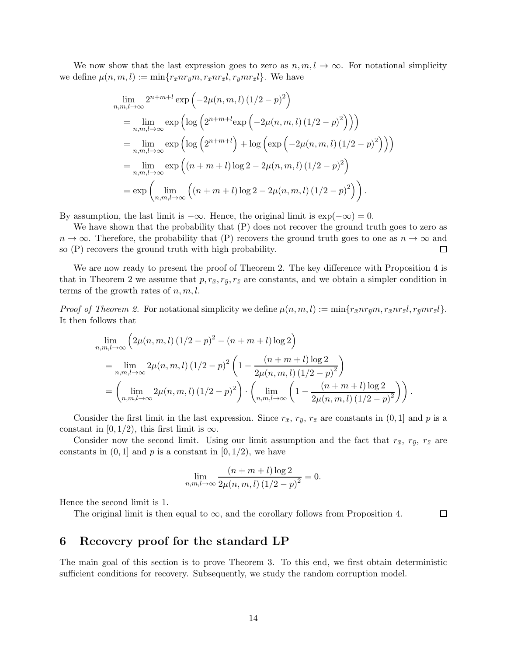We now show that the last expression goes to zero as  $n, m, l \to \infty$ . For notational simplicity we define  $\mu(n, m, l) := \min\{r_{\bar{x}}nr_{\bar{y}}m, r_{\bar{x}}nr_{\bar{z}}l, r_{\bar{y}}mr_{\bar{z}}l\}.$  We have

$$
\lim_{n,m,l\to\infty} 2^{n+m+l} \exp\left(-2\mu(n,m,l) (1/2 - p)^2\right)
$$
\n
$$
= \lim_{n,m,l\to\infty} \exp\left(\log\left(2^{n+m+l} \exp\left(-2\mu(n,m,l) (1/2 - p)^2\right)\right)\right)
$$
\n
$$
= \lim_{n,m,l\to\infty} \exp\left(\log\left(2^{n+m+l}\right) + \log\left(\exp\left(-2\mu(n,m,l) (1/2 - p)^2\right)\right)\right)
$$
\n
$$
= \lim_{n,m,l\to\infty} \exp\left((n+m+l)\log 2 - 2\mu(n,m,l) (1/2 - p)^2\right)
$$
\n
$$
= \exp\left(\lim_{n,m,l\to\infty} \left((n+m+l)\log 2 - 2\mu(n,m,l) (1/2 - p)^2\right)\right).
$$

By assumption, the last limit is  $-\infty$ . Hence, the original limit is  $\exp(-\infty) = 0$ .

We have shown that the probability that  $(P)$  does not recover the ground truth goes to zero as  $n \to \infty$ . Therefore, the probability that (P) recovers the ground truth goes to one as  $n \to \infty$  and so (P) recovers the ground truth with high probability. so (P) recovers the ground truth with high probability.

We are now ready to present the proof of Theorem 2. The key difference with Proposition 4 is that in Theorem 2 we assume that  $p, r_{\bar{x}}, r_{\bar{y}}, r_{\bar{z}}$  are constants, and we obtain a simpler condition in terms of the growth rates of  $n, m, l$ .

*Proof of Theorem 2.* For notational simplicity we define  $\mu(n, m, l) := \min\{r_{\bar{x}}nr_{\bar{y}}m, r_{\bar{x}}nr_{\bar{z}}l, r_{\bar{y}}mr_{\bar{z}}l\}.$ It then follows that

$$
\lim_{n,m,l\to\infty} \left(2\mu(n,m,l) (1/2 - p)^2 - (n+m+l)\log 2\right)
$$
\n
$$
= \lim_{n,m,l\to\infty} 2\mu(n,m,l) (1/2 - p)^2 \left(1 - \frac{(n+m+l)\log 2}{2\mu(n,m,l) (1/2 - p)^2}\right)
$$
\n
$$
= \left(\lim_{n,m,l\to\infty} 2\mu(n,m,l) (1/2 - p)^2\right) \cdot \left(\lim_{n,m,l\to\infty} \left(1 - \frac{(n+m+l)\log 2}{2\mu(n,m,l) (1/2 - p)^2}\right)\right).
$$

Consider the first limit in the last expression. Since  $r_{\bar{x}}$ ,  $r_{\bar{y}}$ ,  $r_{\bar{z}}$  are constants in  $(0, 1]$  and p is a constant in [0, 1/2), this first limit is  $\infty$ .

Consider now the second limit. Using our limit assumption and the fact that  $r_{\bar{x}}, r_{\bar{y}}, r_{\bar{z}}$  are constants in  $(0, 1]$  and p is a constant in  $[0, 1/2)$ , we have

$$
\lim_{n,m,l\to\infty} \frac{(n+m+l)\log 2}{2\mu(n,m,l)\left(1/2-p\right)^2} = 0.
$$

Hence the second limit is 1.

The original limit is then equal to  $\infty$ , and the corollary follows from Proposition 4.

 $\Box$ 

# 6 Recovery proof for the standard LP

The main goal of this section is to prove Theorem 3. To this end, we first obtain deterministic sufficient conditions for recovery. Subsequently, we study the random corruption model.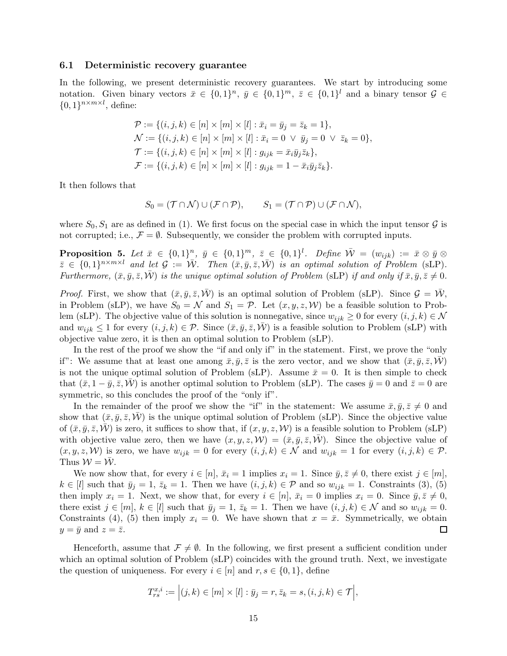#### 6.1 Deterministic recovery guarantee

In the following, we present deterministic recovery guarantees. We start by introducing some notation. Given binary vectors  $\bar{x} \in \{0,1\}^n$ ,  $\bar{y} \in \{0,1\}^m$ ,  $\bar{z} \in \{0,1\}^l$  and a binary tensor  $\mathcal{G} \in$  $\{0,1\}^{n \times m \times l}$ , define:

$$
\mathcal{P} := \{ (i, j, k) \in [n] \times [m] \times [l] : \bar{x}_i = \bar{y}_j = \bar{z}_k = 1 \},
$$
  
\n
$$
\mathcal{N} := \{ (i, j, k) \in [n] \times [m] \times [l] : \bar{x}_i = 0 \lor \bar{y}_j = 0 \lor \bar{z}_k = 0 \},
$$
  
\n
$$
\mathcal{T} := \{ (i, j, k) \in [n] \times [m] \times [l] : g_{ijk} = \bar{x}_i \bar{y}_j \bar{z}_k \},
$$
  
\n
$$
\mathcal{F} := \{ (i, j, k) \in [n] \times [m] \times [l] : g_{ijk} = 1 - \bar{x}_i \bar{y}_j \bar{z}_k \}.
$$

It then follows that

$$
S_0 = (\mathcal{T} \cap \mathcal{N}) \cup (\mathcal{F} \cap \mathcal{P}), \qquad S_1 = (\mathcal{T} \cap \mathcal{P}) \cup (\mathcal{F} \cap \mathcal{N}),
$$

where  $S_0, S_1$  are as defined in (1). We first focus on the special case in which the input tensor  $\mathcal G$  is not corrupted; i.e.,  $\mathcal{F} = \emptyset$ . Subsequently, we consider the problem with corrupted inputs.

**Proposition 5.** Let  $\bar{x} \in \{0,1\}^n$ ,  $\bar{y} \in \{0,1\}^m$ ,  $\bar{z} \in \{0,1\}^l$ . Define  $\bar{W} = (w_{ijk}) := \bar{x} \otimes \bar{y} \otimes \bar{y}$  $\bar{z} \in \{0,1\}^{n \times m \times l}$  and let  $\mathcal{G} := \bar{\mathcal{W}}$ . Then  $(\bar{x}, \bar{y}, \bar{z}, \bar{\mathcal{W}})$  is an optimal solution of Problem (sLP). Furthermore,  $(\bar{x}, \bar{y}, \bar{z}, \bar{W})$  is the unique optimal solution of Problem (sLP) if and only if  $\bar{x}, \bar{y}, \bar{z} \neq 0$ .

*Proof.* First, we show that  $(\bar{x}, \bar{y}, \bar{z}, \mathcal{W})$  is an optimal solution of Problem (sLP). Since  $\mathcal{G} = \mathcal{W}$ , in Problem (sLP), we have  $S_0 = \mathcal{N}$  and  $S_1 = \mathcal{P}$ . Let  $(x, y, z, \mathcal{W})$  be a feasible solution to Problem (sLP). The objective value of this solution is nonnegative, since  $w_{ijk} \geq 0$  for every  $(i, j, k) \in \mathcal{N}$ and  $w_{ijk} \leq 1$  for every  $(i, j, k) \in \mathcal{P}$ . Since  $(\bar{x}, \bar{y}, \bar{z}, \bar{\mathcal{W}})$  is a feasible solution to Problem (sLP) with objective value zero, it is then an optimal solution to Problem (sLP).

In the rest of the proof we show the "if and only if" in the statement. First, we prove the "only if": We assume that at least one among  $\bar{x}, \bar{y}, \bar{z}$  is the zero vector, and we show that  $(\bar{x}, \bar{y}, \bar{z}, \mathcal{W})$ is not the unique optimal solution of Problem (sLP). Assume  $\bar{x} = 0$ . It is then simple to check that  $(\bar{x}, 1 - \bar{y}, \bar{z}, \bar{W})$  is another optimal solution to Problem (sLP). The cases  $\bar{y} = 0$  and  $\bar{z} = 0$  are symmetric, so this concludes the proof of the "only if".

In the remainder of the proof we show the "if" in the statement: We assume  $\bar{x}, \bar{y}, \bar{z} \neq 0$  and show that  $(\bar{x}, \bar{y}, \bar{z}, \mathcal{W})$  is the unique optimal solution of Problem (sLP). Since the objective value of  $(\bar{x}, \bar{y}, \bar{z}, \bar{W})$  is zero, it suffices to show that, if  $(x, y, z, W)$  is a feasible solution to Problem (sLP) with objective value zero, then we have  $(x, y, z, \mathcal{W}) = (\bar{x}, \bar{y}, \bar{z}, \mathcal{W})$ . Since the objective value of  $(x, y, z, W)$  is zero, we have  $w_{ijk} = 0$  for every  $(i, j, k) \in \mathcal{N}$  and  $w_{ijk} = 1$  for every  $(i, j, k) \in \mathcal{P}$ . Thus  $W = W$ .

We now show that, for every  $i \in [n], \bar{x}_i = 1$  implies  $x_i = 1$ . Since  $\bar{y}, \bar{z} \neq 0$ , there exist  $j \in [m],$  $k \in [l]$  such that  $\bar{y}_j = 1$ ,  $\bar{z}_k = 1$ . Then we have  $(i, j, k) \in \mathcal{P}$  and so  $w_{ijk} = 1$ . Constraints (3), (5) then imply  $x_i = 1$ . Next, we show that, for every  $i \in [n]$ ,  $\bar{x}_i = 0$  implies  $x_i = 0$ . Since  $\bar{y}, \bar{z} \neq 0$ , there exist  $j \in [m], k \in [l]$  such that  $\bar{y}_j = 1, \bar{z}_k = 1$ . Then we have  $(i, j, k) \in \mathcal{N}$  and so  $w_{ijk} = 0$ . Constraints (4), (5) then imply  $x_i = 0$ . We have shown that  $x = \bar{x}$ . Symmetrically, we obtain  $y = \bar{y}$  and  $z = \bar{z}$ .  $\Box$ 

Henceforth, assume that  $\mathcal{F} \neq \emptyset$ . In the following, we first present a sufficient condition under which an optimal solution of Problem (sLP) coincides with the ground truth. Next, we investigate the question of uniqueness. For every  $i \in [n]$  and  $r, s \in \{0, 1\}$ , define

$$
T_{rs}^{x,i} := \Big|(j,k) \in [m] \times [l]: \bar{y}_j = r, \bar{z}_k = s, (i,j,k) \in \mathcal{T}\Big|,
$$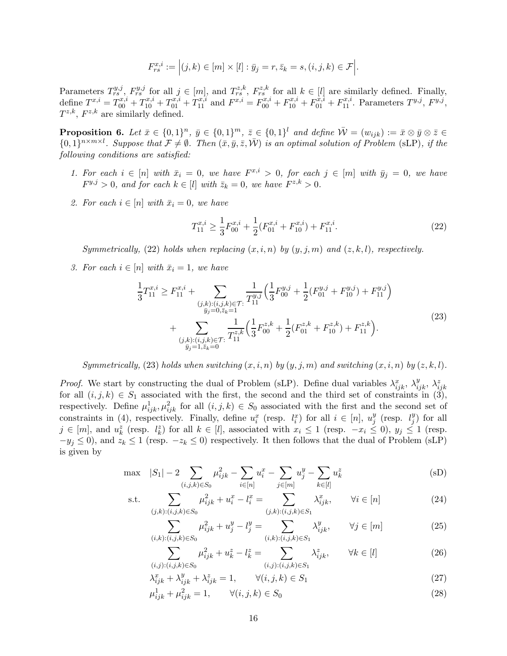$$
F_{rs}^{x,i} := \Big| (j,k) \in [m] \times [l] : \bar{y}_j = r, \bar{z}_k = s, (i,j,k) \in \mathcal{F} \Big|.
$$

Parameters  $T_{rs}^{y,j}, F_{rs}^{y,j}$  for all  $j \in [m]$ , and  $T_{rs}^{z,k}, F_{rs}^{z,k}$  for all  $k \in [l]$  are similarly defined. Finally, define  $T^{x,i} = T^{x,i}_{00} + T^{x,i}_{10} + T^{x,i}_{01} + T^{x,i}_{11}$  and  $F^{x,i} = F^{x,i}_{00} + F^{x,i}_{10} + F^{x,i}_{01} + F^{x,i}_{11}$ . Parameters  $T^{y,j}$ ,  $F^{y,j}$ ,  $T^{z,k}$ ,  $F^{z,k}$  are similarly defined.

**Proposition 6.** Let  $\bar{x} \in \{0,1\}^n$ ,  $\bar{y} \in \{0,1\}^n$ ,  $\bar{z} \in \{0,1\}^l$  and define  $\bar{W} = (w_{ijk}) := \bar{x} \otimes \bar{y} \otimes \bar{z} \in \mathbb{R}^l$  ${0,1}^{n \times m \times l}$ . Suppose that  $\mathcal{F} \neq \emptyset$ . Then  $(\bar{x}, \bar{y}, \bar{z}, \bar{W})$  is an optimal solution of Problem (sLP), if the following conditions are satisfied:

- 1. For each  $i \in [n]$  with  $\bar{x}_i = 0$ , we have  $F^{x,i} > 0$ , for each  $j \in [m]$  with  $\bar{y}_j = 0$ , we have  $F^{y,j} > 0$ , and for each  $k \in [l]$  with  $\bar{z}_k = 0$ , we have  $F^{z,k} > 0$ .
- 2. For each  $i \in [n]$  with  $\bar{x}_i = 0$ , we have

$$
T_{11}^{x,i} \ge \frac{1}{3} F_{00}^{x,i} + \frac{1}{2} (F_{01}^{x,i} + F_{10}^{x,i}) + F_{11}^{x,i}.
$$
 (22)

Symmetrically, (22) holds when replacing  $(x, i, n)$  by  $(y, j, m)$  and  $(z, k, l)$ , respectively.

3. For each  $i \in [n]$  with  $\bar{x}_i = 1$ , we have

$$
\frac{1}{3}T_{11}^{x,i} \ge F_{11}^{x,i} + \sum_{\substack{(j,k):(i,j,k)\in\mathcal{T}:\\j_j=0,\bar{z}_k=1}} \frac{1}{T_{11}^{y,j}} \left(\frac{1}{3}F_{00}^{y,j} + \frac{1}{2}(F_{01}^{y,j} + F_{10}^{y,j}) + F_{11}^{y,j}\right) \n+ \sum_{\substack{(j,k):(i,j,k)\in\mathcal{T}:\\j_j=1,\bar{z}_k=0}} \frac{1}{T_{11}^{z,k}} \left(\frac{1}{3}F_{00}^{z,k} + \frac{1}{2}(F_{01}^{z,k} + F_{10}^{z,k}) + F_{11}^{z,k}\right).
$$
\n(23)

Symmetrically, (23) holds when switching  $(x, i, n)$  by  $(y, j, m)$  and switching  $(x, i, n)$  by  $(z, k, l)$ .

*Proof.* We start by constructing the dual of Problem (sLP). Define dual variables  $\lambda_{ijk}^x$ ,  $\lambda_{ijk}^y$ ,  $\lambda_{ijk}^z$ for all  $(i, j, k) \in S_1$  associated with the first, the second and the third set of constraints in  $(3)$ , respectively. Define  $\mu_{ijk}^1, \mu_{ijk}^2$  for all  $(i, j, k) \in S_0$  associated with the first and the second set of constraints in (4), respectively. Finally, define  $u_i^x$  (resp.  $l_i^x$ ) for all  $i \in [n]$ ,  $u_j^y$  $_j^y$  (resp.  $l_j^y$  $_{j}^{y}$ ) for all  $j \in [m]$ , and  $u_k^z$  (resp.  $l_k^z$ ) for all  $k \in [l]$ , associated with  $x_i \leq 1$  (resp.  $-x_i \leq 0$ ),  $y_j \leq 1$  (resp.  $-y_j \leq 0$ , and  $z_k \leq 1$  (resp.  $-z_k \leq 0$ ) respectively. It then follows that the dual of Problem (sLP) is given by

$$
\max \quad |S_1| - 2 \sum_{(i,j,k)\in S_0} \mu_{ijk}^2 - \sum_{i \in [n]} u_i^x - \sum_{j \in [m]} u_j^y - \sum_{k \in [l]} u_k^z \tag{SD}
$$

s.t.

$$
\sum_{(j,k):(i,j,k)\in S_0} \mu_{ijk}^2 + u_i^x - l_i^x = \sum_{(j,k):(i,j,k)\in S_1} \lambda_{ijk}^x, \qquad \forall i \in [n]
$$
\n(24)

$$
\sum_{(i,k):(i,j,k)\in S_0} \mu_{ijk}^2 + u_j^y - l_j^y = \sum_{(i,k):(i,j,k)\in S_1} \lambda_{ijk}^y, \qquad \forall j \in [m]
$$
\n(25)

$$
\sum_{(i,j):(i,j,k)\in S_0} \mu_{ijk}^2 + u_k^z - l_k^z = \sum_{(i,j):(i,j,k)\in S_1} \lambda_{ijk}^z, \qquad \forall k \in [l]
$$
\n(26)

$$
\lambda_{ijk}^x + \lambda_{ijk}^y + \lambda_{ijk}^z = 1, \qquad \forall (i, j, k) \in S_1
$$
\n
$$
(27)
$$

 $\mu_{ijk}^1 + \mu_{ijk}^2 = 1, \qquad \forall (i, j, k) \in S_0$  (28)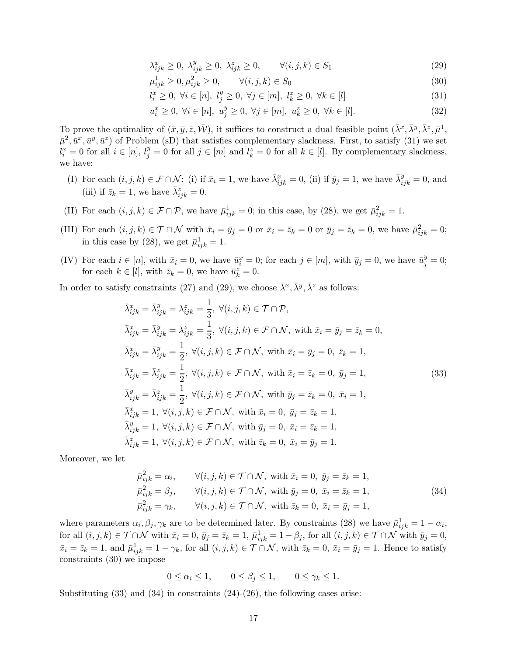$$
\lambda_{ijk}^x \ge 0, \ \lambda_{ijk}^y \ge 0, \ \lambda_{ijk}^z \ge 0, \qquad \forall (i, j, k) \in S_1 \tag{29}
$$

$$
\mu_{ijk}^1 \ge 0, \mu_{ijk}^2 \ge 0, \qquad \forall (i, j, k) \in S_0 \tag{30}
$$

$$
l_i^x \ge 0, \ \forall i \in [n], \ l_j^y \ge 0, \ \forall j \in [m], \ l_k^z \ge 0, \ \forall k \in [l]
$$
\n
$$
(31)
$$

$$
u_i^x \ge 0, \ \forall i \in [n], \ u_j^y \ge 0, \ \forall j \in [m], \ u_k^z \ge 0, \ \forall k \in [l]. \tag{32}
$$

To prove the optimality of  $(\bar{x}, \bar{y}, \bar{z}, \bar{W})$ , it suffices to construct a dual feasible point  $(\bar{\lambda}^x, \bar{\lambda}^y, \bar{\lambda}^z, \bar{\mu}^1, \bar{\lambda}^z, \bar{\mu}^z, \bar{\mu}^z, \bar{\mu}^z, \bar{\mu}^z, \bar{\mu}^z, \bar{\mu}^z, \bar{\mu}^z, \bar{\mu}^z, \bar{\mu}^z, \bar{\mu}^z, \bar{\$  $(\bar{\mu}^2, \bar{u}^x, \bar{u}^y, \bar{u}^z)$  of Problem (sD) that satisfies complementary slackness. First, to satisfy (31) we set  $l_i^x = 0$  for all  $i \in [n], l_j^y = 0$  for all  $j \in [m]$  and  $l_k^z = 0$  for all  $k \in [l]$ . By complementary slackness, we have:

- (I) For each  $(i, j, k) \in \mathcal{F} \cap \mathcal{N}$ : (i) if  $\bar{x}_i = 1$ , we have  $\bar{\lambda}_{ijk}^x = 0$ , (ii) if  $\bar{y}_j = 1$ , we have  $\bar{\lambda}_{ijk}^y = 0$ , and (iii) if  $\bar{z}_k = 1$ , we have  $\bar{\lambda}_{ijk}^z = 0$ .
- (II) For each  $(i, j, k) \in \mathcal{F} \cap \mathcal{P}$ , we have  $\bar{\mu}_{ijk}^1 = 0$ ; in this case, by (28), we get  $\bar{\mu}_{ijk}^2 = 1$ .
- (III) For each  $(i, j, k) \in \mathcal{T} \cap \mathcal{N}$  with  $\bar{x}_i = \bar{y}_j = 0$  or  $\bar{x}_i = \bar{z}_k = 0$  or  $\bar{y}_j = \bar{z}_k = 0$ , we have  $\bar{\mu}_{ijk}^2 = 0$ ; in this case by (28), we get  $\bar{\mu}_{ijk}^1 = 1$ .
- (IV) For each  $i \in [n]$ , with  $\bar{x}_i = 0$ , we have  $\bar{u}_i^x = 0$ ; for each  $j \in [m]$ , with  $\bar{y}_j = 0$ , we have  $\bar{u}_j^y = 0$ ; for each  $k \in [l]$ , with  $\bar{z}_k = 0$ , we have  $\bar{u}_k^z = 0$ .

In order to satisfy constraints (27) and (29), we choose  $\bar{\lambda}^x, \bar{\lambda}^y, \bar{\lambda}^z$  as follows:

$$
\bar{\lambda}_{ijk}^{x} = \bar{\lambda}_{ijk}^{y} = \lambda_{ijk}^{z} = \frac{1}{3}, \forall (i, j, k) \in \mathcal{T} \cap \mathcal{P},
$$
  
\n
$$
\bar{\lambda}_{ijk}^{x} = \bar{\lambda}_{ijk}^{y} = \lambda_{ijk}^{z} = \frac{1}{3}, \forall (i, j, k) \in \mathcal{F} \cap \mathcal{N}, \text{ with } \bar{x}_{i} = \bar{y}_{j} = \bar{z}_{k} = 0,
$$
  
\n
$$
\bar{\lambda}_{ijk}^{x} = \bar{\lambda}_{ijk}^{y} = \frac{1}{2}, \forall (i, j, k) \in \mathcal{F} \cap \mathcal{N}, \text{ with } \bar{x}_{i} = \bar{y}_{j} = 0, \ \bar{z}_{k} = 1,
$$
  
\n
$$
\bar{\lambda}_{ijk}^{x} = \bar{\lambda}_{ijk}^{z} = \frac{1}{2}, \forall (i, j, k) \in \mathcal{F} \cap \mathcal{N}, \text{ with } \bar{x}_{i} = \bar{z}_{k} = 0, \ \bar{y}_{j} = 1,
$$
  
\n
$$
\bar{\lambda}_{ijk}^{y} = \bar{\lambda}_{ijk}^{z} = \frac{1}{2}, \forall (i, j, k) \in \mathcal{F} \cap \mathcal{N}, \text{ with } \bar{y}_{j} = \bar{z}_{k} = 0, \ \bar{x}_{i} = 1,
$$
  
\n
$$
\bar{\lambda}_{ijk}^{x} = 1, \forall (i, j, k) \in \mathcal{F} \cap \mathcal{N}, \text{ with } \bar{x}_{i} = 0, \ \bar{y}_{j} = \bar{z}_{k} = 1,
$$
  
\n
$$
\bar{\lambda}_{ijk}^{y} = 1, \forall (i, j, k) \in \mathcal{F} \cap \mathcal{N}, \text{ with } \bar{y}_{j} = 0, \ \bar{x}_{i} = \bar{z}_{k} = 1,
$$
  
\n
$$
\bar{\lambda}_{ijk}^{z} = 1, \forall (i, j, k) \in \mathcal{F} \cap \mathcal{N}, \text{ with } \bar{z}_{k} = 0, \ \bar{x}_{i} = \bar{y}_{j} = 1.
$$
\n(33)

Moreover, we let

$$
\bar{\mu}_{ijk}^2 = \alpha_i, \qquad \forall (i, j, k) \in \mathcal{T} \cap \mathcal{N}, \text{ with } \bar{x}_i = 0, \ \bar{y}_j = \bar{z}_k = 1, \n\bar{\mu}_{ijk}^2 = \beta_j, \qquad \forall (i, j, k) \in \mathcal{T} \cap \mathcal{N}, \text{ with } \bar{y}_j = 0, \ \bar{x}_i = \bar{z}_k = 1, \n\bar{\mu}_{ijk}^2 = \gamma_k, \qquad \forall (i, j, k) \in \mathcal{T} \cap \mathcal{N}, \text{ with } \bar{z}_k = 0, \ \bar{x}_i = \bar{y}_j = 1,
$$
\n(34)

where parameters  $\alpha_i, \beta_j, \gamma_k$  are to be determined later. By constraints (28) we have  $\bar{\mu}_{ijk}^1 = 1 - \alpha_i$ , for all  $(i, j, k) \in \mathcal{T} \cap \mathcal{N}$  with  $\bar{x}_i = 0$ ,  $\bar{y}_j = \bar{z}_k = 1$ ,  $\bar{\mu}_{ijk}^1 = 1 - \beta_j$ , for all  $(i, j, k) \in \mathcal{T} \cap \mathcal{N}$  with  $\bar{y}_j = 0$ ,  $\bar{x}_i = \bar{z}_k = 1$ , and  $\bar{\mu}_{ijk}^1 = 1 - \gamma_k$ , for all  $(i, j, k) \in \mathcal{T} \cap \mathcal{N}$ , with  $\bar{z}_k = 0$ ,  $\bar{x}_i = \bar{y}_j = 1$ . Hence to satisfy constraints (30) we impose

$$
0 \le \alpha_i \le 1, \qquad 0 \le \beta_j \le 1, \qquad 0 \le \gamma_k \le 1.
$$

Substituting  $(33)$  and  $(34)$  in constraints  $(24)-(26)$ , the following cases arise: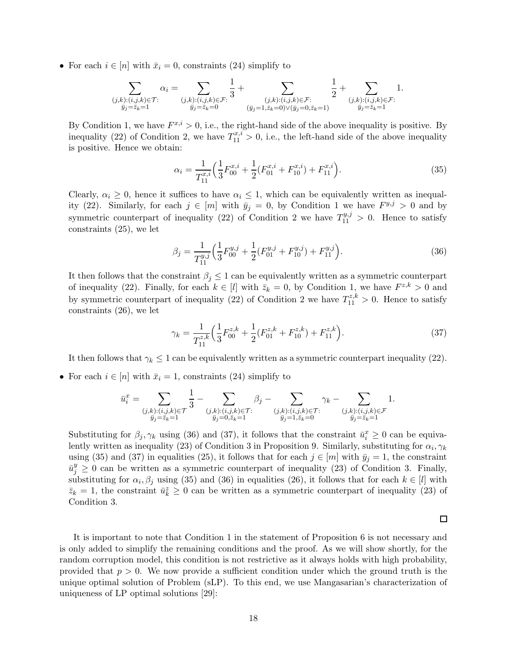• For each  $i \in [n]$  with  $\bar{x}_i = 0$ , constraints (24) simplify to

$$
\sum_{\substack{(j,k):(i,j,k)\in \mathcal{T}:\\ \bar{y}_j=\bar{z}_k=1}}\alpha_i=\sum_{\substack{(j,k):(i,j,k)\in \mathcal{F}:\\ \bar{y}_j=\bar{z}_k=0}}\frac{1}{3}+\sum_{\substack{(j,k):(i,j,k)\in \mathcal{F}:\\ (\bar{y}_j=1,\bar{z}_k=0)\vee (\bar{y}_j=0,\bar{z}_k=1)}}\frac{1}{2}+\sum_{\substack{(j,k):(i,j,k)\in \mathcal{F}:\\ \bar{y}_j=\bar{z}_k=1}}1.
$$

By Condition 1, we have  $F^{x,i} > 0$ , i.e., the right-hand side of the above inequality is positive. By inequality (22) of Condition 2, we have  $T_{11}^{x,i} > 0$ , i.e., the left-hand side of the above inequality is positive. Hence we obtain:

$$
\alpha_i = \frac{1}{T_{11}^{x,i}} \Big( \frac{1}{3} F_{00}^{x,i} + \frac{1}{2} (F_{01}^{x,i} + F_{10}^{x,i}) + F_{11}^{x,i} \Big). \tag{35}
$$

Clearly,  $\alpha_i \geq 0$ , hence it suffices to have  $\alpha_i \leq 1$ , which can be equivalently written as inequality (22). Similarly, for each  $j \in [m]$  with  $\bar{y}_j = 0$ , by Condition 1 we have  $F^{y,j} > 0$  and by symmetric counterpart of inequality (22) of Condition 2 we have  $T_{11}^{y,j} > 0$ . Hence to satisfy constraints (25), we let

$$
\beta_j = \frac{1}{T_{11}^{y,j}} \left( \frac{1}{3} F_{00}^{y,j} + \frac{1}{2} (F_{01}^{y,j} + F_{10}^{y,j}) + F_{11}^{y,j} \right). \tag{36}
$$

It then follows that the constraint  $\beta_i \leq 1$  can be equivalently written as a symmetric counterpart of inequality (22). Finally, for each  $k \in [l]$  with  $\bar{z}_k = 0$ , by Condition 1, we have  $F^{z,k} > 0$  and by symmetric counterpart of inequality (22) of Condition 2 we have  $T_{11}^{z,k} > 0$ . Hence to satisfy constraints (26), we let

$$
\gamma_k = \frac{1}{T_{11}^{z,k}} \Big( \frac{1}{3} F_{00}^{z,k} + \frac{1}{2} (F_{01}^{z,k} + F_{10}^{z,k}) + F_{11}^{z,k} \Big). \tag{37}
$$

It then follows that  $\gamma_k \leq 1$  can be equivalently written as a symmetric counterpart inequality (22).

• For each  $i \in [n]$  with  $\bar{x}_i = 1$ , constraints (24) simplify to

$$
\bar{u}_i^x=\sum\limits_{\substack{(j,k):(i,j,k)\in\mathcal{T}\\ \bar{y}_j=\bar{z}_k=1}}\frac{1}{3}-\sum\limits_{\substack{(j,k):(i,j,k)\in\mathcal{T}:\\ \bar{y}_j=0,\bar{z}_k=1}}\beta_j-\sum\limits_{\substack{(j,k):(i,j,k)\in\mathcal{T}:\\ \bar{y}_j=1,\bar{z}_k=0}}\gamma_k-\sum\limits_{\substack{(j,k):(i,j,k)\in\mathcal{F}\\ \bar{y}_j=\bar{z}_k=1}}1.
$$

Substituting for  $\beta_j, \gamma_k$  using (36) and (37), it follows that the constraint  $\bar{u}_i^x \geq 0$  can be equivalently written as inequality (23) of Condition 3 in Proposition 9. Similarly, substituting for  $\alpha_i, \gamma_k$ using (35) and (37) in equalities (25), it follows that for each  $j \in [m]$  with  $\bar{y}_j = 1$ , the constraint  $\bar{u}_j^y \geq 0$  can be written as a symmetric counterpart of inequality (23) of Condition 3. Finally, substituting for  $\alpha_i, \beta_j$  using (35) and (36) in equalities (26), it follows that for each  $k \in [l]$  with  $\bar{z}_k = 1$ , the constraint  $\bar{u}_k^z \geq 0$  can be written as a symmetric counterpart of inequality (23) of Condition 3.

 $\Box$ 

It is important to note that Condition 1 in the statement of Proposition 6 is not necessary and is only added to simplify the remaining conditions and the proof. As we will show shortly, for the random corruption model, this condition is not restrictive as it always holds with high probability, provided that  $p > 0$ . We now provide a sufficient condition under which the ground truth is the unique optimal solution of Problem (sLP). To this end, we use Mangasarian's characterization of uniqueness of LP optimal solutions [29]: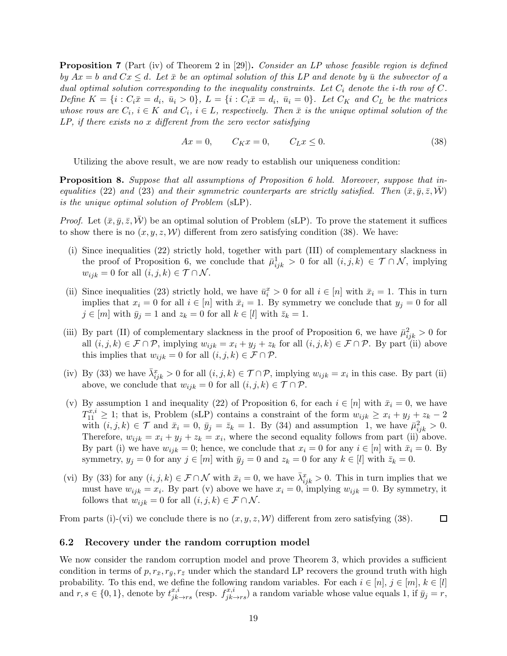**Proposition 7** (Part (iv) of Theorem 2 in [29]). Consider an LP whose feasible region is defined by  $Ax = b$  and  $Cx \leq d$ . Let  $\bar{x}$  be an optimal solution of this LP and denote by  $\bar{u}$  the subvector of a dual optimal solution corresponding to the inequality constraints. Let  $C_i$  denote the *i*-th row of C. Define  $K = \{i : C_i \bar{x} = d_i, \bar{u}_i > 0\}, L = \{i : C_i \bar{x} = d_i, \bar{u}_i = 0\}.$  Let  $C_K$  and  $C_L$  be the matrices whose rows are  $C_i$ ,  $i \in K$  and  $C_i$ ,  $i \in L$ , respectively. Then  $\bar{x}$  is the unique optimal solution of the LP, if there exists no x different from the zero vector satisfying

$$
Ax = 0, \qquad C_K x = 0, \qquad C_L x \le 0. \tag{38}
$$

Utilizing the above result, we are now ready to establish our uniqueness condition:

**Proposition 8.** Suppose that all assumptions of Proposition 6 hold. Moreover, suppose that inequalities (22) and (23) and their symmetric counterparts are strictly satisfied. Then  $(\bar{x}, \bar{y}, \bar{z}, \mathcal{W})$ is the unique optimal solution of Problem (sLP).

*Proof.* Let  $(\bar{x}, \bar{y}, \bar{z}, \bar{W})$  be an optimal solution of Problem (sLP). To prove the statement it suffices to show there is no  $(x, y, z, W)$  different from zero satisfying condition (38). We have:

- (i) Since inequalities (22) strictly hold, together with part (III) of complementary slackness in the proof of Proposition 6, we conclude that  $\bar{\mu}_{ijk}^1 > 0$  for all  $(i, j, k) \in \mathcal{T} \cap \mathcal{N}$ , implying  $w_{ijk} = 0$  for all  $(i, j, k) \in \mathcal{T} \cap \mathcal{N}$ .
- (ii) Since inequalities (23) strictly hold, we have  $\bar{u}_i^x > 0$  for all  $i \in [n]$  with  $\bar{x}_i = 1$ . This in turn implies that  $x_i = 0$  for all  $i \in [n]$  with  $\bar{x}_i = 1$ . By symmetry we conclude that  $y_j = 0$  for all  $j \in [m]$  with  $\bar{y}_j = 1$  and  $z_k = 0$  for all  $k \in [l]$  with  $\bar{z}_k = 1$ .
- (iii) By part (II) of complementary slackness in the proof of Proposition 6, we have  $\bar{\mu}_{ijk}^2 > 0$  for all  $(i, j, k) \in \mathcal{F} \cap \mathcal{P}$ , implying  $w_{ijk} = x_i + y_j + z_k$  for all  $(i, j, k) \in \mathcal{F} \cap \mathcal{P}$ . By part (ii) above this implies that  $w_{ijk} = 0$  for all  $(i, j, k) \in \mathcal{F} \cap \mathcal{P}$ .
- (iv) By (33) we have  $\bar{\lambda}_{ijk}^x > 0$  for all  $(i, j, k) \in \mathcal{T} \cap \mathcal{P}$ , implying  $w_{ijk} = x_i$  in this case. By part (ii) above, we conclude that  $w_{ijk} = 0$  for all  $(i, j, k) \in \mathcal{T} \cap \mathcal{P}$ .
- (v) By assumption 1 and inequality (22) of Proposition 6, for each  $i \in [n]$  with  $\bar{x}_i = 0$ , we have  $T_{11}^{x,i} \geq 1$ ; that is, Problem (sLP) contains a constraint of the form  $w_{ijk} \geq x_i + y_j + z_k - 2$ with  $(i, j, k) \in \mathcal{T}$  and  $\bar{x}_i = 0$ ,  $\bar{y}_j = \bar{z}_k = 1$ . By (34) and assumption 1, we have  $\bar{\mu}_{ijk}^2 > 0$ . Therefore,  $w_{ijk} = x_i + y_j + z_k = x_i$ , where the second equality follows from part (ii) above. By part (i) we have  $w_{ijk} = 0$ ; hence, we conclude that  $x_i = 0$  for any  $i \in [n]$  with  $\bar{x}_i = 0$ . By symmetry,  $y_j = 0$  for any  $j \in [m]$  with  $\bar{y}_j = 0$  and  $z_k = 0$  for any  $k \in [l]$  with  $\bar{z}_k = 0$ .
- (vi) By (33) for any  $(i, j, k) \in \mathcal{F} \cap \mathcal{N}$  with  $\bar{x}_i = 0$ , we have  $\bar{\lambda}_{ijk}^x > 0$ . This in turn implies that we must have  $w_{ijk} = x_i$ . By part (v) above we have  $x_i = 0$ , implying  $w_{ijk} = 0$ . By symmetry, it follows that  $w_{ijk} = 0$  for all  $(i, j, k) \in \mathcal{F} \cap \mathcal{N}$ .

From parts (i)-(vi) we conclude there is no  $(x, y, z, W)$  different from zero satisfying (38).  $\Box$ 

## 6.2 Recovery under the random corruption model

We now consider the random corruption model and prove Theorem 3, which provides a sufficient condition in terms of  $p, r_{\bar{x}}, r_{\bar{y}}, r_{\bar{z}}$  under which the standard LP recovers the ground truth with high probability. To this end, we define the following random variables. For each  $i \in [n], j \in [m], k \in [l]$ and  $r, s \in \{0, 1\}$ , denote by  $t_{jk \to rs}^{x,i}$  (resp.  $f_{jk \to rs}^{x,i}$ ) a random variable whose value equals 1, if  $\bar{y}_j = r$ ,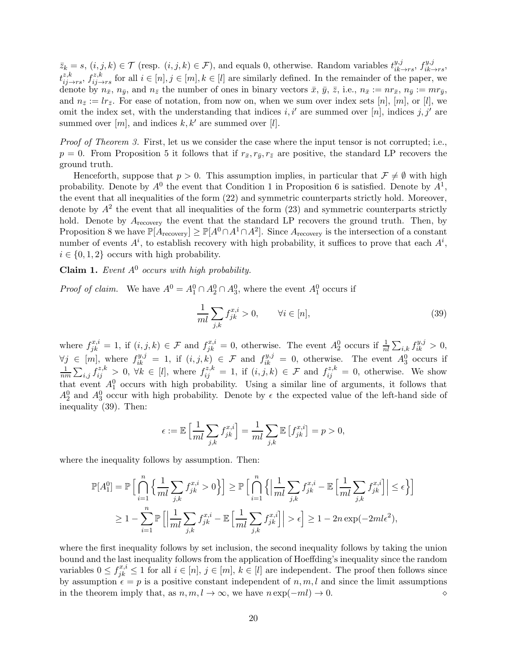$\bar{z}_k = s, (i, j, k) \in \mathcal{T}$  (resp.  $(i, j, k) \in \mathcal{F}$ ), and equals 0, otherwise. Random variables  $t_{ik}^{y,j}$  $\lim_{ik \to rs}$ ,  $f_{ik}^{y,j}$  $i k \rightarrow rs$  $t_{ij\rightarrow rs}^{z,k}$ ,  $f_{ij\rightarrow rs}^{z,k}$  for all  $i \in [n], j \in [m], k \in [l]$  are similarly defined. In the remainder of the paper, we denote by  $n_{\bar{x}}, n_{\bar{y}},$  and  $n_{\bar{z}}$  the number of ones in binary vectors  $\bar{x}, \bar{y}, \bar{z},$  i.e.,  $n_{\bar{x}} := nr_{\bar{x}}, n_{\bar{y}} := mr_{\bar{y}},$ and  $n_{\bar{z}} := lr_{\bar{z}}$ . For ease of notation, from now on, when we sum over index sets [n], [m], or [l], we omit the index set, with the understanding that indices i, i' are summed over [n], indices j, j' are summed over  $[m]$ , and indices  $k, k'$  are summed over  $[l]$ .

Proof of Theorem 3. First, let us we consider the case where the input tensor is not corrupted; i.e.,  $p = 0$ . From Proposition 5 it follows that if  $r_{\bar{x}}, r_{\bar{y}}, r_{\bar{z}}$  are positive, the standard LP recovers the ground truth.

Henceforth, suppose that  $p > 0$ . This assumption implies, in particular that  $\mathcal{F} \neq \emptyset$  with high probability. Denote by  $A^0$  the event that Condition 1 in Proposition 6 is satisfied. Denote by  $A^1$ , the event that all inequalities of the form (22) and symmetric counterparts strictly hold. Moreover, denote by  $A^2$  the event that all inequalities of the form  $(23)$  and symmetric counterparts strictly hold. Denote by  $A_{\text{recovery}}$  the event that the standard LP recovers the ground truth. Then, by Proposition 8 we have  $\mathbb{P}[A_{\text{recovery}}] \geq \mathbb{P}[A^0 \cap A^1 \cap A^2]$ . Since  $A_{\text{recovery}}$  is the intersection of a constant number of events  $A^i$ , to establish recovery with high probability, it suffices to prove that each  $A^i$ ,  $i \in \{0, 1, 2\}$  occurs with high probability.

Claim 1. Event  $A^0$  occurs with high probability.

*Proof of claim.* We have  $A^0 = A_1^0 \cap A_2^0 \cap A_3^0$ , where the event  $A_1^0$  occurs if

$$
\frac{1}{ml} \sum_{j,k} f_{jk}^{x,i} > 0, \qquad \forall i \in [n], \tag{39}
$$

where  $f_{jk}^{x,i} = 1$ , if  $(i, j, k) \in \mathcal{F}$  and  $f_{jk}^{x,i} = 0$ , otherwise. The event  $A_2^0$  occurs if  $\frac{1}{nl} \sum_{i,k} f_{ik}^{y,j} > 0$ ,  $\forall j \in [m],$  where  $f_{ik}^{y,j} = 1$ , if  $(i, j, k) \in \mathcal{F}$  and  $f_{ik}^{y,j} = 0$ , otherwise. The event  $A_3^0$  occurs if 1  $\frac{1}{nm}\sum_{i,j}f_{ij}^{z,k} > 0$ ,  $\forall k \in [l]$ , where  $f_{ij}^{z,k} = 1$ , if  $(i,j,k) \in \mathcal{F}$  and  $f_{ij}^{z,k} = 0$ , otherwise. We show that event  $A_1^0$  occurs with high probability. Using a similar line of arguments, it follows that  $A_2^0$  and  $A_3^0$  occur with high probability. Denote by  $\epsilon$  the expected value of the left-hand side of inequality (39). Then:

$$
\epsilon := \mathbb{E}\left[\frac{1}{ml}\sum_{j,k} f_{jk}^{x,i}\right] = \frac{1}{ml}\sum_{j,k} \mathbb{E}\left[f_{jk}^{x,i}\right] = p > 0,
$$

where the inequality follows by assumption. Then:

$$
\mathbb{P}[A_1^0] = \mathbb{P}\Big[\bigcap_{i=1}^n \Big\{\frac{1}{ml}\sum_{j,k} f_{jk}^{x,i} > 0\Big\}\Big] \ge \mathbb{P}\Big[\bigcap_{i=1}^n \Big\{\Big|\frac{1}{ml}\sum_{j,k} f_{jk}^{x,i} - \mathbb{E}\Big[\frac{1}{ml}\sum_{j,k} f_{jk}^{x,i}\Big]\Big| \le \epsilon\Big\}\Big]
$$
  

$$
\ge 1 - \sum_{i=1}^n \mathbb{P}\Big[\Big|\frac{1}{ml}\sum_{j,k} f_{jk}^{x,i} - \mathbb{E}\Big[\frac{1}{ml}\sum_{j,k} f_{jk}^{x,i}\Big]\Big| > \epsilon\Big] \ge 1 - 2n \exp(-2ml\epsilon^2),
$$

where the first inequality follows by set inclusion, the second inequality follows by taking the union bound and the last inequality follows from the application of Hoeffding's inequality since the random variables  $0 \leq f_{jk}^{x,i} \leq 1$  for all  $i \in [n], j \in [m], k \in [l]$  are independent. The proof then follows since by assumption  $\epsilon = p$  is a positive constant independent of  $n, m, l$  and since the limit assumptions in the theorem imply that, as n, m, l → ∞, we have n exp(−ml) → 0. ⋄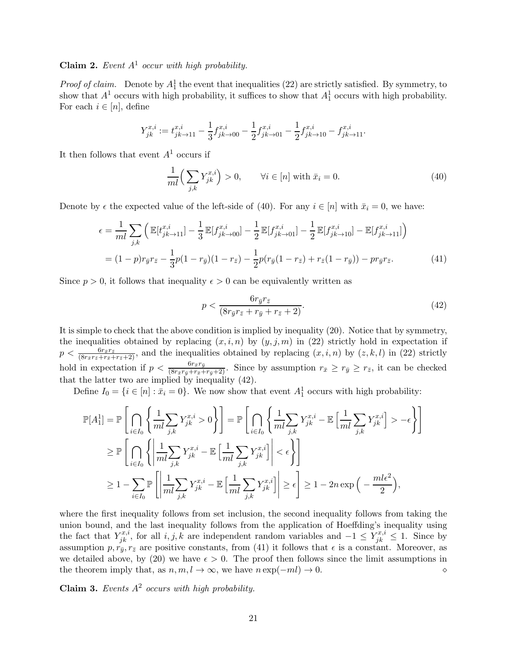## Claim 2. Event  $A^1$  occur with high probability.

*Proof of claim.* Denote by  $A_1^1$  the event that inequalities (22) are strictly satisfied. By symmetry, to show that  $A^1$  occurs with high probability, it suffices to show that  $A_1^1$  occurs with high probability. For each  $i \in [n]$ , define

$$
Y_{jk}^{x,i} := t_{jk \to 11}^{x,i} - \frac{1}{3} f_{jk \to 00}^{x,i} - \frac{1}{2} f_{jk \to 01}^{x,i} - \frac{1}{2} f_{jk \to 10}^{x,i} - f_{jk \to 11}^{x,i}.
$$

It then follows that event  $A<sup>1</sup>$  occurs if

$$
\frac{1}{ml} \left( \sum_{j,k} Y_{jk}^{x,i} \right) > 0, \qquad \forall i \in [n] \text{ with } \bar{x}_i = 0. \tag{40}
$$

Denote by  $\epsilon$  the expected value of the left-side of (40). For any  $i \in [n]$  with  $\bar{x}_i = 0$ , we have:

$$
\epsilon = \frac{1}{ml} \sum_{j,k} \left( \mathbb{E}[t_{jk \to 11}^{x,i}] - \frac{1}{3} \mathbb{E}[f_{jk \to 00}^{x,i}] - \frac{1}{2} \mathbb{E}[f_{jk \to 01}^{x,i}] - \frac{1}{2} \mathbb{E}[f_{jk \to 10}^{x,i}] - \mathbb{E}[f_{jk \to 11}^{x,i}] \right)
$$
  
=  $(1-p)r_{\bar{y}}r_{\bar{z}} - \frac{1}{3}p(1-r_{\bar{y}})(1-r_{\bar{z}}) - \frac{1}{2}p(r_{\bar{y}}(1-r_{\bar{z}}) + r_{\bar{z}}(1-r_{\bar{y}})) - pr_{\bar{y}}r_{\bar{z}}.$  (41)

Since  $p > 0$ , it follows that inequality  $\epsilon > 0$  can be equivalently written as

$$
p < \frac{6r_{\bar{y}}r_{\bar{z}}}{(8r_{\bar{y}}r_{\bar{z}} + r_{\bar{y}} + r_{\bar{z}} + 2)}.\tag{42}
$$

It is simple to check that the above condition is implied by inequality (20). Notice that by symmetry, the inequalities obtained by replacing  $(x, i, n)$  by  $(y, j, m)$  in (22) strictly hold in expectation if  $p < \frac{6r_{\bar{x}}r_{\bar{z}}}{(8r_{\bar{x}}r_{\bar{z}}+r_{\bar{x}}+r_{\bar{z}}+2)}$ , and the inequalities obtained by replacing  $(x, i, n)$  by  $(z, k, l)$  in (22) strictly hold in expectation if  $p < \frac{6r_{\bar{x}}r_{\bar{y}}}{(8r_{\bar{x}}r_{\bar{y}}+r_{\bar{x}}+r_{\bar{y}}+2)}$ . Since by assumption  $r_{\bar{x}} \geq r_{\bar{y}} \geq r_{\bar{z}}$ , it can be checked that the latter two are implied by inequality (42).

Define  $I_0 = \{i \in [n] : \bar{x}_i = 0\}$ . We now show that event  $A_1$  occurs with high probability:

$$
\mathbb{P}[A_1^1] = \mathbb{P}\left[\bigcap_{i \in I_0} \left\{\frac{1}{ml} \sum_{j,k} Y_{jk}^{x,i} > 0\right\}\right] = \mathbb{P}\left[\bigcap_{i \in I_0} \left\{\frac{1}{ml} \sum_{j,k} Y_{jk}^{x,i} - \mathbb{E}\left[\frac{1}{ml} \sum_{j,k} Y_{jk}^{x,i}\right] > -\epsilon\right\}\right]
$$
  
\n
$$
\geq \mathbb{P}\left[\bigcap_{i \in I_0} \left\{\left|\frac{1}{ml} \sum_{j,k} Y_{jk}^{x,i} - \mathbb{E}\left[\frac{1}{ml} \sum_{j,k} Y_{jk}^{x,i}\right]\right| < \epsilon\right\}\right]
$$
  
\n
$$
\geq 1 - \sum_{i \in I_0} \mathbb{P}\left[\left|\frac{1}{ml} \sum_{j,k} Y_{jk}^{x,i} - \mathbb{E}\left[\frac{1}{ml} \sum_{j,k} Y_{jk}^{x,i}\right]\right| \geq \epsilon\right] \geq 1 - 2n \exp\left(-\frac{ml\epsilon^2}{2}\right),
$$

where the first inequality follows from set inclusion, the second inequality follows from taking the union bound, and the last inequality follows from the application of Hoeffding's inequality using the fact that  $Y_{jk}^{x,i}$ , for all  $i, j, k$  are independent random variables and  $-1 \leq Y_{jk}^{x,i} \leq 1$ . Since by assumption  $p, r_{\bar{y}}, r_{\bar{z}}$  are positive constants, from (41) it follows that  $\epsilon$  is a constant. Moreover, as we detailed above, by (20) we have  $\epsilon > 0$ . The proof then follows since the limit assumptions in the theorem imply that, as  $n, m, l \to \infty$ , we have  $n \exp(-ml) \to 0$ .

Claim 3. Events  $A^2$  occurs with high probability.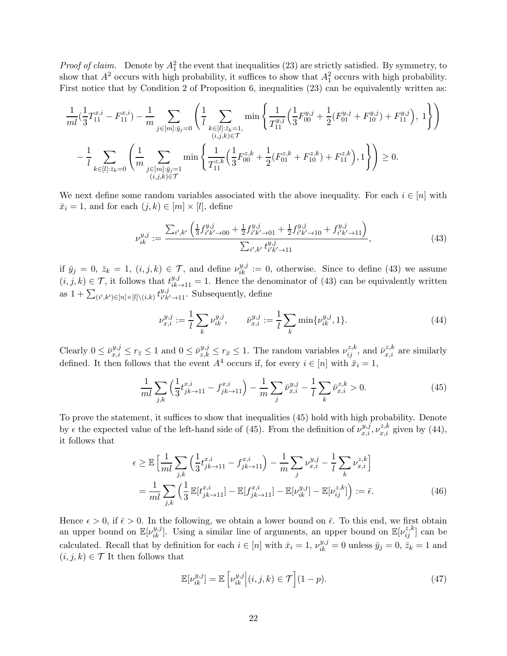*Proof of claim.* Denote by  $A_1^2$  the event that inequalities (23) are strictly satisfied. By symmetry, to show that  $A^2$  occurs with high probability, it suffices to show that  $A_1^2$  occurs with high probability. First notice that by Condition 2 of Proposition 6, inequalities  $(23)$  can be equivalently written as:

$$
\frac{1}{ml}(\frac{1}{3}T_{11}^{x,i} - F_{11}^{x,i}) - \frac{1}{m} \sum_{j \in [m]:\bar{y}_j=0} \left( \frac{1}{l} \sum_{\substack{k \in [l]:\bar{z}_k=1,\\(i,j,k) \in \mathcal{T}}} \min \left\{ \frac{1}{T_{11}^{y,j}} \left( \frac{1}{3} F_{00}^{y,j} + \frac{1}{2} (F_{01}^{y,j} + F_{10}^{y,j}) + F_{11}^{y,j} \right), 1 \right\} \right)
$$

$$
- \frac{1}{l} \sum_{k \in [l]:\bar{z}_k=0} \left( \frac{1}{m} \sum_{\substack{j \in [m]:\bar{y}_j=1\\(i,j,k) \in \mathcal{T}}} \min \left\{ \frac{1}{T_{11}^{z,k}} \left( \frac{1}{3} F_{00}^{z,k} + \frac{1}{2} (F_{01}^{z,k} + F_{10}^{z,k}) + F_{11}^{z,k} \right), 1 \right\} \right) \ge 0.
$$

We next define some random variables associated with the above inequality. For each  $i \in [n]$  with  $\bar{x}_i = 1$ , and for each  $(j, k) \in [m] \times [l]$ , define

$$
\nu_{ik}^{y,j} := \frac{\sum_{i',k'} \left( \frac{1}{3} f_{i'k'\to 00}^{y,j} + \frac{1}{2} f_{i'k'\to 01}^{y,j} + \frac{1}{2} f_{i'k'\to 10}^{y,j} + f_{i'k'\to 11}^{y,j} \right)}{\sum_{i',k'} t_{i'k'\to 11}^{y,j}},
$$
\n(43)

if  $\bar{y}_j = 0$ ,  $\bar{z}_k = 1$ ,  $(i, j, k) \in \mathcal{T}$ , and define  $\nu_{ik}^{y,j} := 0$ , otherwise. Since to define (43) we assume  $(i, j, k) \in \mathcal{T}$ , it follows that  $t_{ik\rightarrow 11}^{y,j} = 1$ . Hence the denominator of (43) can be equivalently written as  $1 + \sum_{(i',k') \in [n] \times [l] \setminus (i,k)} t_{i'k}^{y,j}$  $\lim_{i'k'\to 11}$ . Subsequently, define

$$
\nu_{x,i}^{y,j} := \frac{1}{l} \sum_{k} \nu_{ik}^{y,j}, \qquad \bar{\nu}_{x,i}^{y,j} := \frac{1}{l} \sum_{k} \min\{\nu_{ik}^{y,j}, 1\}.
$$
\n(44)

Clearly  $0 \le \bar{\nu}_{x,i}^{y,j} \le r_{\bar{x}} \le 1$  and  $0 \le \bar{\nu}_{z,k}^{y,j} \le r_{\bar{x}} \le 1$ . The random variables  $\nu_{ij}^{z,k}$ , and  $\bar{\nu}_{x,i}^{z,k}$  are similarly defined. It then follows that the event  $A^4$  occurs if, for every  $i \in [n]$  with  $\bar{x}_i = 1$ ,

$$
\frac{1}{ml} \sum_{j,k} \left( \frac{1}{3} t_{jk \to 11}^{x,i} - f_{jk \to 11}^{x,i} \right) - \frac{1}{m} \sum_{j} \bar{\nu}_{x,i}^{y,j} - \frac{1}{l} \sum_{k} \bar{\nu}_{x,i}^{z,k} > 0. \tag{45}
$$

To prove the statement, it suffices to show that inequalities (45) hold with high probability. Denote by  $\epsilon$  the expected value of the left-hand side of (45). From the definition of  $\nu_{x,i}^{y,j}, \nu_{x,i}^{z,k}$  given by (44), it follows that

$$
\epsilon \ge \mathbb{E}\left[\frac{1}{ml}\sum_{j,k}\left(\frac{1}{3}t_{jk\to 11}^{x,i} - f_{jk\to 11}^{x,i}\right) - \frac{1}{m}\sum_{j}\nu_{x,i}^{y,j} - \frac{1}{l}\sum_{k}\nu_{x,i}^{z,k}\right]
$$

$$
= \frac{1}{ml}\sum_{j,k}\left(\frac{1}{3}\mathbb{E}[t_{jk\to 11}^{x,i}] - \mathbb{E}[t_{jk\to 11}^{x,i}] - \mathbb{E}[\nu_{ik}^{y,j}] - \mathbb{E}[\nu_{ij}^{z,k}]\right) := \bar{\epsilon}.
$$
(46)

Hence  $\epsilon > 0$ , if  $\bar{\epsilon} > 0$ . In the following, we obtain a lower bound on  $\bar{\epsilon}$ . To this end, we first obtain an upper bound on  $\mathbb{E}[\nu_{ik}^{y,j}]$ . Using a similar line of arguments, an upper bound on  $\mathbb{E}[\nu_{ij}^{z,k}]$  can be calculated. Recall that by definition for each  $i \in [n]$  with  $\bar{x}_i = 1$ ,  $\nu_{ik}^{y,j} = 0$  unless  $\bar{y}_j = 0$ ,  $\bar{z}_k = 1$  and  $(i, j, k) \in \mathcal{T}$  It then follows that

$$
\mathbb{E}[\nu_{ik}^{y,j}] = \mathbb{E}\left[\nu_{ik}^{y,j}\middle|\left(i,j,k\right) \in \mathcal{T}\right](1-p). \tag{47}
$$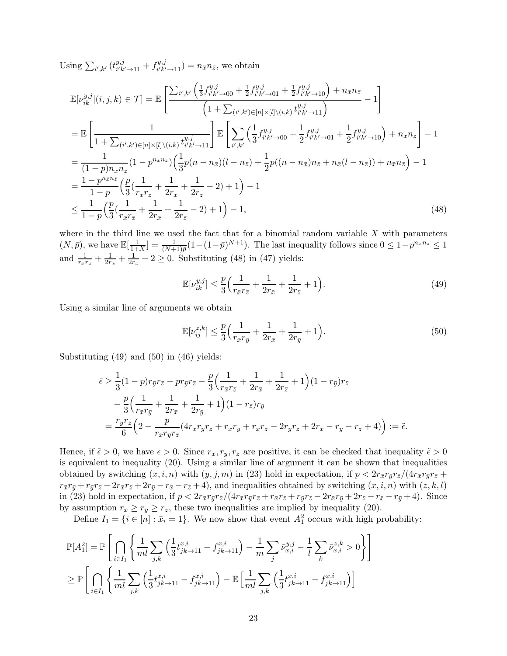Using  $\sum_{i',k'} (t_{i'k}^{y,j})$  $\frac{y,j}{i'k'\to 11} + f^{y,j}_{i'k'}$  $i'_{k' \to 11}^{y,y} = n_{\bar{x}} n_{\bar{z}},$  we obtain

$$
\mathbb{E}[\nu_{ik}^{y,j}|(i,j,k) \in \mathcal{T}] = \mathbb{E}\left[\frac{\sum_{i',k'} \left(\frac{1}{3}f_{i'k'-00}^{y,j} + \frac{1}{2}f_{i'k'-01}^{y,j} + \frac{1}{2}f_{i'k'-10}^{y,j}\right) + n_{\bar{x}}n_{\bar{z}}}{\left(1 + \sum_{(i',k') \in [n] \times [l] \backslash (i,k)} t_{i'k'-11}^{y,j}\right)} - 1\right]
$$
\n
$$
= \mathbb{E}\left[\frac{1}{1 + \sum_{(i',k') \in [n] \times [l] \backslash (i,k)} t_{i'k'-11}^{y,j}}\right] \mathbb{E}\left[\sum_{i',k'} \left(\frac{1}{3}f_{i'k'-00}^{y,j} + \frac{1}{2}f_{i'k'-01}^{y,j} + \frac{1}{2}f_{i'k'-10}^{y,j}\right) + n_{\bar{x}}n_{\bar{z}}\right] - 1
$$
\n
$$
= \frac{1}{(1 - p)n_{\bar{x}}n_{\bar{z}}}(1 - p^{n_{\bar{x}}n_{\bar{z}}})\left(\frac{1}{3}p(n - n_{\bar{x}})(l - n_{\bar{z}}) + \frac{1}{2}p((n - n_{\bar{x}})n_{\bar{z}} + n_{\bar{x}}(l - n_{\bar{z}})) + n_{\bar{x}}n_{\bar{z}}\right) - 1
$$
\n
$$
= \frac{1 - p^{n_{\bar{x}}n_{\bar{z}}}}{1 - p}\left(\frac{p}{3}\left(\frac{1}{r_{\bar{x}}r_{\bar{z}}} + \frac{1}{2r_{\bar{x}}} + \frac{1}{2r_{\bar{z}}} - 2\right) + 1\right) - 1
$$
\n
$$
\leq \frac{1}{1 - p}\left(\frac{p}{3}\left(\frac{1}{r_{\bar{x}}r_{\bar{z}}} + \frac{1}{2r_{\bar{x}}} - 2\right) + 1\right) - 1,
$$
\n(48)

where in the third line we used the fact that for a binomial random variable  $X$  with parameters  $(N, \bar{p}),$  we have  $\mathbb{E}[\frac{1}{1+1}]$  $\frac{1}{1+X}$ ] =  $\frac{1}{(N+1)\bar{p}}(1-(1-\bar{p})^{N+1})$ . The last inequality follows since  $0 \leq 1-p^{n_{\bar{x}}n_{\bar{z}}} \leq 1$ and  $\frac{1}{r_{\bar{x}}r_{\bar{z}}}+\frac{1}{2r}$  $\frac{1}{2r_{\bar{x}}}+\frac{1}{2r}$  $\frac{1}{2r_{\bar{z}}}-2\geq 0$ . Substituting (48) in (47) yields:

$$
\mathbb{E}[\nu_{ik}^{y,j}] \le \frac{p}{3} \Big( \frac{1}{r_{\bar{x}} r_{\bar{z}}} + \frac{1}{2r_{\bar{x}}} + \frac{1}{2r_{\bar{z}}} + 1 \Big). \tag{49}
$$

Using a similar line of arguments we obtain

$$
\mathbb{E}[\nu_{ij}^{z,k}] \le \frac{p}{3} \Big( \frac{1}{r_{\bar{x}} r_{\bar{y}}} + \frac{1}{2r_{\bar{x}}} + \frac{1}{2r_{\bar{y}}} + 1 \Big). \tag{50}
$$

Substituting (49) and (50) in (46) yields:

$$
\bar{\epsilon} \ge \frac{1}{3} (1-p)r_{\bar{y}}r_{\bar{z}} - pr_{\bar{y}}r_{\bar{z}} - \frac{p}{3} \Big( \frac{1}{r_{\bar{x}}r_{\bar{z}}} + \frac{1}{2r_{\bar{x}}} + \frac{1}{2r_{\bar{z}}} + 1 \Big) (1 - r_{\bar{y}})r_{\bar{z}} \n- \frac{p}{3} \Big( \frac{1}{r_{\bar{x}}r_{\bar{y}}} + \frac{1}{2r_{\bar{x}}} + \frac{1}{2r_{\bar{y}}} + 1 \Big) (1 - r_{\bar{z}})r_{\bar{y}} \n= \frac{r_{\bar{y}}r_{\bar{z}}}{6} \Big( 2 - \frac{p}{r_{\bar{x}}r_{\bar{y}}r_{\bar{z}}} (4r_{\bar{x}}r_{\bar{y}}r_{\bar{z}} + r_{\bar{x}}r_{\bar{y}} + r_{\bar{x}}r_{\bar{z}} - 2r_{\bar{y}}r_{\bar{z}} + 2r_{\bar{x}} - r_{\bar{y}} - r_{\bar{z}} + 4) \Big) := \tilde{\epsilon}.
$$

Hence, if  $\tilde{\epsilon} > 0$ , we have  $\epsilon > 0$ . Since  $r_{\bar{x}}, r_{\bar{y}}, r_{\bar{z}}$  are positive, it can be checked that inequality  $\tilde{\epsilon} > 0$ is equivalent to inequality (20). Using a similar line of argument it can be shown that inequalities obtained by switching  $(x, i, n)$  with  $(y, j, m)$  in (23) hold in expectation, if  $p < 2r_{\bar{x}}r_{\bar{y}}r_{\bar{z}}/(4r_{\bar{x}}r_{\bar{y}}r_{\bar{z}}+$  $r_{\bar{x}}r_{\bar{y}}+r_{\bar{y}}r_{\bar{z}}-2r_{\bar{x}}r_{\bar{z}}+2r_{\bar{y}}-r_{\bar{x}}+4$ ), and inequalities obtained by switching  $(x, i, n)$  with  $(z, k, l)$ in (23) hold in expectation, if  $p < 2r_{\bar{x}}r_{\bar{y}}r_{\bar{z}}/(4r_{\bar{x}}r_{\bar{y}}r_{\bar{z}}+r_{\bar{x}}r_{\bar{z}}+r_{\bar{y}}r_{\bar{z}}-2r_{\bar{x}}r_{\bar{y}}+2r_{\bar{z}}-r_{\bar{x}}-r_{\bar{y}}+4)$ . Since by assumption  $r_{\bar{x}} \geq r_{\bar{y}} \geq r_{\bar{z}}$ , these two inequalities are implied by inequality (20).

Define  $I_1 = \{i \in [n] : \bar{x}_i = 1\}$ . We now show that event  $A_1^2$  occurs with high probability:

$$
\mathbb{P}[A_1^2] = \mathbb{P}\left[\bigcap_{i \in I_1} \left\{ \frac{1}{ml} \sum_{j,k} \left( \frac{1}{3} t_{jk \to 11}^{x,i} - f_{jk \to 11}^{x,i} \right) - \frac{1}{m} \sum_j \bar{\nu}_{x,i}^{y,j} - \frac{1}{l} \sum_k \bar{\nu}_{x,i}^{z,k} > 0 \right\} \right]
$$
  
\n
$$
\geq \mathbb{P}\left[\bigcap_{i \in I_1} \left\{ \frac{1}{ml} \sum_{j,k} \left( \frac{1}{3} t_{jk \to 11}^{x,i} - f_{jk \to 11}^{x,i} \right) - \mathbb{E}\left[ \frac{1}{ml} \sum_{j,k} \left( \frac{1}{3} t_{jk \to 11}^{x,i} - f_{jk \to 11}^{x,i} \right) \right] \right]
$$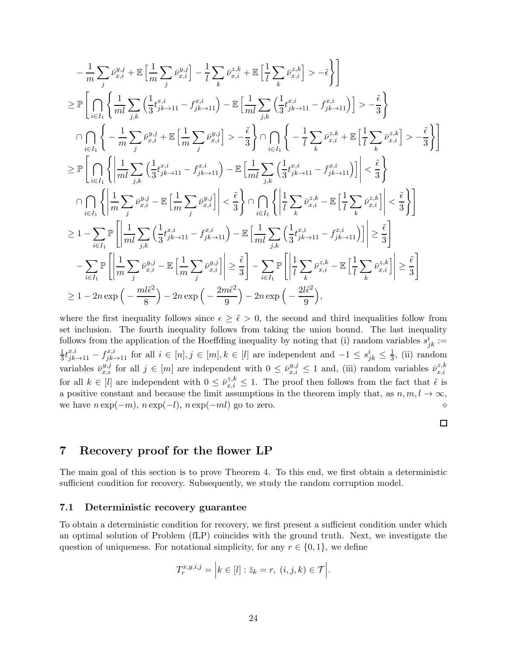$$
-\frac{1}{m}\sum_{j} \bar{v}_{x,i}^{y,j} + \mathbb{E}\left[\frac{1}{m}\sum_{j} \bar{v}_{x,i}^{y,j}\right] - \frac{1}{l}\sum_{k} \bar{v}_{x,i}^{z,k} + \mathbb{E}\left[\frac{1}{l}\sum_{k} \bar{v}_{x,i}^{z,k}\right] > -\tilde{\epsilon}\right]
$$
\n
$$
\geq \mathbb{P}\left[\bigcap_{i\in I_{1}}\left\{\frac{1}{ml}\sum_{j,k}\left(\frac{1}{3}t_{jk\to11}^{x,j} - f_{jk\to11}^{x,j}\right) - \mathbb{E}\left[\frac{1}{ml}\sum_{j,k}\left(\frac{1}{3}t_{jk\to11}^{x,j} - f_{jk\to11}^{x,j}\right)\right] > -\frac{\tilde{\epsilon}}{3}\right\}
$$
\n
$$
\cap \bigcap_{i\in I_{1}}\left\{-\frac{1}{m}\sum_{j}\bar{v}_{x,i}^{y,j} + \mathbb{E}\left[\frac{1}{m}\sum_{j} \bar{v}_{x,i}^{y,j}\right] > -\frac{\tilde{\epsilon}}{3}\right\} \cap \bigcap_{i\in I_{1}}\left\{-\frac{1}{l}\sum_{k} \bar{v}_{x,i}^{z,k} + \mathbb{E}\left[\frac{1}{l}\sum_{k} \bar{v}_{x,i}^{z,k}\right] > -\frac{\tilde{\epsilon}}{3}\right\}
$$
\n
$$
\geq \mathbb{P}\left[\bigcap_{i\in I_{1}}\left\{\left|\frac{1}{ml}\sum_{j,k}\left(\frac{1}{3}t_{jk\to11}^{x,j} - t_{jk\to11}^{x,j}\right) - \mathbb{E}\left[\frac{1}{ml}\sum_{j,k}\left(\frac{1}{3}t_{jk\to11}^{x,j} - t_{jk\to11}^{x,j}\right)\right]\right| < \frac{\tilde{\epsilon}}{3}\right\}
$$
\n
$$
\cap \bigcap_{i\in I_{1}}\left\{\left|\frac{1}{m}\sum_{j} \bar{v}_{x,i}^{y,j} - \mathbb{E}\left[\frac{1}{m}\sum_{j}\bar{v}_{x,i}^{y,j}\right]\right| < \frac{\tilde{\epsilon}}{3}\right\} \cap \bigcap_{i\in I_{1}}\left\{\left|\frac{1}{l}\sum_{k}\bar{v}_{x,i}^{z,k} - \mathbb{E
$$

where the first inequality follows since  $\epsilon \geq \tilde{\epsilon} > 0$ , the second and third inequalities follow from set inclusion. The fourth inequality follows from taking the union bound. The last inequality follows from the application of the Hoeffding inequality by noting that (i) random variables  $s_{jk}^i$ : 1  $\frac{1}{3}t_{jk\rightarrow11}^{x,i}-f_{jk\rightarrow11}^{x,i}$  for all  $i \in [n], j \in [m], k \in [l]$  are independent and  $-1 \leq s_{jk}^i \leq \frac{1}{3}$ , (ii) random variables  $\bar{\nu}_{x,i}^{y,j}$  for all  $j \in [m]$  are independent with  $0 \leq \bar{\nu}_{x,i}^{y,j} \leq 1$  and, (iii) random variables  $\bar{\nu}_{x,i}^{z,k}$  $_{x,i}$ for all  $k \in [l]$  are independent with  $0 \leq \bar{\nu}_{x,i}^{z,k} \leq 1$ . The proof then follows from the fact that  $\tilde{\epsilon}$  is a positive constant and because the limit assumptions in the theorem imply that, as  $n, m, l \to \infty$ , we have  $n \exp(-m)$ ,  $n \exp(-l)$ ,  $n \exp(-ml)$  go to zero.

#### $\Box$

# 7 Recovery proof for the flower LP

The main goal of this section is to prove Theorem 4. To this end, we first obtain a deterministic sufficient condition for recovery. Subsequently, we study the random corruption model.

## 7.1 Deterministic recovery guarantee

To obtain a deterministic condition for recovery, we first present a sufficient condition under which an optimal solution of Problem (fLP) coincides with the ground truth. Next, we investigate the question of uniqueness. For notational simplicity, for any  $r \in \{0, 1\}$ , we define

$$
T_r^{x,y,i,j} = \Big| k \in [l] : \bar{z}_k = r, \ (i,j,k) \in \mathcal{T} \Big|.
$$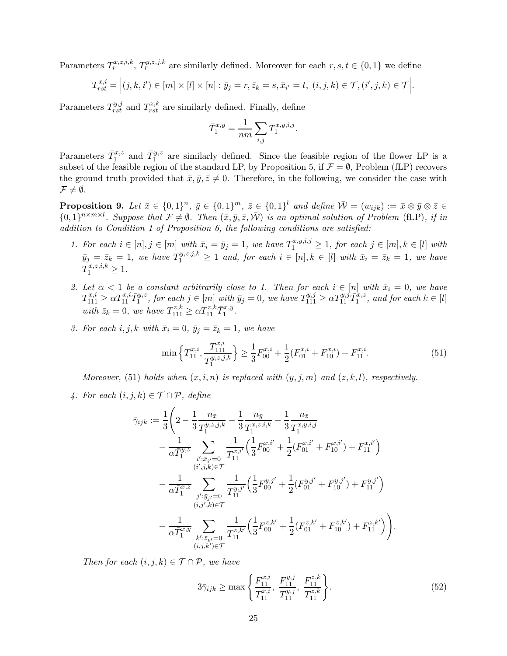Parameters  $T_r^{x,z,i,k}$ ,  $T_r^{y,z,j,k}$  are similarly defined. Moreover for each  $r, s, t \in \{0,1\}$  we define

$$
T_{rst}^{x,i} = \Big|(j,k,i') \in [m] \times [l] \times [n] : \bar{y}_j = r, \bar{z}_k = s, \bar{x}_{i'} = t, \ (i,j,k) \in \mathcal{T}, (i',j,k) \in \mathcal{T}\Big|.
$$

Parameters  $T_{rst}^{y,j}$  and  $T_{rst}^{z,k}$  are similarly defined. Finally, define

$$
\bar{T}_1^{x,y} = \frac{1}{nm} \sum_{i,j} T_1^{x,y,i,j}.
$$

Parameters  $\bar{T}_1^{x,z}$  and  $\bar{T}_1^{y,z}$  are similarly defined. Since the feasible region of the flower LP is a subset of the feasible region of the standard LP, by Proposition 5, if  $\mathcal{F} = \emptyset$ , Problem (fLP) recovers the ground truth provided that  $\bar{x}, \bar{y}, \bar{z} \neq 0$ . Therefore, in the following, we consider the case with  $\mathcal{F} \neq \emptyset$ .

**Proposition 9.** Let  $\bar{x} \in \{0,1\}^n$ ,  $\bar{y} \in \{0,1\}^n$ ,  $\bar{z} \in \{0,1\}^l$  and define  $\bar{W} = (w_{ijk}) := \bar{x} \otimes \bar{y} \otimes \bar{z} \in \mathbb{R}^l$  $\{0,1\}^{n\times m\times l}$ . Suppose that  $\mathcal{F}\neq\emptyset$ . Then  $(\bar{x},\bar{y},\bar{z},\bar{\mathcal{W}})$  is an optimal solution of Problem (fLP), if in addition to Condition 1 of Proposition 6, the following conditions are satisfied:

- 1. For each  $i \in [n], j \in [m]$  with  $\bar{x}_i = \bar{y}_j = 1$ , we have  $T_1^{x,y,i,j} \geq 1$ , for each  $j \in [m], k \in [l]$  with  $\bar{y}_j = \bar{z}_k = 1$ , we have  $T_1^{y,z,j,k} \ge 1$  and, for each  $i \in [n], k \in [l]$  with  $\bar{x}_i = \bar{z}_k = 1$ , we have  $T_1^{x,z,i,k} \geq 1.$
- 2. Let  $\alpha < 1$  be a constant arbitrarily close to 1. Then for each  $i \in [n]$  with  $\bar{x}_i = 0$ , we have  $T_{111}^{x,i} \ge \alpha T_{11}^{x,i} \bar{T}_1^{y,z}$ , for each  $j \in [m]$  with  $\bar{y}_j = 0$ , we have  $T_{111}^{y,j} \ge \alpha T_{11}^{y,j} \bar{T}_1^{x,z}$ , and for each  $k \in [l]$ with  $\bar{z}_k = 0$ , we have  $T_{111}^{z,k} \ge \alpha T_{11}^{z,k} \bar{T}_1^{x,y}$ .
- 3. For each i, j, k with  $\bar{x}_i = 0$ ,  $\bar{y}_j = \bar{z}_k = 1$ , we have

$$
\min\left\{T_{11}^{x,i}, \frac{T_{111}^{x,i}}{T_1^{y,z,j,k}}\right\} \ge \frac{1}{3}F_{00}^{x,i} + \frac{1}{2}(F_{01}^{x,i} + F_{10}^{x,i}) + F_{11}^{x,i}.\tag{51}
$$

Moreover, (51) holds when  $(x, i, n)$  is replaced with  $(y, j, m)$  and  $(z, k, l)$ , respectively.

4. For each  $(i, j, k) \in \mathcal{T} \cap \mathcal{P}$ , define

$$
\bar{\gamma}_{ijk} := \frac{1}{3} \Bigg( 2 - \frac{1}{3} \frac{n_{\bar{x}}}{T_1^{y,z,j,k}} - \frac{1}{3} \frac{n_{\bar{y}}}{T_1^{x,z,i,k}} - \frac{1}{3} \frac{n_{\bar{z}}}{T_1^{x,y,i,j}} \n- \frac{1}{\alpha \bar{T}_1^{y,z}} \sum_{i':\bar{x}_{i'}=0} \frac{1}{T_{11}^{x,i'}} \Big( \frac{1}{3} F_{00}^{x,i'} + \frac{1}{2} (F_{01}^{x,i'} + F_{10}^{x,i'}) + F_{11}^{x,i'} \Big) \n- \frac{1}{\alpha \bar{T}_1^{x,z}} \sum_{j':\bar{y}_{j'}=0} \frac{1}{T_{11}^{y,j'}} \Big( \frac{1}{3} F_{00}^{y,j'} + \frac{1}{2} (F_{01}^{y,j'} + F_{10}^{y,j'}) + F_{11}^{y,j'} \Big) \n- \frac{1}{\alpha \bar{T}_1^{x,y}} \sum_{\substack{(i,j',k) \in \mathcal{T}}} \frac{1}{T_{11}^{z,k'}} \Big( \frac{1}{3} F_{00}^{z,k'} + \frac{1}{2} (F_{01}^{z,k'} + F_{10}^{z,k'}) + F_{11}^{z,k'} \Big) \Bigg) .
$$
\n
$$
\frac{(i,j,k') \in \mathcal{T}}{\Bigg( \bar{T}_1^{x,y} + \bar{T}_2^{x,k'} \Bigg( \bar{T}_1^{x,j'} + \bar{T}_1^{x,j'} + \bar{T}_2^{x,j'} + \bar{T}_1^{x,j'} \Bigg) \Bigg( \bar{T}_1^{x,y} + \bar{T}_2^{x,y'} + \bar{T}_1^{x,j'} \Bigg) \Bigg) .
$$

Then for each  $(i, j, k) \in \mathcal{T} \cap \mathcal{P}$ , we have

$$
3\bar{\gamma}_{ijk} \ge \max\left\{\frac{F_{11}^{x,i}}{T_{11}^{x,i}}, \ \frac{F_{11}^{y,j}}{T_{11}^{y,j}}, \ \frac{F_{11}^{z,k}}{T_{11}^{z,k}}\right\}.\tag{52}
$$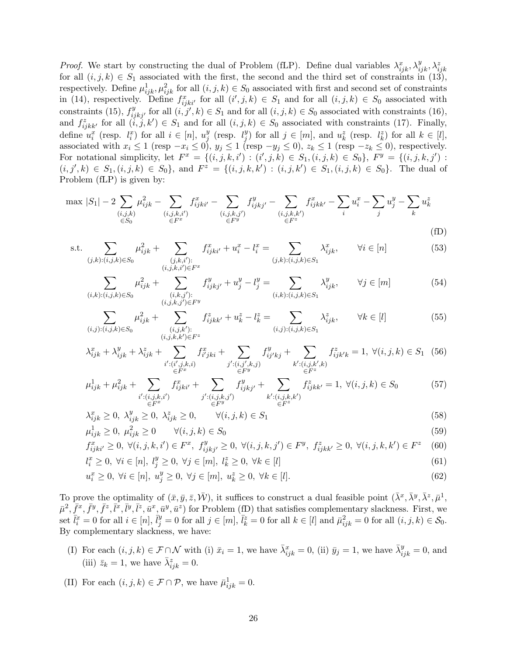*Proof.* We start by constructing the dual of Problem (fLP). Define dual variables  $\lambda_{ijk}^x, \lambda_{ijk}^y, \lambda_{ijk}^z, \lambda_{ijk}^z$ for all  $(i, j, k) \in S_1$  associated with the first, the second and the third set of constraints in  $(13)$ , respectively. Define  $\mu_{ijk}^1, \mu_{ijk}^2$  for all  $(i, j, k) \in S_0$  associated with first and second set of constraints in (14), respectively. Define  $f_{ijki'}^x$  for all  $(i',j,k) \in S_1$  and for all  $(i,j,k) \in S_0$  associated with constraints (15),  $f_{ijkj'}^y$  for all  $(i, j', k) \in S_1$  and for all  $(i, j, k) \in S_0$  associated with constraints (16), and  $f_{ijkk'}^z$  for all  $(i, j, k') \in S_1$  and for all  $(i, j, k) \in S_0$  associated with constraints (17). Finally, define  $u_i^x$  (resp.  $l_i^x$ ) for all  $i \in [n]$ ,  $u_j^y$  $_j^y$  (resp.  $l_j^y$  $j^y$  for all  $j \in [m]$ , and  $u_k^z$  (resp.  $l_k^z$ ) for all  $k \in [l]$ , associated with  $x_i \le 1$  (resp  $-x_i \le 0$ ),  $y_j \le 1$  (resp  $-y_j \le 0$ ),  $z_k \le 1$  (resp  $-z_k \le 0$ ), respectively. For notational simplicity, let  $F^x = \{(i, j, k, i') : (i', j, k) \in S_1, (i, j, k) \in S_0\}$ ,  $F^y = \{(i, j, k, j') : (i', j, k) \in S_1, (i, j, k) \in S_0\}$  $(i, j', k) \in S_1, (i, j, k) \in S_0$ , and  $F^z = \{(i, j, k, k') : (i, j, k') \in S_1, (i, j, k) \in S_0\}$ . The dual of Problem (fLP) is given by:

$$
\max |S_1| - 2 \sum_{\substack{(i,j,k) \\ \in S_0}} \mu_{ijk}^2 - \sum_{\substack{(i,j,k,i') \\ \in F^x}} f_{ijk'i'}^x - \sum_{\substack{(i,j,k,j') \\ \in F^y}} f_{ijkj'}^y - \sum_{\substack{(i,j,k,k') \\ \in F^z}} f_{ijkk'}^x - \sum_i u_i^x - \sum_j u_j^y - \sum_k u_k^z
$$
\n(fD)

s.t. 
$$
\sum_{(j,k):(i,j,k)\in S_0} \mu_{ijk}^2 + \sum_{\substack{(j,k,i'):\\(i,j,k,i')\in F^x}} f_{ijk'i'}^x + u_i^x - l_i^x = \sum_{(j,k):(i,j,k)\in S_1} \lambda_{ijk}^x, \qquad \forall i \in [n]
$$
(53)

$$
\sum_{(i,k):(i,j,k)\in S_0} \mu_{ijk}^2 + \sum_{\substack{(i,k,j'):\\(i,j,k,j')\in F^y}} f_{ijkj'}^y + u_j^y - l_j^y = \sum_{(i,k):(i,j,k)\in S_1} \lambda_{ijk}^y, \qquad \forall j \in [m]
$$
(54)

$$
\sum_{(i,j):(i,j,k)\in S_0} \mu_{ijk}^2 + \sum_{\substack{(i,j,k'):\\(i,j,k,k')\in F^z}} f_{ijkk'}^z + u_k^z - l_k^z = \sum_{(i,j):(i,j,k)\in S_1} \lambda_{ijk}^z, \qquad \forall k \in [l]
$$
\n(55)

$$
\lambda_{ijk}^x + \lambda_{ijk}^y + \lambda_{ijk}^z + \sum_{\substack{i': (i', j, k, i) \\ \in F^x}} f_{ij'k}^x + \sum_{\substack{j': (i, j', k, j) \\ \in F^y}} f_{ij'kj}^y + \sum_{\substack{k': (i, j, k', k) \\ \in F^z}} f_{ijk'k}^z = 1, \ \forall (i, j, k) \in S_1 \tag{56}
$$

$$
\mu_{ijk}^1 + \mu_{ijk}^2 + \sum_{\substack{i': (i,j,k,i')\\ \in F^x}} f_{ijk}^x + \sum_{\substack{j': (i,j,k,j')\\ \in F^y}} f_{ijkj'}^y + \sum_{\substack{k': (i,j,k,k')\\ \in F^z}} f_{ijkk'}^z = 1, \ \forall (i,j,k) \in S_0
$$
 (57)

$$
\lambda_{ijk}^x \ge 0, \ \lambda_{ijk}^y \ge 0, \ \lambda_{ijk}^z \ge 0, \qquad \forall (i, j, k) \in S_1 \tag{58}
$$

$$
\mu_{ijk}^1 \ge 0, \ \mu_{ijk}^2 \ge 0 \qquad \forall (i, j, k) \in S_0 \tag{59}
$$

$$
f_{ijk i'}^x \ge 0, \ \forall (i, j, k, i') \in F^x, \ f_{ijk j'}^y \ge 0, \ \forall (i, j, k, j') \in F^y, \ f_{ijk k'}^z \ge 0, \ \forall (i, j, k, k') \in F^z \tag{60}
$$

$$
l_i^x \ge 0, \ \forall i \in [n], \ l_j^y \ge 0, \ \forall j \in [m], \ l_k^z \ge 0, \ \forall k \in [l]
$$
\n
$$
(61)
$$

$$
u_i^x \ge 0, \ \forall i \in [n], \ u_j^y \ge 0, \ \forall j \in [m], \ u_k^z \ge 0, \ \forall k \in [l]. \tag{62}
$$

To prove the optimality of  $(\bar{x}, \bar{y}, \bar{z}, \bar{W})$ , it suffices to construct a dual feasible point  $(\bar{\lambda}^x, \bar{\lambda}^y, \bar{\lambda}^z, \bar{\mu}^1, \bar{\lambda}^z, \bar{\mu}^z, \bar{\mu}^z, \bar{\mu}^z, \bar{\mu}^z, \bar{\mu}^z, \bar{\mu}^z, \bar{\mu}^z, \bar{\mu}^z, \bar{\mu}^z, \bar{\mu}^z, \bar{\$  $\bar{\mu}^2, \bar{f}^x, \bar{f}^y, \bar{f}^z, \bar{l}^x, \bar{l}^y, \bar{l}^z, \bar{u}^x, \bar{u}^y, \bar{u}^z$  for Problem (fD) that satisfies complementary slackness. First, we set  $\bar{l}_i^x = 0$  for all  $i \in [n]$ ,  $\bar{l}_j^y = 0$  for all  $j \in [m]$ ,  $\bar{l}_k^z = 0$  for all  $k \in [l]$  and  $\bar{\mu}_{ijk}^2 = 0$  for all  $(i, j, k) \in \mathcal{S}_0$ . By complementary slackness, we have:

- (I) For each  $(i, j, k) \in \mathcal{F} \cap \mathcal{N}$  with (i)  $\bar{x}_i = 1$ , we have  $\bar{\lambda}_{ijk}^x = 0$ , (ii)  $\bar{y}_j = 1$ , we have  $\bar{\lambda}_{ijk}^y = 0$ , and (iii)  $\bar{z}_k = 1$ , we have  $\bar{\lambda}_{ijk}^z = 0$ .
- (II) For each  $(i, j, k) \in \mathcal{F} \cap \mathcal{P}$ , we have  $\bar{\mu}_{ijk}^1 = 0$ .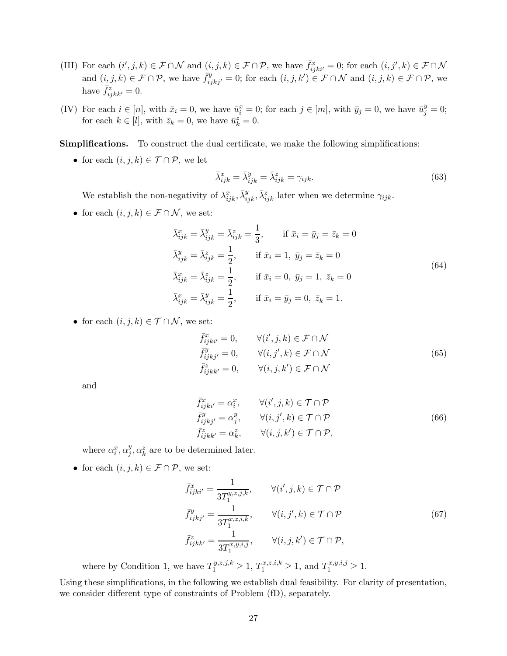- (III) For each  $(i', j, k) \in \mathcal{F} \cap \mathcal{N}$  and  $(i, j, k) \in \mathcal{F} \cap \mathcal{P}$ , we have  $\bar{f}_{ijki'}^x = 0$ ; for each  $(i, j', k) \in \mathcal{F} \cap \mathcal{N}$ and  $(i, j, k) \in \mathcal{F} \cap \mathcal{P}$ , we have  $\bar{f}_{ijkj'}^y = 0$ ; for each  $(i, j, k') \in \mathcal{F} \cap \mathcal{N}$  and  $(i, j, k) \in \mathcal{F} \cap \mathcal{P}$ , we have  $\bar{f}_{ijkk'}^z = 0$ .
- (IV) For each  $i \in [n]$ , with  $\bar{x}_i = 0$ , we have  $\bar{u}_i^x = 0$ ; for each  $j \in [m]$ , with  $\bar{y}_j = 0$ , we have  $\bar{u}_j^y = 0$ ; for each  $k \in [l]$ , with  $\bar{z}_k = 0$ , we have  $\bar{u}_k^z = 0$ .

Simplifications. To construct the dual certificate, we make the following simplifications:

• for each  $(i, j, k) \in \mathcal{T} \cap \mathcal{P}$ , we let

$$
\bar{\lambda}_{ijk}^x = \bar{\lambda}_{ijk}^y = \bar{\lambda}_{ijk}^z = \gamma_{ijk}.\tag{63}
$$

We establish the non-negativity of  $\lambda_{ijk}^x$ ,  $\bar{\lambda}_{ijk}^y$ ,  $\bar{\lambda}_{ijk}^z$  later when we determine  $\gamma_{ijk}$ .

• for each  $(i, j, k) \in \mathcal{F} \cap \mathcal{N}$ , we set:

$$
\bar{\lambda}_{ijk}^{x} = \bar{\lambda}_{ijk}^{y} = \bar{\lambda}_{ijk}^{z} = \frac{1}{3}, \quad \text{if } \bar{x}_{i} = \bar{y}_{j} = \bar{z}_{k} = 0
$$
\n
$$
\bar{\lambda}_{ijk}^{y} = \bar{\lambda}_{ijk}^{z} = \frac{1}{2}, \quad \text{if } \bar{x}_{i} = 1, \ \bar{y}_{j} = \bar{z}_{k} = 0
$$
\n
$$
\bar{\lambda}_{ijk}^{x} = \bar{\lambda}_{ijk}^{z} = \frac{1}{2}, \quad \text{if } \bar{x}_{i} = 0, \ \bar{y}_{j} = 1, \ \bar{z}_{k} = 0
$$
\n
$$
\bar{\lambda}_{ijk}^{x} = \bar{\lambda}_{ijk}^{y} = \frac{1}{2}, \quad \text{if } \bar{x}_{i} = \bar{y}_{j} = 0, \ \bar{z}_{k} = 1.
$$
\n(64)

• for each  $(i, j, k) \in \mathcal{T} \cap \mathcal{N}$ , we set:

$$
\begin{aligned}\n\bar{f}_{ijki'}^x &= 0, & \forall (i', j, k) \in \mathcal{F} \cap \mathcal{N} \\
\bar{f}_{ijkj'}^y &= 0, & \forall (i, j', k) \in \mathcal{F} \cap \mathcal{N} \\
\bar{f}_{ijkk'}^z &= 0, & \forall (i, j, k') \in \mathcal{F} \cap \mathcal{N}\n\end{aligned}\n\tag{65}
$$

and

$$
\begin{aligned}\n\bar{f}_{ijki'}^x &= \alpha_i^x, & \forall (i', j, k) \in \mathcal{T} \cap \mathcal{P} \\
\bar{f}_{ijkj'}^y &= \alpha_j^y, & \forall (i, j', k) \in \mathcal{T} \cap \mathcal{P} \\
\bar{f}_{ijkk'}^z &= \alpha_k^z, & \forall (i, j, k') \in \mathcal{T} \cap \mathcal{P},\n\end{aligned}\n\tag{66}
$$

where  $\alpha_i^x, \alpha_j^y$  $j^y, \alpha^z_k$  are to be determined later.

• for each  $(i, j, k) \in \mathcal{F} \cap \mathcal{P}$ , we set:

$$
\bar{f}_{ijki'}^x = \frac{1}{3T_1^{y,z,j,k}}, \qquad \forall (i',j,k) \in \mathcal{T} \cap \mathcal{P}
$$
\n
$$
\bar{f}_{ijkj'}^y = \frac{1}{3T_1^{x,z,i,k}}, \qquad \forall (i,j',k) \in \mathcal{T} \cap \mathcal{P}
$$
\n
$$
\bar{f}_{ijkk'}^z = \frac{1}{3T_1^{x,y,i,j}}, \qquad \forall (i,j,k') \in \mathcal{T} \cap \mathcal{P},
$$
\n(67)

where by Condition 1, we have  $T_1^{y,z,j,k} \ge 1, T_1^{x,z,i,k} \ge 1$ , and  $T_1^{x,y,i,j} \ge 1$ .

Using these simplifications, in the following we establish dual feasibility. For clarity of presentation, we consider different type of constraints of Problem (fD), separately.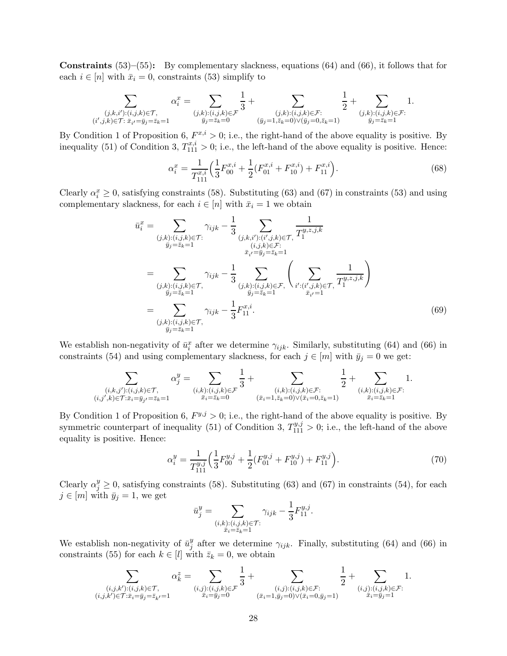**Constraints**  $(53)$ – $(55)$ : By complementary slackness, equations  $(64)$  and  $(66)$ , it follows that for each  $i \in [n]$  with  $\bar{x}_i = 0$ , constraints (53) simplify to

$$
\sum_{\substack{(j,k,i'): (i,j,k) \in \mathcal{T}, \\ (i',j,k) \in \mathcal{T} \colon \bar{x}_{i'} = \bar{y}_j = \bar{z}_k = 1}} \alpha_i^x = \sum_{\substack{(j,k): (i,j,k) \in \mathcal{F} \\ \bar{y}_j = \bar{z}_k = 0}} \frac{1}{3} + \sum_{\substack{(j,k): (i,j,k) \in \mathcal{F} : \\ (\bar{y}_j = 1, \bar{z}_k = 0) \vee (\bar{y}_j = 0, \bar{z}_k = 1)}} \frac{1}{2} + \sum_{\substack{(j,k): (i,j,k) \in \mathcal{F} : \\ \bar{y}_j = \bar{z}_k = 1}} 1.
$$

By Condition 1 of Proposition 6,  $F^{x,i} > 0$ ; i.e., the right-hand of the above equality is positive. By inequality (51) of Condition 3,  $T_{111}^{x,i} > 0$ ; i.e., the left-hand of the above equality is positive. Hence:

$$
\alpha_i^x = \frac{1}{T_{111}^{x,i}} \left( \frac{1}{3} F_{00}^{x,i} + \frac{1}{2} (F_{01}^{x,i} + F_{10}^{x,i}) + F_{11}^{x,i} \right). \tag{68}
$$

Clearly  $\alpha_i^x \geq 0$ , satisfying constraints (58). Substituting (63) and (67) in constraints (53) and using complementary slackness, for each  $i \in [n]$  with  $\bar{x}_i = 1$  we obtain

$$
\bar{u}_{i}^{x} = \sum_{\substack{(j,k):(i,j,k)\in\mathcal{T}:\\j_{j}=\bar{z}_{k}=1}} \gamma_{ijk} - \frac{1}{3} \sum_{\substack{(j,k,i'):(i',j,k)\in\mathcal{T}:\\(i,j,k)\in\mathcal{F}:\\j_{i}=\bar{z}_{k}=1}} \frac{1}{T_{1}^{y,z,j,k}}
$$
\n
$$
= \sum_{\substack{(j,k):(i,j,k)\in\mathcal{T}:\\j_{j}=\bar{z}_{k}=1}} \gamma_{ijk} - \frac{1}{3} \sum_{\substack{(j,k):(i,j,k)\in\mathcal{F}:\\j_{j}=\bar{z}_{k}=1}} \left(\sum_{\substack{i'::(i',j,k)\in\mathcal{T}:\\(i',j,k)\in\mathcal{T}:\\j_{i}=1}} \frac{1}{T_{1}^{y,z,j,k}}\right)
$$
\n
$$
= \sum_{\substack{(j,k):(i,j,k)\in\mathcal{T}:\\j_{j}=\bar{z}_{k}=1}} \gamma_{ijk} - \frac{1}{3} F_{11}^{x,i}.
$$
\n(69)

We establish non-negativity of  $\bar{u}_i^x$  after we determine  $\gamma_{ijk}$ . Similarly, substituting (64) and (66) in constraints (54) and using complementary slackness, for each  $j \in [m]$  with  $\bar{y}_j = 0$  we get:

$$
\sum_{\substack{(i,k,j'): (i,j,k)\in\mathcal{T},\\(i,j',k)\in\mathcal{T}:\bar{x}_i=\bar{y}_{j'}=\bar{z}_k=1}}\alpha_j^y=\sum_{\substack{(i,k): (i,j,k)\in\mathcal{F}\\(\bar{x}_i=\bar{z}_k=0}}\frac{1}{3}+\sum_{\substack{(i,k): (i,j,k)\in\mathcal{F}:\ (i,k): (i,j,k)\in\mathcal{F}:\\(\bar{x}_i=1,\bar{z}_k=0)\vee(\bar{x}_i=0,\bar{z}_k=1)}}\frac{1}{2}+\sum_{\substack{(i,k): (i,j,k)\in\mathcal{F}:\\(\bar{x}_i=\bar{z}_k=1)}}1.
$$

By Condition 1 of Proposition 6,  $F^{y,j} > 0$ ; i.e., the right-hand of the above equality is positive. By symmetric counterpart of inequality (51) of Condition 3,  $T_{111}^{y,j} > 0$ ; i.e., the left-hand of the above equality is positive. Hence:

$$
\alpha_i^y = \frac{1}{T_{111}^{y,j}} \left( \frac{1}{3} F_{00}^{y,j} + \frac{1}{2} (F_{01}^{y,j} + F_{10}^{y,j}) + F_{11}^{y,j} \right). \tag{70}
$$

Clearly  $\alpha_j^y \ge 0$ , satisfying constraints (58). Substituting (63) and (67) in constraints (54), for each  $j \in [m]$  with  $\bar{y}_j = 1$ , we get

$$
\bar{u}_j^y = \sum_{\substack{(i,k) : (i,j,k) \in \mathcal{T}: \\ \bar{x}_i = \bar{z}_k = 1}} \gamma_{ijk} - \frac{1}{3} F_{11}^{y,j}.
$$

We establish non-negativity of  $\bar{u}_i^y$  $_j^y$  after we determine  $\gamma_{ijk}$ . Finally, substituting (64) and (66) in constraints (55) for each  $k \in [l]$  with  $\bar{z}_k = 0$ , we obtain

$$
\sum_{\substack{(i,j,k'):(i,j,k)\in\mathcal{T},\\(i,j,k')\in\mathcal{T}:\bar{x}_i=\bar{y}_j=\bar{z}_{k'}=1}} \alpha_{k}^z = \sum_{\substack{(i,j):(i,j,k)\in\mathcal{F}\\(\bar{x}_i=\bar{y}_j=0)}} \frac{1}{3} + \sum_{\substack{(i,j):(i,j,k)\in\mathcal{F}:\ (i,j),(i,j,k)\in\mathcal{F}:\ (i,j):(i,j,k)\in\mathcal{F}:\ (\bar{x}_i=\bar{y}_j=1)}} \frac{1}{2} + \sum_{\substack{(i,j):(i,j,k)\in\mathcal{F}:\ (i,j,k)\in\mathcal{F}:\ (\bar{x}_i=\bar{y}_j=1)}} 1.
$$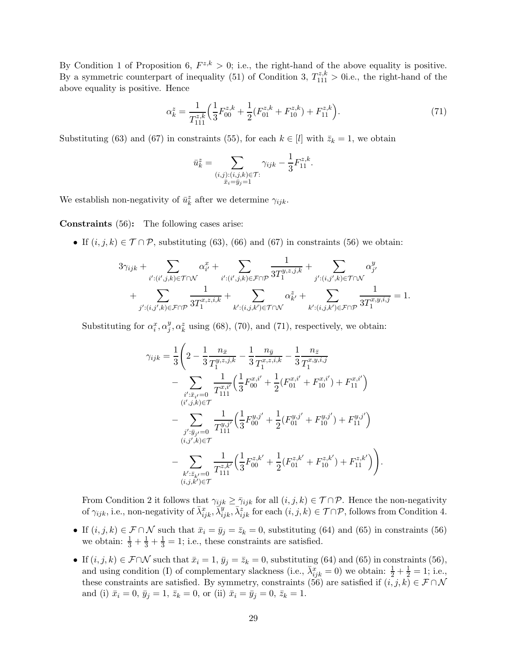By Condition 1 of Proposition 6,  $F^{z,k} > 0$ ; i.e., the right-hand of the above equality is positive. By a symmetric counterpart of inequality (51) of Condition 3,  $T_{111}^{z,k} > 0$  i.e., the right-hand of the above equality is positive. Hence

$$
\alpha_k^z = \frac{1}{T_{111}^{z,k}} \left( \frac{1}{3} F_{00}^{z,k} + \frac{1}{2} (F_{01}^{z,k} + F_{10}^{z,k}) + F_{11}^{z,k} \right).
$$
\n(71)

Substituting (63) and (67) in constraints (55), for each  $k \in [l]$  with  $\bar{z}_k = 1$ , we obtain

$$
\bar{u}_k^z = \sum_{\substack{(i,j) : (i,j,k) \in \mathcal{T}: \\ \bar{x}_i = \bar{y}_j = 1}} \gamma_{ijk} - \frac{1}{3} F_{11}^{z,k}.
$$

We establish non-negativity of  $\bar{u}_k^z$  after we determine  $\gamma_{ijk}$ .

Constraints (56): The following cases arise:

• If  $(i, j, k) \in \mathcal{T} \cap \mathcal{P}$ , substituting (63), (66) and (67) in constraints (56) we obtain:

$$
\begin{aligned} 3\gamma_{ijk} &+ \sum_{i':(i',j,k)\in\mathcal{T}\cap\mathcal{N}}\alpha_{i'}^x + \sum_{i':(i',j,k)\in\mathcal{F}\cap\mathcal{P}}\frac{1}{3T_1^{y,z,j,k}} + \sum_{j':(i,j',k)\in\mathcal{T}\cap\mathcal{N}}\alpha_{j'}^y \\ &+ \sum_{j':(i,j',k)\in\mathcal{F}\cap\mathcal{P}}\frac{1}{3T_1^{x,z,i,k}} + \sum_{k':(i,j,k')\in\mathcal{T}\cap\mathcal{N}}\alpha_{k'}^z + \sum_{k':(i,j,k')\in\mathcal{F}\cap\mathcal{P}}\frac{1}{3T_1^{x,y,i,j}} = 1. \end{aligned}
$$

Substituting for  $\alpha_i^x, \alpha_j^y$  $_j^y, \alpha_k^z$  using (68), (70), and (71), respectively, we obtain:

$$
\gamma_{ijk} = \frac{1}{3} \left( 2 - \frac{1}{3} \frac{n_{\bar{x}}}{T_1^{y,z,j,k}} - \frac{1}{3} \frac{n_{\bar{y}}}{T_1^{x,z,i,k}} - \frac{1}{3} \frac{n_{\bar{z}}}{T_1^{x,y,i,j}} \n- \sum_{\substack{i':\bar{x}_{i'}=0 \\ (i',j,k)\in\mathcal{T}}} \frac{1}{T_{111}^{x,i'}} \left( \frac{1}{3} F_{00}^{x,i'} + \frac{1}{2} (F_{01}^{x,i'} + F_{10}^{x,i'}) + F_{11}^{x,i'} \right) \n- \sum_{\substack{j':\bar{y}_{j'}=0 \\ (i,j',k)\in\mathcal{T}}} \frac{1}{T_{111}^{y,j'}} \left( \frac{1}{3} F_{00}^{y,j'} + \frac{1}{2} (F_{01}^{y,j'} + F_{10}^{y,j'}) + F_{11}^{y,j'} \right) \n- \sum_{\substack{(i,j',k)\in\mathcal{T}}} \frac{1}{T_{111}^{z,k'}} \left( \frac{1}{3} F_{00}^{z,k'} + \frac{1}{2} (F_{01}^{z,k'} + F_{10}^{z,k'}) + F_{11}^{z,k'} \right) \right).
$$

From Condition 2 it follows that  $\gamma_{ijk} \geq \overline{\gamma}_{ijk}$  for all  $(i, j, k) \in \mathcal{T} \cap \mathcal{P}$ . Hence the non-negativity of  $\gamma_{ijk}$ , i.e., non-negativity of  $\bar{\lambda}_{ijk}^x$ ,  $\bar{\lambda}_{ijk}^y$ ,  $\bar{\lambda}_{ijk}^z$  for each  $(i, j, k) \in \mathcal{T} \cap \mathcal{P}$ , follows from Condition 4.

- If  $(i, j, k) \in \mathcal{F} \cap \mathcal{N}$  such that  $\bar{x}_i = \bar{y}_j = \bar{z}_k = 0$ , substituting (64) and (65) in constraints (56) we obtain:  $\frac{1}{3} + \frac{1}{3} + \frac{1}{3} = 1$ ; i.e., these constraints are satisfied.
- If  $(i, j, k) \in \mathcal{F} \cap \mathcal{N}$  such that  $\bar{x}_i = 1, \bar{y}_j = \bar{z}_k = 0$ , substituting (64) and (65) in constraints (56), and using condition (I) of complementary slackness (i.e.,  $\bar{\lambda}_{ijk}^x = 0$ ) we obtain:  $\frac{1}{2} + \frac{1}{2} = 1$ ; i.e., these constraints are satisfied. By symmetry, constraints (56) are satisfied if  $(i, j, k) \in \mathcal{F} \cap \mathcal{N}$ and (i)  $\bar{x}_i = 0$ ,  $\bar{y}_j = 1$ ,  $\bar{z}_k = 0$ , or (ii)  $\bar{x}_i = \bar{y}_j = 0$ ,  $\bar{z}_k = 1$ .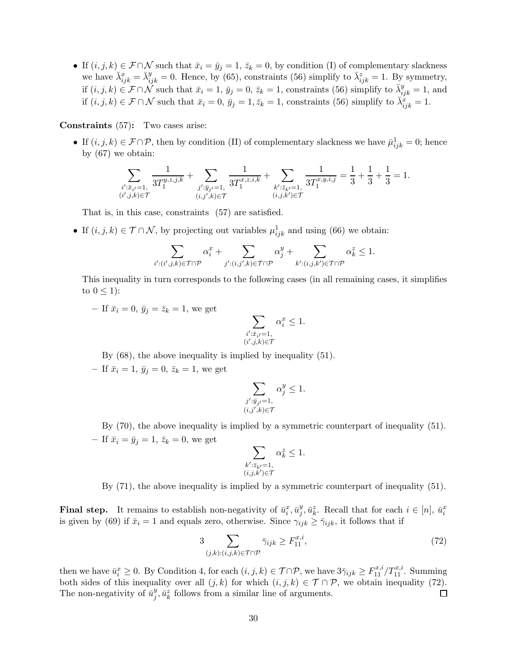• If  $(i, j, k) \in \mathcal{F} \cap \mathcal{N}$  such that  $\bar{x}_i = \bar{y}_j = 1, \bar{z}_k = 0$ , by condition (I) of complementary slackness we have  $\bar{\lambda}_{ijk}^x = \bar{\lambda}_{ijk}^y = 0$ . Hence, by (65), constraints (56) simplify to  $\bar{\lambda}_{ijk}^z = 1$ . By symmetry, if  $(i, j, k) \in \mathcal{F} \cap \tilde{\mathcal{N}}$  such that  $\bar{x}_i = 1, \bar{y}_j = 0, \bar{z}_k = 1$ , constraints (56) simplify to  $\bar{\lambda}_{ijk}^y = 1$ , and if  $(i, j, k) \in \mathcal{F} \cap \mathcal{N}$  such that  $\bar{x}_i = 0$ ,  $\bar{y}_j = 1, \bar{z}_k = 1$ , constraints (56) simplify to  $\bar{\lambda}_{ijk}^{\bar{x}} = 1$ .

## Constraints (57): Two cases arise:

• If  $(i, j, k) \in \mathcal{F} \cap \mathcal{P}$ , then by condition (II) of complementary slackness we have  $\bar{\mu}_{ijk}^1 = 0$ ; hence by (67) we obtain:

$$
\sum_{\substack{i':\bar{x}_{i'}=1,\\(i',j,k)\in\mathcal{T}}} \frac{1}{3T_1^{y,z,j,k}}+\sum_{\substack{j':\bar{y}_{j'}=1,\\(i,j',k)\in\mathcal{T}}} \frac{1}{3T_1^{x,z,i,k}}+\sum_{\substack{k':\bar{z}_{k'}=1,\\(i,j,k')\in\mathcal{T}}} \frac{1}{3T_1^{x,y,i,j}}=\frac{1}{3}+\frac{1}{3}+\frac{1}{3}=1.
$$

That is, in this case, constraints (57) are satisfied.

• If  $(i, j, k) \in \mathcal{T} \cap \mathcal{N}$ , by projecting out variables  $\mu_{ijk}^1$  and using (66) we obtain:

$$
\sum_{i':(i',j,k)\in \mathcal{T}\cap \mathcal{P}}\alpha_i^x+\sum_{j':(i,j',k)\in \mathcal{T}\cap \mathcal{P}}\alpha_j^y+\sum_{k':(i,j,k')\in \mathcal{T}\cap \mathcal{P}}\alpha_k^z\leq 1.
$$

This inequality in turn corresponds to the following cases (in all remaining cases, it simplifies to  $0 \leq 1$ :

– If  $\bar{x}_i = 0$ ,  $\bar{y}_j = \bar{z}_k = 1$ , we get

$$
\sum_{\substack{i': \bar{x}_{i'}=1,\\(i',j,k)\in\mathcal{T}}} \alpha_i^x \leq 1.
$$

By (68), the above inequality is implied by inequality (51).

– If  $\bar{x}_i = 1, \bar{y}_j = 0, \bar{z}_k = 1$ , we get

$$
\sum_{\substack{j':\bar{y}_{j'}=1,\\(i,j',k)\in\mathcal{T}}} \alpha_j^y\leq 1.
$$

By (70), the above inequality is implied by a symmetric counterpart of inequality (51). – If  $\bar{x}_i = \bar{y}_j = 1, \bar{z}_k = 0$ , we get

$$
\sum_{\substack{k':\bar{z}_{k'}=1,\\(i,j,k')\in\mathcal{T}}} \alpha^z_k\leq 1.
$$

By (71), the above inequality is implied by a symmetric counterpart of inequality (51).

**Final step.** It remains to establish non-negativity of  $\bar{u}_i^x, \bar{u}_j^y$  $_{j}^{y},\bar{u}_{k}^{z}$ . Recall that for each  $i \in [n], \bar{u}_{i}^{x}$ is given by (69) if  $\bar{x}_i = 1$  and equals zero, otherwise. Since  $\gamma_{ijk} \ge \bar{\gamma}_{ijk}$ , it follows that if

$$
3\sum_{(j,k):(i,j,k)\in\mathcal{T}\cap\mathcal{P}}\bar{\gamma}_{ijk}\geq F_{11}^{x,i},\tag{72}
$$

then we have  $\bar{u}_i^x \ge 0$ . By Condition 4, for each  $(i, j, k) \in \mathcal{T} \cap \mathcal{P}$ , we have  $3\bar{\gamma}_{ijk} \ge F_{11}^{x,i}/T_{11}^{x,i}$ . Summing both sides of this inequality over all  $(j, k)$  for which  $(i, j, k) \in \mathcal{T} \cap \mathcal{P}$ , we obtain inequality (72).<br>The non-negativity of  $\bar{u}_i^y$ ,  $\bar{u}_i^z$  follows from a similar line of arguments. The non-negativity of  $\bar{u}_i^y$  $j^y$ ,  $\bar{u}_k^z$  follows from a similar line of arguments.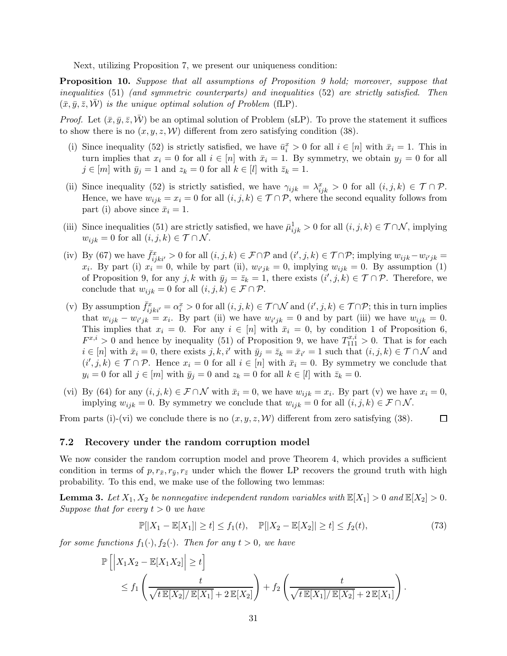Next, utilizing Proposition 7, we present our uniqueness condition:

Proposition 10. Suppose that all assumptions of Proposition 9 hold; moreover, suppose that inequalities (51) (and symmetric counterparts) and inequalities (52) are strictly satisfied. Then  $(\bar{x}, \bar{y}, \bar{z}, \bar{W})$  is the unique optimal solution of Problem (fLP).

*Proof.* Let  $(\bar{x}, \bar{y}, \bar{z}, \bar{W})$  be an optimal solution of Problem (sLP). To prove the statement it suffices to show there is no  $(x, y, z, W)$  different from zero satisfying condition (38).

- (i) Since inequality (52) is strictly satisfied, we have  $\bar{u}_i^x > 0$  for all  $i \in [n]$  with  $\bar{x}_i = 1$ . This in turn implies that  $x_i = 0$  for all  $i \in [n]$  with  $\bar{x}_i = 1$ . By symmetry, we obtain  $y_j = 0$  for all  $j \in [m]$  with  $\bar{y}_j = 1$  and  $z_k = 0$  for all  $k \in [l]$  with  $\bar{z}_k = 1$ .
- (ii) Since inequality (52) is strictly satisfied, we have  $\gamma_{ijk} = \lambda_{ijk}^x > 0$  for all  $(i, j, k) \in \mathcal{T} \cap \mathcal{P}$ . Hence, we have  $w_{ijk} = x_i = 0$  for all  $(i, j, k) \in \mathcal{T} \cap \mathcal{P}$ , where the second equality follows from part (i) above since  $\bar{x}_i = 1$ .
- (iii) Since inequalities (51) are strictly satisfied, we have  $\bar{\mu}_{ijk}^1 > 0$  for all  $(i, j, k) \in \mathcal{T} \cap \mathcal{N}$ , implying  $w_{ijk} = 0$  for all  $(i, j, k) \in \mathcal{T} \cap \mathcal{N}$ .
- (iv) By (67) we have  $\bar{f}_{ijkl}^x > 0$  for all  $(i, j, k) \in \mathcal{F} \cap \mathcal{P}$  and  $(i', j, k) \in \mathcal{T} \cap \mathcal{P}$ ; implying  $w_{ijk} w_{i'jk} =$  $x_i$ . By part (i)  $x_i = 0$ , while by part (ii),  $w_{i'jk} = 0$ , implying  $w_{ijk} = 0$ . By assumption (1) of Proposition 9, for any  $j, k$  with  $\bar{y}_j = \bar{z}_k = 1$ , there exists  $(i', j, k) \in \mathcal{T} \cap \mathcal{P}$ . Therefore, we conclude that  $w_{ijk} = 0$  for all  $(i, j, k) \in \mathcal{F} \cap \mathcal{P}$ .
- (v) By assumption  $\bar{f}_{ijkl}^x = \alpha_i^x > 0$  for all  $(i, j, k) \in \mathcal{T} \cap \mathcal{N}$  and  $(i', j, k) \in \mathcal{T} \cap \mathcal{P}$ ; this in turn implies that  $w_{ijk} - w_{i'jk} = x_i$ . By part (ii) we have  $w_{i'jk} = 0$  and by part (iii) we have  $w_{ijk} = 0$ . This implies that  $x_i = 0$ . For any  $i \in [n]$  with  $\bar{x}_i = 0$ , by condition 1 of Proposition 6,  $F^{x,i} > 0$  and hence by inequality (51) of Proposition 9, we have  $T^{x,i}_{111} > 0$ . That is for each  $i \in [n]$  with  $\bar{x}_i = 0$ , there exists  $j, k, i'$  with  $\bar{y}_j = \bar{z}_k = \bar{x}_{i'} = 1$  such that  $(i, j, k) \in \mathcal{T} \cap \mathcal{N}$  and  $(i', j, k) \in \mathcal{T} \cap \mathcal{P}$ . Hence  $x_i = 0$  for all  $i \in [n]$  with  $\bar{x}_i = 0$ . By symmetry we conclude that  $y_i = 0$  for all  $j \in [m]$  with  $\bar{y}_j = 0$  and  $z_k = 0$  for all  $k \in [l]$  with  $\bar{z}_k = 0$ .
- (vi) By (64) for any  $(i, j, k) \in \mathcal{F} \cap \mathcal{N}$  with  $\bar{x}_i = 0$ , we have  $w_{ijk} = x_i$ . By part (v) we have  $x_i = 0$ , implying  $w_{ijk} = 0$ . By symmetry we conclude that  $w_{ijk} = 0$  for all  $(i, j, k) \in \mathcal{F} \cap \mathcal{N}$ .

From parts (i)-(vi) we conclude there is no  $(x, y, z, W)$  different from zero satisfying (38).  $\Box$ 

## 7.2 Recovery under the random corruption model

We now consider the random corruption model and prove Theorem 4, which provides a sufficient condition in terms of  $p, r_{\bar{x}}, r_{\bar{y}}, r_{\bar{z}}$  under which the flower LP recovers the ground truth with high probability. To this end, we make use of the following two lemmas:

**Lemma 3.** Let  $X_1, X_2$  be nonnegative independent random variables with  $\mathbb{E}[X_1] > 0$  and  $\mathbb{E}[X_2] > 0$ . Suppose that for every  $t > 0$  we have

$$
\mathbb{P}[|X_1 - \mathbb{E}[X_1]| \ge t] \le f_1(t), \quad \mathbb{P}[|X_2 - \mathbb{E}[X_2]| \ge t] \le f_2(t),\tag{73}
$$

for some functions  $f_1(\cdot), f_2(\cdot)$ . Then for any  $t > 0$ , we have

$$
\mathbb{P}\left[\left|X_1X_2 - \mathbb{E}[X_1X_2]\right| \ge t\right]
$$
  
\n
$$
\le f_1\left(\frac{t}{\sqrt{t\mathbb{E}[X_2]/\mathbb{E}[X_1]} + 2\mathbb{E}[X_2]}\right) + f_2\left(\frac{t}{\sqrt{t\mathbb{E}[X_1]/\mathbb{E}[X_2]} + 2\mathbb{E}[X_1]}\right).
$$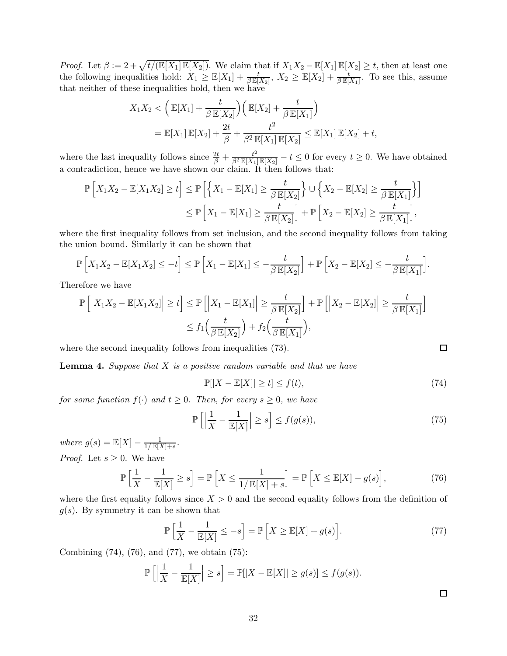*Proof.* Let  $\beta := 2 + \sqrt{t/(\mathbb{E}[X_1]\mathbb{E}[X_2])}$ . We claim that if  $X_1X_2 - \mathbb{E}[X_1]\mathbb{E}[X_2] \ge t$ , then at least one the following inequalities hold:  $X_1 \geq \mathbb{E}[X_1] + \frac{t}{\beta \mathbb{E}[X_2]}, X_2 \geq \mathbb{E}[X_2] + \frac{t}{\beta \mathbb{E}[X_1]}$ . To see this, assume that neither of these inequalities hold, then we have

$$
X_1 X_2 < \left(\mathbb{E}[X_1] + \frac{t}{\beta \mathbb{E}[X_2]}\right) \left(\mathbb{E}[X_2] + \frac{t}{\beta \mathbb{E}[X_1]}\right)
$$
  
=  $\mathbb{E}[X_1] \mathbb{E}[X_2] + \frac{2t}{\beta} + \frac{t^2}{\beta^2 \mathbb{E}[X_1] \mathbb{E}[X_2]} \le \mathbb{E}[X_1] \mathbb{E}[X_2] + t,$ 

where the last inequality follows since  $\frac{2t}{\beta} + \frac{t^2}{\beta^2 \mathbb{E}[X_1] \mathbb{E}[X_2]} - t \leq 0$  for every  $t \geq 0$ . We have obtained a contradiction, hence we have shown our claim. It then follows that:

$$
\mathbb{P}\left[X_1X_2 - \mathbb{E}[X_1X_2] \ge t\right] \le \mathbb{P}\left[\left\{X_1 - \mathbb{E}[X_1] \ge \frac{t}{\beta \mathbb{E}[X_2]}\right\} \cup \left\{X_2 - \mathbb{E}[X_2] \ge \frac{t}{\beta \mathbb{E}[X_1]}\right\}\right]
$$
  

$$
\le \mathbb{P}\left[X_1 - \mathbb{E}[X_1] \ge \frac{t}{\beta \mathbb{E}[X_2]}\right] + \mathbb{P}\left[X_2 - \mathbb{E}[X_2] \ge \frac{t}{\beta \mathbb{E}[X_1]}\right],
$$

where the first inequality follows from set inclusion, and the second inequality follows from taking the union bound. Similarly it can be shown that

$$
\mathbb{P}\left[X_1X_2 - \mathbb{E}[X_1X_2] \leq -t\right] \leq \mathbb{P}\left[X_1 - \mathbb{E}[X_1] \leq -\frac{t}{\beta \mathbb{E}[X_2]}\right] + \mathbb{P}\left[X_2 - \mathbb{E}[X_2] \leq -\frac{t}{\beta \mathbb{E}[X_1]}\right].
$$

Therefore we have

$$
\mathbb{P}\left[\left|X_1X_2 - \mathbb{E}[X_1X_2]\right| \ge t\right] \le \mathbb{P}\left[\left|X_1 - \mathbb{E}[X_1]\right| \ge \frac{t}{\beta \mathbb{E}[X_2]}\right] + \mathbb{P}\left[\left|X_2 - \mathbb{E}[X_2]\right| \ge \frac{t}{\beta \mathbb{E}[X_1]}\right]
$$

$$
\le f_1\left(\frac{t}{\beta \mathbb{E}[X_2]}\right) + f_2\left(\frac{t}{\beta \mathbb{E}[X_1]}\right),
$$

where the second inequality follows from inequalities  $(73)$ .

**Lemma 4.** Suppose that  $X$  is a positive random variable and that we have

$$
\mathbb{P}[|X - \mathbb{E}[X]| \ge t] \le f(t),\tag{74}
$$

for some function  $f(\cdot)$  and  $t \geq 0$ . Then, for every  $s \geq 0$ , we have

$$
\mathbb{P}\left[\left|\frac{1}{X} - \frac{1}{\mathbb{E}[X]}\right| \ge s\right] \le f(g(s)),\tag{75}
$$

where  $g(s) = \mathbb{E}[X] - \frac{1}{1/\mathbb{E}[X]}$  $\frac{1}{1/\mathbb{E}[X]+s}$ . *Proof.* Let  $s \geq 0$ . We have

$$
\mathbb{P}\left[\frac{1}{X} - \frac{1}{\mathbb{E}[X]} \ge s\right] = \mathbb{P}\left[X \le \frac{1}{1/\mathbb{E}[X] + s}\right] = \mathbb{P}\left[X \le \mathbb{E}[X] - g(s)\right],\tag{76}
$$

where the first equality follows since  $X > 0$  and the second equality follows from the definition of  $g(s)$ . By symmetry it can be shown that

$$
\mathbb{P}\left[\frac{1}{X} - \frac{1}{\mathbb{E}[X]} \le -s\right] = \mathbb{P}\left[X \ge \mathbb{E}[X] + g(s)\right].\tag{77}
$$

Combining (74), (76), and (77), we obtain (75):

$$
\mathbb{P}\left[\left|\frac{1}{X}-\frac{1}{\mathbb{E}[X]}\right|\geq s\right]=\mathbb{P}[|X-\mathbb{E}[X]|\geq g(s)]\leq f(g(s)).
$$

 $\Box$ 

 $\Box$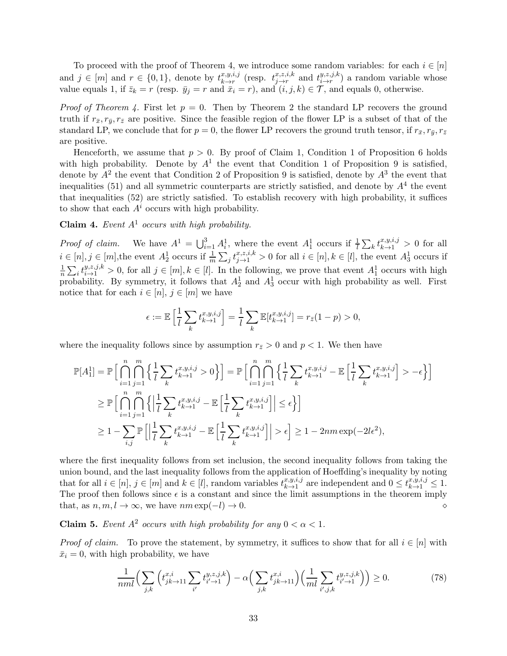To proceed with the proof of Theorem 4, we introduce some random variables: for each  $i \in [n]$ and  $j \in [m]$  and  $r \in \{0, 1\}$ , denote by  $t_{k \to r}^{x, y, i, j}$  $\lim_{k \to r}^{x,y,i,j}$  (resp.  $t^{x,z,i,k}_{j \to r}$  $\sum_{j\rightarrow r}^{x,z,i,k}$  and  $\sum_{i\rightarrow r}^{y,z,j,k}$  $\left(\begin{array}{c}\n\overline{y},\overline{z},\overline{y},\kappa \\
\hline\n-\overline{r}\n\end{array}\right)$  a random variable whose value equals 1, if  $\bar{z}_k = r$  (resp.  $\bar{y}_j = r$  and  $\bar{x}_i = r$ ), and  $(i, j, k) \in \mathcal{T}$ , and equals 0, otherwise.

*Proof of Theorem 4.* First let  $p = 0$ . Then by Theorem 2 the standard LP recovers the ground truth if  $r_{\bar{x}}, r_{\bar{y}}, r_{\bar{z}}$  are positive. Since the feasible region of the flower LP is a subset of that of the standard LP, we conclude that for  $p = 0$ , the flower LP recovers the ground truth tensor, if  $r_{\bar{x}}, r_{\bar{y}}, r_{\bar{z}}$ are positive.

Henceforth, we assume that  $p > 0$ . By proof of Claim 1, Condition 1 of Proposition 6 holds with high probability. Denote by  $A<sup>1</sup>$  the event that Condition 1 of Proposition 9 is satisfied, denote by  $A^2$  the event that Condition 2 of Proposition 9 is satisfied, denote by  $A^3$  the event that inequalities (51) and all symmetric counterparts are strictly satisfied, and denote by  $A<sup>4</sup>$  the event that inequalities (52) are strictly satisfied. To establish recovery with high probability, it suffices to show that each  $A^i$  occurs with high probability.

Claim 4. Event  $A<sup>1</sup>$  occurs with high probability.

*Proof of claim.* We have  $A^1 = \bigcup_{i=1}^3 A_i^1$ , where the event  $A_1^1$  occurs if  $\frac{1}{l} \sum_k t_{k\to 1}^{x,y,i,j} > 0$  for all  $i \in [n], j \in [m],$ the event  $A_2^1$  occurs if  $\frac{1}{m} \sum_j t_{j \to 1}^{x, z, i, k} > 0$  for all  $i \in [n], k \in [l],$  the event  $A_3^1$  occurs if 1  $\frac{1}{n}\sum_i t_{i\to 1}^{y,z,j,k} > 0$ , for all  $j \in [m], k \in [l]$ . In the following, we prove that event  $A_1^1$  occurs with high probability. By symmetry, it follows that  $A_2^1$  and  $A_3^1$  occur with high probability as well. First notice that for each  $i \in [n], j \in [m]$  we have

$$
\epsilon:=\mathbb{E}\left[\frac{1}{l}\sum_{k}t_{k\to 1}^{x,y,i,j}\right]=\frac{1}{l}\sum_{k}\mathbb{E}[t_{k\to 1}^{x,y,i,j}]=r_{\bar{z}}(1-p)>0,
$$

where the inequality follows since by assumption  $r_{\bar{z}} > 0$  and  $p < 1$ . We then have

$$
\mathbb{P}[A_1^1] = \mathbb{P}\Big[\bigcap_{i=1}^n \bigcap_{j=1}^m \left\{ \frac{1}{l} \sum_k t_{k \to 1}^{x, y, i, j} > 0 \right\} \Big] = \mathbb{P}\Big[\bigcap_{i=1}^n \bigcap_{j=1}^m \left\{ \frac{1}{l} \sum_k t_{k \to 1}^{x, y, i, j} - \mathbb{E}\left[ \frac{1}{l} \sum_k t_{k \to 1}^{x, y, i, j} \right] > -\epsilon \right\} \Big]
$$
  
\n
$$
\geq \mathbb{P}\Big[\bigcap_{i=1}^n \bigcap_{j=1}^m \left\{ \left| \frac{1}{l} \sum_k t_{k \to 1}^{x, y, i, j} - \mathbb{E}\left[ \frac{1}{l} \sum_k t_{k \to 1}^{x, y, i, j} \right] \right| \leq \epsilon \Big\} \Big]
$$
  
\n
$$
\geq 1 - \sum_{i, j} \mathbb{P}\Big[\Big| \frac{1}{l} \sum_k t_{k \to 1}^{x, y, i, j} - \mathbb{E}\Big[ \frac{1}{l} \sum_k t_{k \to 1}^{x, y, i, j} \Big] \Big| > \epsilon \Big] \geq 1 - 2nm \exp(-2l\epsilon^2),
$$

where the first inequality follows from set inclusion, the second inequality follows from taking the union bound, and the last inequality follows from the application of Hoeffding's inequality by noting that for all  $i \in [n], j \in [m]$  and  $k \in [l]$ , random variables  $t^{x,y,i,j}_{k \to 1}$  $x,y,i,j$  are independent and  $0 \leq t^{x,y,i,j}_{k \to 1} \leq 1$ . The proof then follows since  $\epsilon$  is a constant and since the limit assumptions in the theorem imply that, as n, m, l → ∞, we have nm exp(−l) → 0. ⋄

**Claim 5.** Event  $A^2$  occurs with high probability for any  $0 < \alpha < 1$ .

*Proof of claim.* To prove the statement, by symmetry, it suffices to show that for all  $i \in [n]$  with  $\bar{x}_i = 0$ , with high probability, we have

$$
\frac{1}{nml} \Big( \sum_{j,k} \left( t_{jk \to 11}^{x,i} \sum_{i'} t_{i' \to 1}^{y,z,j,k} \right) - \alpha \Big( \sum_{j,k} t_{jk \to 11}^{x,i} \Big) \Big( \frac{1}{ml} \sum_{i',j,k} t_{i' \to 1}^{y,z,j,k} \Big) \Big) \ge 0. \tag{78}
$$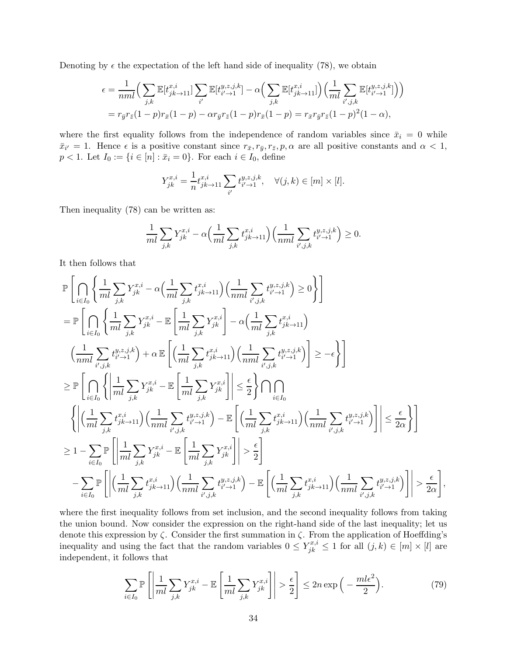Denoting by  $\epsilon$  the expectation of the left hand side of inequality (78), we obtain

$$
\epsilon = \frac{1}{nml} \Big( \sum_{j,k} \mathbb{E}[t_{jk \to 11}^{x,i}] \sum_{i'} \mathbb{E}[t_{i' \to 1}^{y,z,j,k}] - \alpha \Big( \sum_{j,k} \mathbb{E}[t_{jk \to 11}^{x,i}] \Big) \Big( \frac{1}{ml} \sum_{i',j,k} \mathbb{E}[t_{i' \to 1}^{y,z,j,k}] \Big) \Big)
$$
  
=  $r_{\bar{y}} r_{\bar{z}} (1-p) r_{\bar{x}} (1-p) - \alpha r_{\bar{y}} r_{\bar{z}} (1-p) r_{\bar{x}} (1-p) = r_{\bar{x}} r_{\bar{y}} r_{\bar{z}} (1-p)^2 (1-\alpha),$ 

where the first equality follows from the independence of random variables since  $\bar{x}_i = 0$  while  $\bar{x}_{i'} = 1$ . Hence  $\epsilon$  is a positive constant since  $r_{\bar{x}}, r_{\bar{y}}, r_{\bar{z}}, p, \alpha$  are all positive constants and  $\alpha < 1$ ,  $p < 1$ . Let  $I_0 := \{i \in [n] : \bar{x}_i = 0\}$ . For each  $i \in I_0$ , define

$$
Y_{jk}^{x,i} = \frac{1}{n} t_{jk \to 11}^{x,i} \sum_{i'} t_{i' \to 1}^{y,z,j,k}, \quad \forall (j,k) \in [m] \times [l].
$$

Then inequality (78) can be written as:

$$
\frac{1}{ml} \sum_{j,k} Y_{jk}^{x,i} - \alpha \Big( \frac{1}{ml} \sum_{j,k} t_{jk \to 11}^{x,i} \Big) \Big( \frac{1}{nml} \sum_{i',j,k} t_{i',j}^{y,z,j,k} \Big) \ge 0.
$$

It then follows that

$$
\begin{split} &\mathbb{P}\left[\bigcap_{i\in I_{0}}\left\{\frac{1}{ml}\sum_{j,k}Y_{jk}^{x,i}-\alpha\Big(\frac{1}{ml}\sum_{j,k}t_{jk\rightarrow11}^{x,i}\Big)\Big(\frac{1}{nml}\sum_{i',j,k}t_{i',\rightarrow1}^{y,z,j,k}\Big)\geq 0\right\}\right]\\ &=\mathbb{P}\left[\bigcap_{i\in I_{0}}\left\{\frac{1}{ml}\sum_{j,k}Y_{jk}^{x,i}-\mathbb{E}\left[\frac{1}{ml}\sum_{j,k}Y_{jk}^{x,i}\right]-\alpha\Big(\frac{1}{ml}\sum_{j,k}t_{j,k\rightarrow11}^{x,i}\Big)\right.\\ &\left.\left.\left(\frac{1}{nml}\sum_{i',j,k}t_{i',\rightarrow1}^{y,z,j,k}\right)+\alpha\mathbb{E}\left[\Big(\frac{1}{ml}\sum_{j,k}t_{jk\rightarrow11}^{x,i}\Big)\Big(\frac{1}{nml}\sum_{i',j,k}t_{i',\rightarrow1}^{y,z,j,k}\Big)\right]\geq -\epsilon\right\}\right]\\ &\geq \mathbb{P}\left[\bigcap_{i\in I_{0}}\left\{\left|\frac{1}{ml}\sum_{j,k}Y_{jk}^{x,i}-\mathbb{E}\left[\frac{1}{ml}\sum_{j,k}Y_{jk}^{x,i}\right]\right|\leq \frac{\epsilon}{2}\right\}\bigcap_{i\in I_{0}}\\ &\left.\left\{\left|\Big(\frac{1}{ml}\sum_{j,k}t_{jk\rightarrow11}^{x,i}\Big)\Big(\frac{1}{nml}\sum_{i',j,k}t_{i',\rightarrow1}^{y,z,j,k}\Big)-\mathbb{E}\left[\Big(\frac{1}{ml}\sum_{j,k}t_{j,k\rightarrow11}^{x,i}\Big)\Big(\frac{1}{nml}\sum_{i',j,k}t_{i',\rightarrow1}^{y,z,j,k}\Big)\right]\right|\leq \frac{\epsilon}{2\alpha}\right\}\right]\\ &\geq 1-\sum_{i\in I_{0}}\mathbb{P}\left[\left|\frac{1}{ml}\sum_{j,k}Y_{jk}^{x,i}-\mathbb{E}\left[\frac{1}{ml}\sum_{j,k}Y_{jk}^{x,j}\right]\right|>\epsilon\right]\\ &-\sum_{i\in I_{0}}\mathbb{P}\left[\left|\Big(\frac{1}{ml}\sum_{j,k}t_{j,k\rightarrow11}^{x,i}\Big)\Big(\frac{1}{nml}\sum_{i',j,k}t_{i',\rightarrow1}^{y,z,j,k
$$

where the first inequality follows from set inclusion, and the second inequality follows from taking the union bound. Now consider the expression on the right-hand side of the last inequality; let us denote this expression by  $\zeta$ . Consider the first summation in  $\zeta$ . From the application of Hoeffding's inequality and using the fact that the random variables  $0 \leq Y_{jk}^{x,i} \leq 1$  for all  $(j,k) \in [m] \times [l]$  are independent, it follows that

$$
\sum_{i \in I_0} \mathbb{P}\left[\left|\frac{1}{ml}\sum_{j,k} Y_{jk}^{x,i} - \mathbb{E}\left[\frac{1}{ml}\sum_{j,k} Y_{jk}^{x,i}\right]\right| > \frac{\epsilon}{2}\right] \le 2n \exp\left(-\frac{ml\epsilon^2}{2}\right). \tag{79}
$$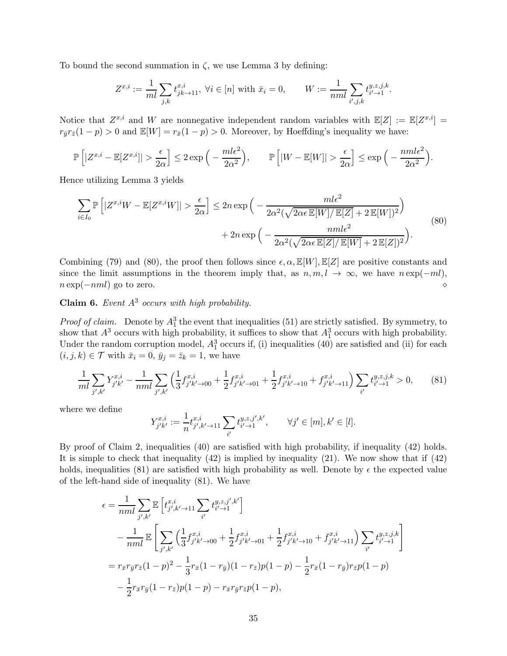To bound the second summation in  $\zeta$ , we use Lemma 3 by defining:

$$
Z^{x,i} := \frac{1}{ml} \sum_{j,k} t_{jk \to 11}^{x,i}, \ \forall i \in [n] \text{ with } \bar{x}_i = 0, \qquad W := \frac{1}{nml} \sum_{i',j,k} t_{i' \to 1}^{y,z,j,k}.
$$

Notice that  $Z^{x,i}$  and W are nonnegative independent random variables with  $\mathbb{E}[Z] := \mathbb{E}[Z^{x,i}] =$  $r_{\bar{y}}r_{\bar{z}}(1-p) > 0$  and  $\mathbb{E}[W] = r_{\bar{x}}(1-p) > 0$ . Moreover, by Hoeffding's inequality we have:

$$
\mathbb{P}\left[|Z^{x,i} - \mathbb{E}[Z^{x,i}]| > \frac{\epsilon}{2\alpha}\right] \le 2\exp\left(-\frac{ml\epsilon^2}{2\alpha^2}\right), \qquad \mathbb{P}\left[|W - \mathbb{E}[W]| > \frac{\epsilon}{2\alpha}\right] \le \exp\left(-\frac{nml\epsilon^2}{2\alpha^2}\right).
$$

Hence utilizing Lemma 3 yields

$$
\sum_{i \in I_0} \mathbb{P}\left[|Z^{x,i}W - \mathbb{E}[Z^{x,i}W]| > \frac{\epsilon}{2\alpha}\right] \le 2n \exp\left(-\frac{m l \epsilon^2}{2\alpha^2 (\sqrt{2\alpha \epsilon \mathbb{E}[W]/\mathbb{E}[Z]} + 2 \mathbb{E}[W])^2}\right) + 2n \exp\left(-\frac{m l \epsilon^2}{2\alpha^2 (\sqrt{2\alpha \epsilon \mathbb{E}[Z]/\mathbb{E}[W]} + 2 \mathbb{E}[Z])^2}\right).
$$
\n(80)

Combining (79) and (80), the proof then follows since  $\epsilon, \alpha, \mathbb{E}[W], \mathbb{E}[Z]$  are positive constants and since the limit assumptions in the theorem imply that, as  $n, m, l \rightarrow \infty$ , we have  $n \exp(-ml)$ ,  $n \exp(-mnl)$  go to zero.  $n \exp(-nml)$  go to zero.

Claim 6. Event  $A^3$  occurs with high probability.

*Proof of claim.* Denote by  $A_1^3$  the event that inequalities (51) are strictly satisfied. By symmetry, to show that  $A^3$  occurs with high probability, it suffices to show that  $A_1^3$  occurs with high probability. Under the random corruption model,  $A_1^3$  occurs if, (i) inequalities (40) are satisfied and (ii) for each  $(i, j, k) \in \mathcal{T}$  with  $\bar{x}_i = 0$ ,  $\bar{y}_j = \bar{z}_k = 1$ , we have

$$
\frac{1}{ml} \sum_{j',k'} Y_{j'k'}^{x,i} - \frac{1}{nml} \sum_{j',k'} \left( \frac{1}{3} f_{j'k'\to 00}^{x,i} + \frac{1}{2} f_{j'k'\to 01}^{x,i} + \frac{1}{2} f_{j'k'\to 10}^{x,i} + f_{j'k'\to 11}^{x,i} \right) \sum_{i'} t_{i'\to 1}^{y,z,j,k} > 0,
$$
(81)

where we define

$$
Y_{j'k'}^{x,i}:=\frac{1}{n}t_{j',k'\rightarrow11}^{x,i}\sum_{i'}t_{i'\rightarrow1}^{y,z,j',k'},\qquad\forall j'\in[m],k'\in[l].
$$

By proof of Claim 2, inequalities (40) are satisfied with high probability, if inequality (42) holds. It is simple to check that inequality (42) is implied by inequality (21). We now show that if (42) holds, inequalities (81) are satisfied with high probability as well. Denote by  $\epsilon$  the expected value of the left-hand side of inequality (81). We have

$$
\epsilon = \frac{1}{nml} \sum_{j',k'} \mathbb{E} \left[ t_{j',k'\to11}^{x,i} \sum_{i'} t_{i'\to1}^{y,z,j',k'} \right]
$$
  
\n
$$
- \frac{1}{nml} \mathbb{E} \left[ \sum_{j',k'} \left( \frac{1}{3} f_{j'k'\to00}^{x,i} + \frac{1}{2} f_{j'k'\to01}^{x,i} + \frac{1}{2} f_{j'k'\to10}^{x,i} + f_{j'k'\to11}^{x,i} \right) \sum_{i'} t_{i'\to1}^{y,z,j,k} \right]
$$
  
\n
$$
= r_{\bar{x}} r_{\bar{y}} r_{\bar{z}} (1-p)^2 - \frac{1}{3} r_{\bar{x}} (1-r_{\bar{y}}) (1-r_{\bar{z}}) p (1-p) - \frac{1}{2} r_{\bar{x}} (1-r_{\bar{y}}) r_{\bar{z}} p (1-p)
$$
  
\n
$$
- \frac{1}{2} r_{\bar{x}} r_{\bar{y}} (1-r_{\bar{z}}) p (1-p) - r_{\bar{x}} r_{\bar{y}} r_{\bar{z}} p (1-p),
$$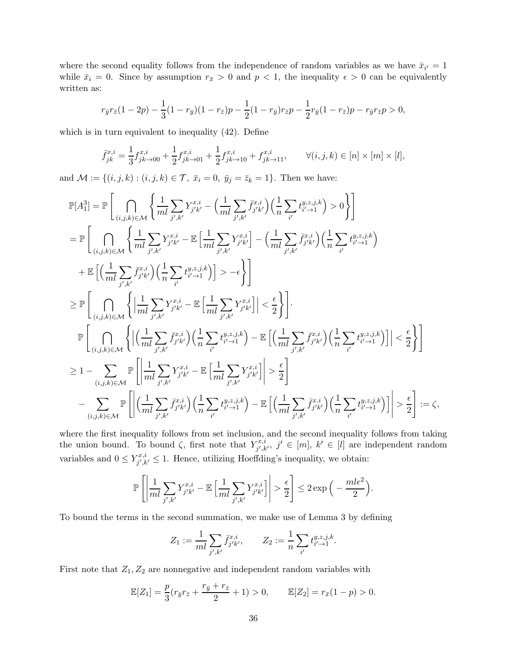where the second equality follows from the independence of random variables as we have  $\bar{x}_{i'} = 1$ while  $\bar{x}_i = 0$ . Since by assumption  $r_{\bar{x}} > 0$  and  $p < 1$ , the inequality  $\epsilon > 0$  can be equivalently written as:

$$
r_{\bar{y}}r_{\bar{z}}(1-2p) - \frac{1}{3}(1-r_{\bar{y}})(1-r_{\bar{z}})p - \frac{1}{2}(1-r_{\bar{y}})r_{\bar{z}}p - \frac{1}{2}r_{\bar{y}}(1-r_{\bar{z}})p - r_{\bar{y}}r_{\bar{z}}p > 0,
$$

which is in turn equivalent to inequality (42). Define

$$
\bar{f}_{jk}^{x,i} = \frac{1}{3} f_{jk \to 00}^{x,i} + \frac{1}{2} f_{jk \to 01}^{x,i} + \frac{1}{2} f_{jk \to 10}^{x,i} + f_{jk \to 11}^{x,i}, \qquad \forall (i, j, k) \in [n] \times [m] \times [l],
$$

and  $\mathcal{M} := \{(i, j, k) : (i, j, k) \in \mathcal{T}, \ \bar{x}_i = 0, \ \bar{y}_j = \bar{z}_k = 1\}.$  Then we have:

$$
\mathbb{P}[A_{1}^{3}] = \mathbb{P}\Bigg[\bigcap_{(i,j,k)\in\mathcal{M}}\Bigg\{\frac{1}{ml}\sum_{j',k'}Y_{j'k'}^{x,i}-\Big(\frac{1}{ml}\sum_{j',k'}\bar{f}_{j'k'}^{x,i}\Big)\Big(\frac{1}{n}\sum_{i'}t_{i'-1}^{y,z,j,k}\Big)>0\Bigg\}\Bigg]
$$
\n
$$
= \mathbb{P}\Bigg[\bigcap_{(i,j,k)\in\mathcal{M}}\Bigg\{\frac{1}{ml}\sum_{j',k'}Y_{j'k'}^{x,i}-\mathbb{E}\Big[\frac{1}{ml}\sum_{j',k'}Y_{j'k'}^{x,i}\Big]-\Big(\frac{1}{ml}\sum_{j',k'}\bar{f}_{j'k'}^{x,i}\Big)\Big(\frac{1}{n}\sum_{i'}t_{i'-1}^{y,z,j,k}\Big)\\+\mathbb{E}\Big[\Big(\frac{1}{ml}\sum_{j',k'}\bar{f}_{j'k'}^{x,i}\Big)\Big(\frac{1}{n}\sum_{i'}t_{i'-1}^{y,z,j,k}\Big)\Big]>-\epsilon\Bigg\}\Bigg]
$$
\n
$$
\geq \mathbb{P}\Bigg[\bigcap_{(i,j,k)\in\mathcal{M}}\Bigg\{\Big|\frac{1}{ml}\sum_{j',k'}Y_{j'k'}^{x,i}-\mathbb{E}\Big[\frac{1}{ml}\sum_{j',k'}Y_{j'k'}^{x,i}\Big]\Big|<\frac{\epsilon}{2}\Bigg\}\Bigg].
$$
\n
$$
\mathbb{P}\Bigg[\bigcap_{(i,j,k)\in\mathcal{M}}\Bigg\{\Big|\Big(\frac{1}{ml}\sum_{j',k'}\bar{f}_{j'k'}^{x,i}\Big)\Big(\frac{1}{n}\sum_{i'}t_{i'-1}^{y,z,j,k}\Big)-\mathbb{E}\Big[\Big(\frac{1}{ml}\sum_{j',k'}\bar{f}_{j'k'}^{x,i}\Big)\Big(\frac{1}{n}\sum_{i'}t_{i'-1}^{y,z,j,k}\Big)\Big|\Big|<\frac{\epsilon}{2}\Bigg\}\Bigg]
$$
\n
$$
\geq 1-\sum_{(i,j,k)\in\mathcal{M}}\mathbb{P}\Bigg[\Bigg|\frac{1}{ml}\sum_{j',k'}Y_{j'k'}^{x,i}-\mathbb{E}\Big[\frac{1}{ml}\sum_{j',k'}Y_{j'k'}^{x,i}\Big)\Big|\geq\frac{\epsilon}{2}\Bigg]
$$
\n<math display="</math>

where the first inequality follows from set inclusion, and the second inequality follows from taking the union bound. To bound  $\zeta$ , first note that  $Y_{i'k}^{x,i}$  $j', k', j' \in [m], k' \in [l]$  are independent random variables and  $0 \le Y^{x,i}_{j',k}$  $j', k' \leq 1$ . Hence, utilizing Hoeffding's inequality, we obtain:

$$
\mathbb{P}\left[\left|\frac{1}{ml}\sum_{j',k'}Y^{x,i}_{j'k'}-\mathbb{E}\left[\frac{1}{ml}\sum_{j',k'}Y^{x,i}_{j'k'}\right]\right|>\frac{\epsilon}{2}\right]\leq 2\exp\Big(-\frac{ml\epsilon^2}{2}\Big).
$$

To bound the terms in the second summation, we make use of Lemma 3 by defining

$$
Z_1 := \frac{1}{ml} \sum_{j',k'} \bar{f}^{x,i}_{j'k'}, \qquad Z_2 := \frac{1}{n} \sum_{i'} t^{y,z,j,k}_{i'-1}.
$$

First note that  $Z_1, Z_2$  are nonnegative and independent random variables with

$$
\mathbb{E}[Z_1] = \frac{p}{3}(r_{\bar{y}}r_{\bar{z}} + \frac{r_{\bar{y}} + r_{\bar{z}}}{2} + 1) > 0, \qquad \mathbb{E}[Z_2] = r_{\bar{x}}(1 - p) > 0.
$$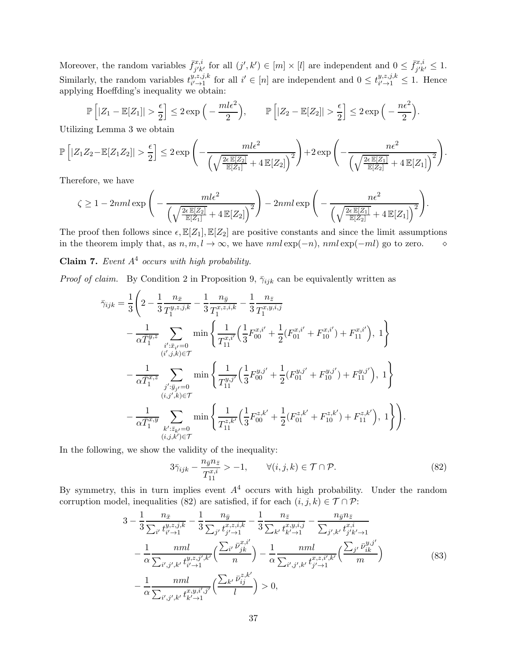Moreover, the random variables  $\bar{f}_{i'k}^{x,i}$  $j'_{j'k'}$  for all  $(j',k') \in [m] \times [l]$  are independent and  $0 \leq \bar{f}_{j'k}^{x,i}$  $j'k' \leq 1.$ Similarly, the random variables  $t_{i' \to 1}^{y,z,j,k}$  $y,z,j,k$  for all  $i' \in [n]$  are independent and  $0 \leq t^{y,z,j,k}_{i' \to 1}$  $_{i'\rightarrow 1}^{y,z,j,\kappa} \leq 1$ . Hence applying Hoeffding's inequality we obtain:

 $\mathbb{P}\left[|Z_1 - \mathbb{E}[Z_1]| > \frac{\epsilon}{2}\right]$ 2  $\Big] \leq 2 \exp \Big($  $m l \epsilon^2$ 2  $\Big), \qquad \mathbb{P}\Big[|Z_2 - \mathbb{E}[Z_2]| > \frac{\epsilon}{2}$ 2  $\Big] \leq 2 \exp \Big($  $n\epsilon^2$ 2 .

Utilizing Lemma 3 we obtain

$$
\mathbb{P}\left[|Z_1Z_2 - \mathbb{E}[Z_1Z_2]| > \frac{\epsilon}{2}\right] \leq 2\exp\left(-\frac{m l\epsilon^2}{\left(\sqrt{\frac{2\epsilon \mathbb{E}[Z_2]}{\mathbb{E}[Z_1]}} + 4\mathbb{E}[Z_2]\right)^2}\right) + 2\exp\left(-\frac{n\epsilon^2}{\left(\sqrt{\frac{2\epsilon \mathbb{E}[Z_1]}{\mathbb{E}[Z_2]}} + 4\mathbb{E}[Z_1]\right)^2}\right).
$$

Therefore, we have

$$
\zeta \ge 1 - 2nml \exp\Bigg(-\frac{ml\epsilon^2}{\left(\sqrt{\frac{2\epsilon \mathbb{E}[Z_2]}{\mathbb{E}[Z_1]}} + 4\mathbb{E}[Z_2]\right)^2}\Bigg) - 2nml \exp\Bigg(-\frac{n\epsilon^2}{\left(\sqrt{\frac{2\epsilon \mathbb{E}[Z_1]}{\mathbb{E}[Z_2]}} + 4\mathbb{E}[Z_1]\right)^2}\Bigg).
$$

The proof then follows since  $\epsilon$ ,  $\mathbb{E}[Z_1], \mathbb{E}[Z_2]$  are positive constants and since the limit assumptions in the theorem imply that, as  $n, m, l \to \infty$ , we have  $nml \exp(-n)$ ,  $nml \exp(-ml)$  go to zero. <br>◇

**Claim 7.** Event  $A<sup>4</sup>$  occurs with high probability.

*Proof of claim.* By Condition 2 in Proposition 9,  $\bar{\gamma}_{ijk}$  can be equivalently written as

$$
\bar{\gamma}_{ijk} = \frac{1}{3} \left( 2 - \frac{1}{3} \frac{n_{\bar{x}}}{T_1^{y,z,j,k}} - \frac{1}{3} \frac{n_{\bar{y}}}{T_1^{x,z,i,k}} - \frac{1}{3} \frac{n_{\bar{z}}}{T_1^{x,y,i,j}} \n- \frac{1}{\alpha \bar{T}_1^{y,z}} \sum_{i':\bar{x}_{i'}=0} \min \left\{ \frac{1}{T_{11}^{x,i'}} \left( \frac{1}{3} F_{00}^{x,i'} + \frac{1}{2} (F_{01}^{x,i'} + F_{10}^{x,i'}) + F_{11}^{x,i'} \right), 1 \right\} \n- \frac{1}{\alpha \bar{T}_1^{x,z}} \sum_{j':\bar{y}_{j'}=0} \min \left\{ \frac{1}{T_{11}^{y,j'}} \left( \frac{1}{3} F_{00}^{y,j'} + \frac{1}{2} (F_{01}^{y,j'} + F_{10}^{y,j'}) + F_{11}^{y,j'} \right), 1 \right\} \n- \frac{1}{\alpha \bar{T}_1^{x,y}} \sum_{\substack{i':\bar{x}_{i'}=0 \\ k':\bar{z}_{k'}=0}} \min \left\{ \frac{1}{T_{11}^{z,k'}} \left( \frac{1}{3} F_{00}^{z,k'} + \frac{1}{2} (F_{01}^{z,k'} + F_{10}^{z,k'}) + F_{11}^{z,k'} \right), 1 \right\} \right).
$$

In the following, we show the validity of the inequality:

$$
3\bar{\gamma}_{ijk} - \frac{n_{\bar{y}}n_{\bar{z}}}{T_{11}^{x,i}} > -1, \qquad \forall (i,j,k) \in \mathcal{T} \cap \mathcal{P}.
$$
\n
$$
(82)
$$

By symmetry, this in turn implies event  $A<sup>4</sup>$  occurs with high probability. Under the random corruption model, inequalities (82) are satisfied, if for each  $(i, j, k) \in \mathcal{T} \cap \mathcal{P}$ :

$$
3 - \frac{1}{3} \frac{n_{\bar{x}}}{\sum_{i'} t_{i'-1}^{y,z,j,k}} - \frac{1}{3} \frac{n_{\bar{y}}}{\sum_{j'} t_{j'-1}^{x,z,i,k}} - \frac{1}{3} \frac{n_{\bar{z}}}{\sum_{k'} t_{k'-1}^{x,y,i,j}} - \frac{n_{\bar{y}} n_{\bar{z}}}{\sum_{j',k'} t_{j'k-1}^{x,i}} - \frac{1}{\alpha} \frac{nml}{\sum_{i',j',k'} t_{i'-1}^{y,z,j',k'}} \left( \frac{\sum_{i'} \bar{\nu}_{jk}^{x,i'}}{n} \right) - \frac{1}{\alpha} \frac{nml}{\sum_{i',j',k'} t_{j'-1}^{x,z,i',k'}} \left( \frac{\sum_{j'} \bar{\nu}_{ik}^{y,j'}}{m} \right) - \frac{1}{\alpha} \frac{nml}{\sum_{i',j',k'} t_{k'-1}^{x,y,i',j'}} \left( \frac{\sum_{k'} \bar{\nu}_{ij}^{z,k'}}{l} \right) > 0,
$$
\n
$$
(83)
$$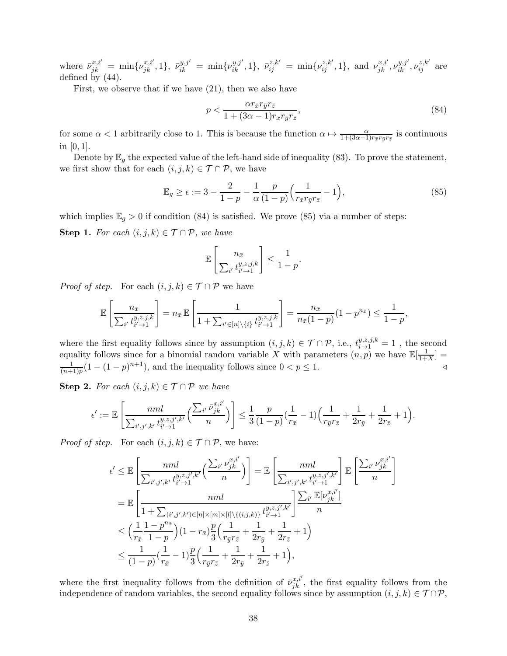where  $\bar{\nu}_{jk}^{x,i'} = \min{\{\nu_{jk}^{x,i'}, 1\}}, \ \bar{\nu}_{ik}^{y,j'} = \min{\{\nu_{ik}^{y,j'}, 1\}}, \ \bar{\nu}_{ij}^{z,k'} = \min{\{\nu_{ij}^{z,k'}, 1\}}, \ \text{and} \ \nu_{jk}^{x,i'}, \nu_{ik}^{y,j'}, \nu_{ij}^{z,k'}$  are defined by  $(44)$ .

First, we observe that if we have (21), then we also have

$$
p < \frac{\alpha r_{\bar{x}} r_{\bar{y}} r_{\bar{z}}}{1 + (3\alpha - 1)r_{\bar{x}} r_{\bar{y}} r_{\bar{z}}},\tag{84}
$$

for some  $\alpha < 1$  arbitrarily close to 1. This is because the function  $\alpha \mapsto \frac{\alpha}{1 + (3\alpha - 1)r_{\bar{x}}r_{\bar{y}}r_{\bar{z}}}$  is continuous in [0, 1].

Denote by  $\mathbb{E}_g$  the expected value of the left-hand side of inequality (83). To prove the statement, we first show that for each  $(i, j, k) \in \mathcal{T} \cap \mathcal{P}$ , we have

$$
\mathbb{E}_g \ge \epsilon := 3 - \frac{2}{1-p} - \frac{1}{\alpha} \frac{p}{(1-p)} \left( \frac{1}{r_{\bar{x}} r_{\bar{y}} r_{\bar{z}}} - 1 \right),\tag{85}
$$

which implies  $\mathbb{E}_g > 0$  if condition (84) is satisfied. We prove (85) via a number of steps:

Step 1. For each  $(i, j, k) \in \mathcal{T} \cap \mathcal{P}$ , we have

$$
\mathbb{E}\left[\frac{n_{\bar{x}}}{\sum_{i'} t_{i' \to 1}^{y,z,j,k}}\right] \le \frac{1}{1-p}.
$$

*Proof of step.* For each  $(i, j, k) \in \mathcal{T} \cap \mathcal{P}$  we have

$$
\mathbb{E}\left[\frac{n_{\bar{x}}}{\sum_{i'} t_{i'\to 1}^{y,z,j,k}}\right] = n_{\bar{x}} \mathbb{E}\left[\frac{1}{1+\sum_{i'\in[n]\backslash\{i\}} t_{i'\to 1}^{y,z,j,k}}\right] = \frac{n_{\bar{x}}}{n_{\bar{x}}(1-p)}(1-p^{n_{\bar{x}}}) \le \frac{1}{1-p},
$$

where the first equality follows since by assumption  $(i, j, k) \in \mathcal{T} \cap \mathcal{P}$ , i.e.,  $t_{i \to 1}^{y, z, j, k} = 1$ , the second equality follows since for a binomial random variable X with parameters  $(n, p)$  we have  $\mathbb{E}[\frac{1}{1+p}]$  $\frac{1}{1+X}$  = 1  $\frac{1}{(n+1)p}(1-(1-p)^{n+1}),$  and the inequality follows since  $0 < p \leq 1.$ 

Step 2. For each  $(i, j, k) \in \mathcal{T} \cap \mathcal{P}$  we have

$$
\epsilon' := \mathbb{E}\left[\frac{nnl}{\sum_{i',j',k'} t_{i'-1}^{y,z,j',k'}} \left(\frac{\sum_{i'} \bar{\nu}_{jk}^{x,i'}}{n}\right)\right] \leq \frac{1}{3} \frac{p}{(1-p)} \left(\frac{1}{r_{\bar{x}}} - 1\right) \left(\frac{1}{r_{\bar{y}}r_{\bar{z}}} + \frac{1}{2r_{\bar{y}}} + \frac{1}{2r_{\bar{z}}} + 1\right).
$$

*Proof of step.* For each  $(i, j, k) \in \mathcal{T} \cap \mathcal{P}$ , we have:

$$
\epsilon' \leq \mathbb{E}\left[\frac{nml}{\sum_{i',j',k'}t_{i'-1}^{y,z,j',k'}}\left(\frac{\sum_{i'}\nu_{jk}^{x,i'}}{n}\right)\right] = \mathbb{E}\left[\frac{nml}{\sum_{i',j',k'}t_{i'-1}^{y,z,j',k'}}\right] \mathbb{E}\left[\frac{\sum_{i'}\nu_{jk}^{x,i'}}{n}\right]
$$

$$
= \mathbb{E}\left[\frac{nml}{1+\sum_{(i',j',k')\in[n]\times[n]\times[l]\backslash\{(i,j,k)\}}t_{i'-1}^{y,z,j',k'}}\right] \frac{\sum_{i'}\mathbb{E}[\nu_{jk}^{x,i'}]}{n}
$$

$$
\leq \left(\frac{1}{r_{\bar{x}}}\frac{1-p^{n_{\bar{x}}}}{1-p}\right)(1-r_{\bar{x}})\frac{p}{3}\left(\frac{1}{r_{\bar{y}}r_{\bar{z}}}+\frac{1}{2r_{\bar{y}}}+\frac{1}{2r_{\bar{z}}}+1\right)
$$

$$
\leq \frac{1}{(1-p)}\left(\frac{1}{r_{\bar{x}}}-1\right)\frac{p}{3}\left(\frac{1}{r_{\bar{y}}r_{\bar{z}}}+\frac{1}{2r_{\bar{y}}}+\frac{1}{2r_{\bar{z}}}+1\right),
$$

where the first inequality follows from the definition of  $\bar{\nu}_{jk}^{x,i'}$ , the first equality follows from the independence of random variables, the second equality follows since by assumption  $(i, j, k) \in \mathcal{T} \cap \mathcal{P}$ ,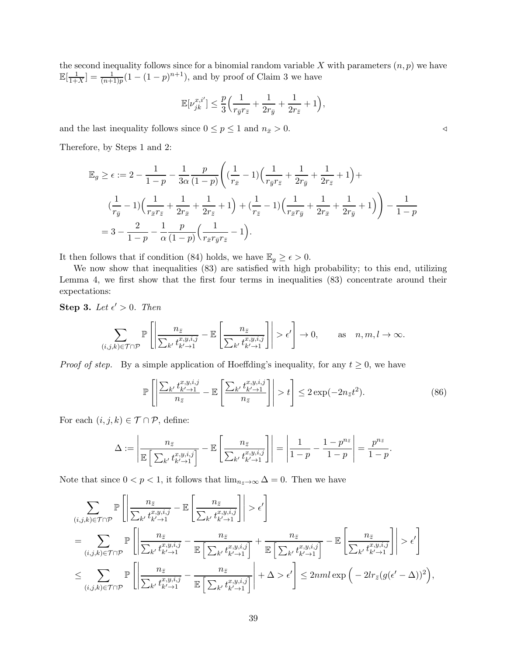the second inequality follows since for a binomial random variable  $X$  with parameters  $(n, p)$  we have  $\mathbb{E}[\frac{1}{1+}$  $\frac{1}{1+X}$ ] =  $\frac{1}{(n+1)p}(1-(1-p)^{n+1})$ , and by proof of Claim 3 we have

$$
\mathbb{E}[\nu_{jk}^{x,i'}]\leq \frac{p}{3}\Big(\frac{1}{r_{\bar{y}}r_{\bar{z}}}+\frac{1}{2r_{\bar{y}}}+\frac{1}{2r_{\bar{z}}}+1\Big),\,
$$

and the last inequality follows since  $0 \le p \le 1$  and  $n_{\bar{x}} > 0$ .

Therefore, by Steps 1 and 2:

$$
\mathbb{E}_{g} \geq \epsilon := 2 - \frac{1}{1-p} - \frac{1}{3\alpha} \frac{p}{(1-p)} \left( \left( \frac{1}{r_{\bar{x}}} - 1 \right) \left( \frac{1}{r_{\bar{y}}r_{\bar{z}}} + \frac{1}{2r_{\bar{y}}} + \frac{1}{2r_{\bar{z}}} + 1 \right) + \right.
$$
\n
$$
\left( \frac{1}{r_{\bar{y}}} - 1 \right) \left( \frac{1}{r_{\bar{x}}r_{\bar{z}}} + \frac{1}{2r_{\bar{x}}} + \frac{1}{2r_{\bar{z}}} + 1 \right) + \left( \frac{1}{r_{\bar{z}}} - 1 \right) \left( \frac{1}{r_{\bar{x}}r_{\bar{y}}} + \frac{1}{2r_{\bar{x}}} + \frac{1}{2r_{\bar{y}}} + 1 \right) \right) - \frac{1}{1-p}
$$
\n
$$
= 3 - \frac{2}{1-p} - \frac{1}{\alpha} \frac{p}{(1-p)} \left( \frac{1}{r_{\bar{x}}r_{\bar{y}}r_{\bar{z}}} - 1 \right).
$$

It then follows that if condition (84) holds, we have  $\mathbb{E}_g \geq \epsilon > 0$ .

We now show that inequalities (83) are satisfied with high probability; to this end, utilizing Lemma 4, we first show that the first four terms in inequalities (83) concentrate around their expectations:

Step 3. Let  $\epsilon' > 0$ . Then

$$
\sum_{(i,j,k)\in\mathcal{T}\cap\mathcal{P}}\mathbb{P}\left[\left|\frac{n_{\bar{z}}}{\sum_{k'}t^{x,y,i,j}_{k'\to 1}}-\mathbb{E}\left[\frac{n_{\bar{z}}}{\sum_{k'}t^{x,y,i,j}_{k'\to 1}}\right]\right|>\epsilon'\right]\to 0,\qquad \text{as}\quad n,m,l\to\infty.
$$

*Proof of step.* By a simple application of Hoeffding's inequality, for any  $t \geq 0$ , we have

$$
\mathbb{P}\left[\left|\frac{\sum_{k'} t_{k'-1}^{x,y,i,j}}{n_{\bar{z}}}-\mathbb{E}\left[\frac{\sum_{k'} t_{k'-1}^{x,y,i,j}}{n_{\bar{z}}}\right]\right| > t\right] \leq 2\exp(-2n_{\bar{z}}t^2). \tag{86}
$$

For each  $(i, j, k) \in \mathcal{T} \cap \mathcal{P}$ , define:

$$
\Delta := \left| \frac{n_{\bar{z}}}{\mathbb{E}\left[\sum_{k'} t_{k'-1}^{x,y,i,j}\right]} - \mathbb{E}\left[\frac{n_{\bar{z}}}{\sum_{k'} t_{k'-1}^{x,y,i,j}}\right] \right| = \left| \frac{1}{1-p} - \frac{1-p^{n_{\bar{z}}}}{1-p} \right| = \frac{p^{n_{\bar{z}}}}{1-p}.
$$

Note that since  $0 < p < 1$ , it follows that  $\lim_{n_{\bar{z}} \to \infty} \Delta = 0$ . Then we have

$$
\sum_{(i,j,k)\in\mathcal{T}\cap\mathcal{P}}\mathbb{P}\left[\left|\frac{n_{\bar{z}}}{\sum_{k'}t^{x,y,i,j}_{k'-1}}-\mathbb{E}\left[\frac{n_{\bar{z}}}{\sum_{k'}t^{x,y,i,j}_{k'-1}}\right]\right|>\epsilon'\right]
$$
\n
$$
=\sum_{(i,j,k)\in\mathcal{T}\cap\mathcal{P}}\mathbb{P}\left[\left|\frac{n_{\bar{z}}}{\sum_{k'}t^{x,y,i,j}_{k'-1}}-\frac{n_{\bar{z}}}{\mathbb{E}\left[\sum_{k'}t^{x,y,i,j}_{k'-1}\right]}+\frac{n_{\bar{z}}}{\mathbb{E}\left[\sum_{k'}t^{x,y,i,j}_{k'-1}\right]}\right|>\epsilon'\right]
$$
\n
$$
\leq \sum_{(i,j,k)\in\mathcal{T}\cap\mathcal{P}}\mathbb{P}\left[\left|\frac{n_{\bar{z}}}{\sum_{k'}t^{x,y,i,j}_{k'-1}}-\frac{n_{\bar{z}}}{\mathbb{E}\left[\sum_{k'}t^{x,y,i,j}_{k'-1}\right]}\right|+\Delta>\epsilon'\right] \leq 2nml\exp\left(-2lr_{\bar{z}}(g(\epsilon'-\Delta))^2\right),
$$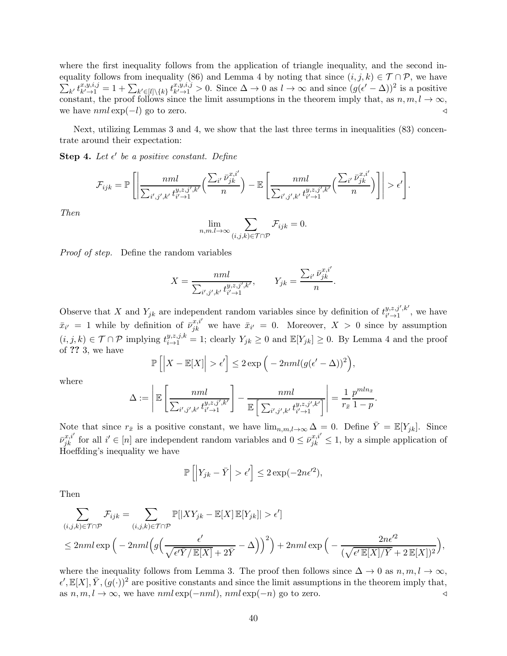where the first inequality follows from the application of triangle inequality, and the second inequality follows from inequality (86) and Lemma 4 by noting that since  $(i, j, k) \in \mathcal{T} \cap \mathcal{P}$ , we have  $\sum_{k'} t^{x,y,i,j}_{k'\to1}$  $\mathcal{L}^{x,y,i,j}_{k'\rightarrow 1} = 1 + \sum_{k'\in[l]\backslash\{k\}} t^{x,y,i,j}_{k'\rightarrow 1}$  $\lim_{k' \to 1} s y_i, j > 0$ . Since  $\Delta \to 0$  as  $l \to \infty$  and since  $(g(\epsilon' - \Delta))^2$  is a positive constant, the proof follows since the limit assumptions in the theorem imply that, as  $n, m, l \to \infty$ , we have  $nml \exp(-l)$  go to zero.  $\triangleleft$ 

Next, utilizing Lemmas 3 and 4, we show that the last three terms in inequalities (83) concentrate around their expectation:

Step 4. Let  $\epsilon'$  be a positive constant. Define

$$
\mathcal{F}_{ijk} = \mathbb{P}\left[\left|\frac{nnl}{\sum_{i',j',k'}t_{i'-1}^{y,z,j',k'}}\left(\frac{\sum_{i'}\bar{\nu}_{jk}^{x,i'}}{n}\right) - \mathbb{E}\left[\frac{nnl}{\sum_{i',j',k'}t_{i'-1}^{y,z,j',k'}}\left(\frac{\sum_{i'}\bar{\nu}_{jk}^{x,i'}}{n}\right)\right]\right| > \epsilon'\right].
$$

Then

$$
\lim_{n,m,l\to\infty}\sum_{(i,j,k)\in\mathcal{T}\cap\mathcal{P}}\mathcal{F}_{ijk}=0.
$$

Proof of step. Define the random variables

$$
X = \frac{nml}{\sum_{i',j',k'} t_{i'-1}^{y,z,j',k'}}, \qquad Y_{jk} = \frac{\sum_{i'} \bar{\nu}_{jk}^{x,i'}}{n}.
$$

Observe that X and  $Y_{jk}$  are independent random variables since by definition of  $t^{y,z,j',k'}_{i'\to 1}$  $\lim_{i'\to 1}^{y,z,y',\kappa}$ , we have  $\bar{x}_{i'} = 1$  while by definition of  $\bar{\nu}_{jk}^{x,i'}$  we have  $\bar{x}_{i'} = 0$ . Moreover,  $X > 0$  since by assumption  $(i, j, k) \in \mathcal{T} \cap \mathcal{P}$  implying  $t^{y, z, j, k}_{i \to 1} = 1$ ; clearly  $Y_{jk} \geq 0$  and  $\mathbb{E}[Y_{jk}] \geq 0$ . By Lemma 4 and the proof of ?? 3, we have

$$
\mathbb{P}\left[\left|X - \mathbb{E}[X]\right| > \epsilon'\right] \le 2 \exp\left(-2nml(g(\epsilon' - \Delta))^2\right),
$$

where

$$
\Delta := \left| \mathbb{E} \left[ \frac{mnl}{\sum_{i',j',k'} t_{i'-1}^{y,z,j',k'}} \right] - \frac{mnl}{\mathbb{E} \left[ \sum_{i',j',k'} t_{i'-1}^{y,z,j',k'} \right]} \right| = \frac{1}{r_{\bar{x}}} \frac{p^{mln_{\bar{x}}}}{1-p}.
$$

Note that since  $r_{\bar{x}}$  is a positive constant, we have  $\lim_{n,m,l\to\infty}\Delta=0$ . Define  $\bar{Y}=\mathbb{E}[Y_{jk}]$ . Since  $\bar{\nu}_{jk}^{x,i'}$  for all  $i' \in [n]$  are independent random variables and  $0 \leq \bar{\nu}_{jk}^{x,i'} \leq 1$ , by a simple application of Hoeffding's inequality we have

$$
\mathbb{P}\left[\left|Y_{jk} - \bar{Y}\right| > \epsilon'\right] \le 2\exp(-2n\epsilon'^2),
$$

Then

$$
\sum_{(i,j,k)\in\mathcal{T}\cap\mathcal{P}}\mathcal{F}_{ijk} = \sum_{(i,j,k)\in\mathcal{T}\cap\mathcal{P}}\mathbb{P}[|XY_{jk} - \mathbb{E}[X]\,\mathbb{E}[Y_{jk}]| > \epsilon']
$$
\n
$$
\leq 2nml \exp\Big(-2nml\Big(g\Big(\frac{\epsilon'}{\sqrt{\epsilon'\bar{Y}/\mathbb{E}[X] + 2\bar{Y}}} - \Delta\Big)\Big)^2\Big) + 2nml \exp\Big(-\frac{2n\epsilon'^2}{(\sqrt{\epsilon'\,\mathbb{E}[X]/\bar{Y}} + 2\,\mathbb{E}[X])^2}\Big),
$$

where the inequality follows from Lemma 3. The proof then follows since  $\Delta \to 0$  as  $n, m, l \to \infty$ ,  $\epsilon', \mathbb{E}[X], \overline{Y}, (g(\cdot))^2$  are positive constants and since the limit assumptions in the theorem imply that, as  $n, m, l \to \infty$ , we have  $nml \exp(-nml)$ ,  $nml \exp(-n)$  go to zero.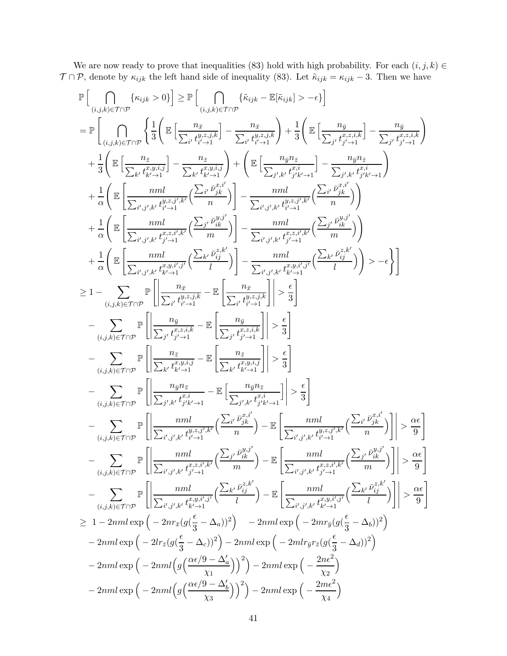We are now ready to prove that inequalities (83) hold with high probability. For each  $(i, j, k) \in$  $\mathcal{T} \cap \mathcal{P}$ , denote by  $\kappa_{ijk}$  the left hand side of inequality (83). Let  $\tilde{\kappa}_{ijk} = \kappa_{ijk} - 3$ . Then we have

$$
\begin{split} &\mathbb{P}\Big[\bigcap_{(i,j,k)\in\mathcal{T}\cap\mathcal{P}}\{\kappa_{ijk}>0\}\Big]\geq \mathbb{P}\Big[\bigcap_{(i,j,k)\in\mathcal{T}\cap\mathcal{P}}\{\hat{\kappa}_{ijk}>-\epsilon\}\Big]\\ &=\mathbb{P}\Big[\bigcap_{(i,j,k)\in\mathcal{T}\cap\mathcal{P}}\left\{\frac{1}{3}\bigg(\mathbb{E}\Big[\frac{n_x}{\sum_{l'}t^{k'}_{l'-1}1}\Big]-\frac{n_x}{\sum_{l'}t^{k'+1}_{l'-1}1}\Big)+\frac{1}{3}\bigg(\mathbb{E}\Big[\frac{n_y}{\sum_{j'}t^{k'+1}_{j'-1}1}\Big]-\frac{n_y}{\sum_{j'}t^{k'+1}_{j'-1}1}\Big)\\ &+\frac{1}{3}\bigg(\mathbb{E}\Big[\frac{n_z}{\sum_{k'}t^{k''_{k}-1}1}\Big]-\frac{n_z}{\sum_{k'}t^{k''_{k}-1}1}\bigg)+\bigg(\mathbb{E}\Big[\frac{n_yn_z}{\sum_{j',k'}t^{k''_{j+1}1}_{j'-1}1}\Big]-\frac{n_yn_z}{\sum_{j',k'}t^{k''_{j'-1}1}_{j'-1}1}\bigg)\\ &+\frac{1}{\alpha}\bigg(\mathbb{E}\Big[\frac{mnl}{\sum_{l',j',k'}t^{k''_{l}-1}1} \Big(\frac{\sum_{l'}p_{j,k}^{\pi_{l'}}1}{n}\Big)\Big]-\frac{mnl}{\sum_{l',j,k'}t^{k''_{l}-1}1} \Big(\frac{\sum_{l'}p_{j,k}^{\pi_{l'}}1}{n}\Big)\\ &+\frac{1}{\alpha}\bigg(\mathbb{E}\Big[\frac{m}{\sum_{l',j',k'}t^{k''_{l}-1}1} \Big(\frac{\sum_{l'}p_{j,k}^{\pi_{l'}}1}{n}\Big)-\frac{mnl}{\sum_{l',j',k'}t^{k''_{l}-1}1} \Big(\frac{\sum_{l'}p_{j,k}^{\pi_{l'}}1}{n}\Big)\bigg)-\frac{mnl}{\sum_{l',j',k'}t^{k''_{l}-1}1} \Big(\frac{\sum_{l'}p_{j,k}^{\pi_{l'}}1}{n}\bigg)\bigg)-\epsilon\bigg\}\Big]\\ &+\frac{1}{\alpha}\bigg(\mathbb{E}\Big[\frac{m}{\sum_{l',j',k'}t^{k''_{l}-1}1} \Big(\frac
$$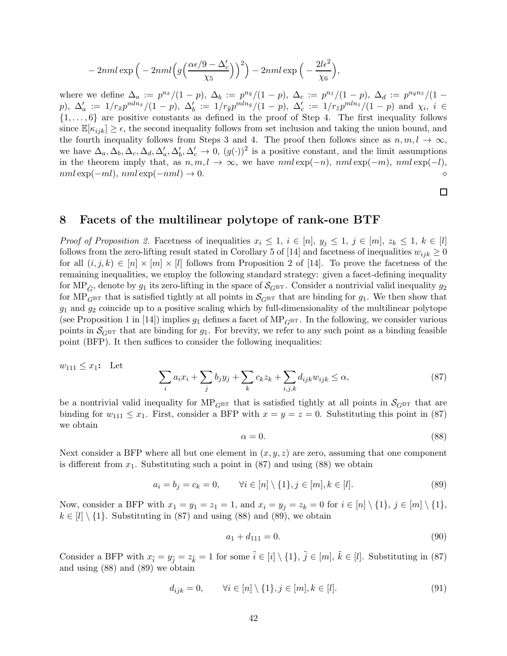$$
-2nml \exp\left(-2nml\left(g\left(\frac{\alpha\epsilon/9-\Delta_c'}{\chi_5}\right)\right)^2\right)-2nml \exp\left(-\frac{2l\epsilon^2}{\chi_6}\right),\right)
$$

where we define  $\Delta_a := p^{n_{\bar{x}}}/(1-p)$ ,  $\Delta_b := p^{n_{\bar{y}}}/(1-p)$ ,  $\Delta_c := p^{n_{\bar{z}}}/(1-p)$ ,  $\Delta_d := p^{n_{\bar{y}}n_{\bar{z}}}/(1-p)$  $p$ ),  $\Delta'_{a} := 1/r_{\bar{x}} p^{mln_{\bar{x}}}/(1-p)$ ,  $\Delta'_{b} := 1/r_{\bar{y}} p^{mln_{\bar{y}}}/(1-p)$ ,  $\Delta'_{c} := 1/r_{\bar{z}} p^{mln_{\bar{z}}}/(1-p)$  and  $\chi_{i}$ ,  $i \in$  $\{1, \ldots, 6\}$  are positive constants as defined in the proof of Step 4. The first inequality follows since  $\mathbb{E}[\kappa_{ijk}] \geq \epsilon$ , the second inequality follows from set inclusion and taking the union bound, and the fourth inequality follows from Steps 3 and 4. The proof then follows since as  $n, m, l \rightarrow \infty$ , we have  $\Delta_a, \Delta_b, \Delta_c, \Delta_d, \Delta'_a, \Delta'_b, \Delta'_c \to 0$ ,  $(g(\cdot))^2$  is a positive constant, and the limit assumptions in the theorem imply that, as  $n, m, l \to \infty$ , we have  $nml \exp(-n)$ ,  $nml \exp(-m)$ ,  $nml \exp(-l)$ , nml exp(−ml), nml exp(−nml) → 0. ⋄

 $\Box$ 

# 8 Facets of the multilinear polytope of rank-one BTF

*Proof of Proposition 2.* Facetness of inequalities  $x_i \leq 1$ ,  $i \in [n]$ ,  $y_j \leq 1$ ,  $j \in [m]$ ,  $z_k \leq 1$ ,  $k \in [l]$ follows from the zero-lifting result stated in Corollary 5 of [14] and facetness of inequalities  $w_{ijk} \geq 0$ for all  $(i, j, k) \in [n] \times [m] \times [l]$  follows from Proposition 2 of [14]. To prove the facetness of the remaining inequalities, we employ the following standard strategy: given a facet-defining inequality for MP<sub>G</sub>, denote by  $g_1$  its zero-lifting in the space of  $\mathcal{S}_{GBT}$ . Consider a nontrivial valid inequality  $g_2$ for MP<sub>GBT</sub> that is satisfied tightly at all points in  $S_{\text{GBT}}$  that are binding for  $g_1$ . We then show that  $g_1$  and  $g_2$  coincide up to a positive scaling which by full-dimensionality of the multilinear polytope (see Proposition 1 in [14]) implies  $g_1$  defines a facet of MP<sub>GBT</sub>. In the following, we consider various points in  $\mathcal{S}_{GBT}$  that are binding for  $g_1$ . For brevity, we refer to any such point as a binding feasible point (BFP). It then suffices to consider the following inequalities:

$$
w_{111} \le x_1: \quad \text{Let} \quad \sum_i a_i x_i + \sum_j b_j y_j + \sum_k c_k z_k + \sum_{i,j,k} d_{ijk} w_{ijk} \le \alpha,
$$
\n
$$
(87)
$$

be a nontrivial valid inequality for  $MP_{GBT}$  that is satisfied tightly at all points in  $S_{GBT}$  that are binding for  $w_{111} \leq x_1$ . First, consider a BFP with  $x = y = z = 0$ . Substituting this point in (87) we obtain

$$
\alpha = 0.\tag{88}
$$

Next consider a BFP where all but one element in  $(x, y, z)$  are zero, assuming that one component is different from  $x_1$ . Substituting such a point in  $(87)$  and using  $(88)$  we obtain

$$
a_i = b_j = c_k = 0, \qquad \forall i \in [n] \setminus \{1\}, j \in [m], k \in [l]. \tag{89}
$$

Now, consider a BFP with  $x_1 = y_1 = z_1 = 1$ , and  $x_i = y_j = z_k = 0$  for  $i \in [n] \setminus \{1\}$ ,  $j \in [m] \setminus \{1\}$ ,  $k \in [l] \setminus \{1\}$ . Substituting in (87) and using (88) and (89), we obtain

$$
a_1 + d_{111} = 0.\t\t(90)
$$

Consider a BFP with  $x_{\tilde{i}} = y_{\tilde{j}} = z_{\tilde{k}} = 1$  for some  $\tilde{i} \in [i] \setminus \{1\}$ ,  $\tilde{j} \in [m]$ ,  $\tilde{k} \in [l]$ . Substituting in (87) and using (88) and (89) we obtain

$$
d_{ijk} = 0, \qquad \forall i \in [n] \setminus \{1\}, j \in [m], k \in [l]. \tag{91}
$$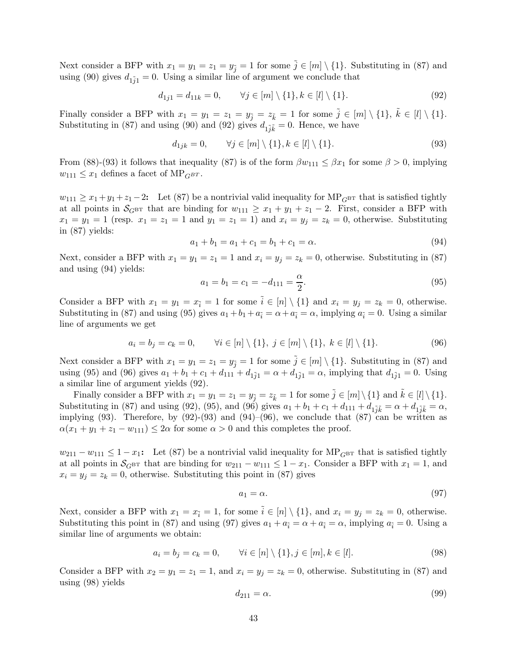Next consider a BFP with  $x_1 = y_1 = z_1 = y_{\tilde{i}} = 1$  for some  $\tilde{j} \in [m] \setminus \{1\}$ . Substituting in (87) and using (90) gives  $d_{1ij} = 0$ . Using a similar line of argument we conclude that

$$
d_{1j1} = d_{11k} = 0, \qquad \forall j \in [m] \setminus \{1\}, k \in [l] \setminus \{1\}. \tag{92}
$$

Finally consider a BFP with  $x_1 = y_1 = z_1 = y_{\tilde{j}} = z_{\tilde{k}} = 1$  for some  $\tilde{j} \in [m] \setminus \{1\}$ ,  $\tilde{k} \in [l] \setminus \{1\}$ . Substituting in (87) and using (90) and (92) gives  $d_{1\tilde{j}\tilde{k}} = 0$ . Hence, we have

$$
d_{1jk} = 0, \qquad \forall j \in [m] \setminus \{1\}, k \in [l] \setminus \{1\}.
$$
\n
$$
(93)
$$

From (88)-(93) it follows that inequality (87) is of the form  $\beta w_{111} \leq \beta x_1$  for some  $\beta > 0$ , implying  $w_{111} \leq x_1$  defines a facet of MP<sub>GBT</sub>.

 $w_{111} \geq x_1+y_1+z_1-2$ : Let (87) be a nontrivial valid inequality for MP<sub>GBT</sub> that is satisfied tightly at all points in  $\mathcal{S}_{GBT}$  that are binding for  $w_{111} \ge x_1 + y_1 + z_1 - 2$ . First, consider a BFP with  $x_1 = y_1 = 1$  (resp.  $x_1 = z_1 = 1$  and  $y_1 = z_1 = 1$ ) and  $x_i = y_j = z_k = 0$ , otherwise. Substituting in (87) yields:

$$
a_1 + b_1 = a_1 + c_1 = b_1 + c_1 = \alpha.
$$
\n(94)

Next, consider a BFP with  $x_1 = y_1 = z_1 = 1$  and  $x_i = y_j = z_k = 0$ , otherwise. Substituting in (87) and using (94) yields:

$$
a_1 = b_1 = c_1 = -d_{111} = \frac{\alpha}{2}.
$$
\n(95)

Consider a BFP with  $x_1 = y_1 = x_{\tilde{i}} = 1$  for some  $\tilde{i} \in [n] \setminus \{1\}$  and  $x_i = y_j = z_k = 0$ , otherwise. Substituting in (87) and using (95) gives  $a_1 + b_1 + a_{\tilde{i}} = \alpha + a_{\tilde{i}} = \alpha$ , implying  $a_{\tilde{i}} = 0$ . Using a similar line of arguments we get

$$
a_i = b_j = c_k = 0, \qquad \forall i \in [n] \setminus \{1\}, \ j \in [m] \setminus \{1\}, \ k \in [l] \setminus \{1\}.
$$
 (96)

Next consider a BFP with  $x_1 = y_1 = z_1 = y_{\tilde{i}} = 1$  for some  $\tilde{j} \in [m] \setminus \{1\}$ . Substituting in (87) and using (95) and (96) gives  $a_1 + b_1 + c_1 + d_{111} + d_{1j1} = \alpha + d_{1j1} = \alpha$ , implying that  $d_{1j1} = 0$ . Using a similar line of argument yields (92).

Finally consider a BFP with  $x_1 = y_1 = z_1 = y_{\tilde{i}} = z_{\tilde{k}} = 1$  for some  $\tilde{j} \in [m] \setminus \{1\}$  and  $\tilde{k} \in [l] \setminus \{1\}$ . Substituting in (87) and using (92), (95), and (96) gives  $a_1 + b_1 + c_1 + d_{111} + d_{11}^* = \alpha + d_{11}^* = \alpha$ , implying  $(93)$ . Therefore, by  $(92)-(93)$  and  $(94)-(96)$ , we conclude that  $(87)$  can be written as  $\alpha(x_1 + y_1 + z_1 - w_{111}) \leq 2\alpha$  for some  $\alpha > 0$  and this completes the proof.

 $w_{211} - w_{111} \leq 1 - x_1$ : Let (87) be a nontrivial valid inequality for MP<sub>GBT</sub> that is satisfied tightly at all points in  $\mathcal{S}_{G^{\text{BT}}}$  that are binding for  $w_{211} - w_{111} \leq 1 - x_1$ . Consider a BFP with  $x_1 = 1$ , and  $x_i = y_j = z_k = 0$ , otherwise. Substituting this point in (87) gives

$$
a_1 = \alpha. \tag{97}
$$

Next, consider a BFP with  $x_1 = x_{\tilde{i}} = 1$ , for some  $\tilde{i} \in [n] \setminus \{1\}$ , and  $x_i = y_j = z_k = 0$ , otherwise. Substituting this point in (87) and using (97) gives  $a_1 + a_{\tilde{i}} = \alpha + a_{\tilde{i}} = \alpha$ , implying  $a_{\tilde{i}} = 0$ . Using a similar line of arguments we obtain:

$$
a_i = b_j = c_k = 0, \qquad \forall i \in [n] \setminus \{1\}, j \in [m], k \in [l]. \tag{98}
$$

Consider a BFP with  $x_2 = y_1 = z_1 = 1$ , and  $x_i = y_j = z_k = 0$ , otherwise. Substituting in (87) and using (98) yields

$$
d_{211} = \alpha. \tag{99}
$$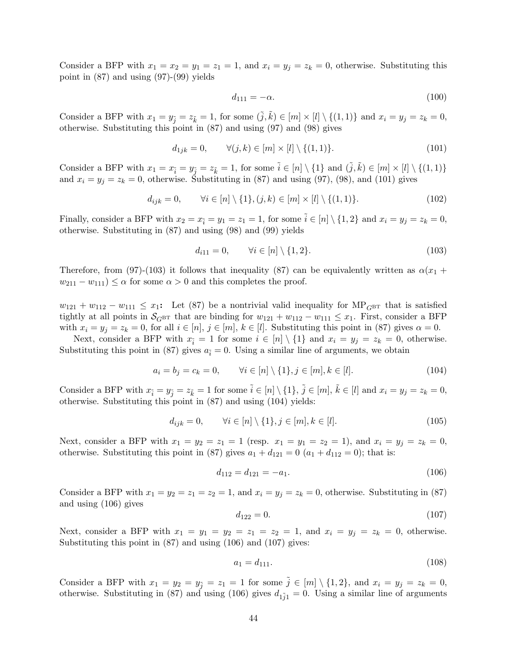Consider a BFP with  $x_1 = x_2 = y_1 = z_1 = 1$ , and  $x_i = y_j = z_k = 0$ , otherwise. Substituting this point in (87) and using (97)-(99) yields

$$
d_{111} = -\alpha. \tag{100}
$$

Consider a BFP with  $x_1 = y_{\tilde{i}} = z_{\tilde{k}} = 1$ , for some  $(\tilde{j}, \tilde{k}) \in [m] \times [l] \setminus \{(1, 1)\}$  and  $x_i = y_j = z_k = 0$ , otherwise. Substituting this point in (87) and using (97) and (98) gives

$$
d_{1jk} = 0, \qquad \forall (j,k) \in [m] \times [l] \setminus \{(1,1)\}.
$$
\n
$$
(101)
$$

Consider a BFP with  $x_1 = x_{\tilde{i}} = y_{\tilde{j}} = z_{\tilde{k}} = 1$ , for some  $\tilde{i} \in [n] \setminus \{1\}$  and  $(\tilde{j}, \tilde{k}) \in [m] \times [l] \setminus \{(1, 1)\}$ and  $x_i = y_j = z_k = 0$ , otherwise. Substituting in (87) and using (97), (98), and (101) gives

$$
d_{ijk} = 0, \qquad \forall i \in [n] \setminus \{1\}, (j,k) \in [m] \times [l] \setminus \{(1,1)\}. \tag{102}
$$

Finally, consider a BFP with  $x_2 = x_{\tilde{i}} = y_1 = z_1 = 1$ , for some  $\tilde{i} \in [n] \setminus \{1, 2\}$  and  $x_i = y_j = z_k = 0$ , otherwise. Substituting in (87) and using (98) and (99) yields

$$
d_{i11} = 0, \qquad \forall i \in [n] \setminus \{1, 2\}.
$$
\n
$$
(103)
$$

Therefore, from (97)-(103) it follows that inequality (87) can be equivalently written as  $\alpha(x_1 +$  $w_{211} - w_{111} \leq \alpha$  for some  $\alpha > 0$  and this completes the proof.

 $w_{121} + w_{112} - w_{111} \leq x_1$ : Let (87) be a nontrivial valid inequality for  $MP_{G^{BT}}$  that is satisfied tightly at all points in  $\mathcal{S}_{GBT}$  that are binding for  $w_{121} + w_{112} - w_{111} \le x_1$ . First, consider a BFP with  $x_i = y_j = z_k = 0$ , for all  $i \in [n], j \in [m], k \in [l]$ . Substituting this point in (87) gives  $\alpha = 0$ .

Next, consider a BFP with  $x_{\tilde{i}} = 1$  for some  $i \in [n] \setminus \{1\}$  and  $x_i = y_j = z_k = 0$ , otherwise. Substituting this point in (87) gives  $a_{\tilde{i}} = 0$ . Using a similar line of arguments, we obtain

$$
a_i = b_j = c_k = 0, \qquad \forall i \in [n] \setminus \{1\}, j \in [m], k \in [l]. \tag{104}
$$

Consider a BFP with  $x_{\tilde{i}} = y_{\tilde{j}} = z_{\tilde{k}} = 1$  for some  $\tilde{i} \in [n] \setminus \{1\}$ ,  $\tilde{j} \in [m]$ ,  $\tilde{k} \in [l]$  and  $x_i = y_j = z_k = 0$ , otherwise. Substituting this point in (87) and using (104) yields:

$$
d_{ijk} = 0, \qquad \forall i \in [n] \setminus \{1\}, j \in [m], k \in [l]. \tag{105}
$$

Next, consider a BFP with  $x_1 = y_2 = z_1 = 1$  (resp.  $x_1 = y_1 = z_2 = 1$ ), and  $x_i = y_j = z_k = 0$ , otherwise. Substituting this point in (87) gives  $a_1 + d_{121} = 0$   $(a_1 + d_{112} = 0)$ ; that is:

$$
d_{112} = d_{121} = -a_1. \t\t(106)
$$

Consider a BFP with  $x_1 = y_2 = z_1 = z_2 = 1$ , and  $x_i = y_j = z_k = 0$ , otherwise. Substituting in (87) and using (106) gives

$$
d_{122} = 0.\t(107)
$$

Next, consider a BFP with  $x_1 = y_1 = y_2 = z_1 = z_2 = 1$ , and  $x_i = y_j = z_k = 0$ , otherwise. Substituting this point in (87) and using (106) and (107) gives:

$$
a_1 = d_{111}.\tag{108}
$$

Consider a BFP with  $x_1 = y_2 = y_{\tilde{i}} = z_1 = 1$  for some  $\tilde{j} \in [m] \setminus \{1, 2\}$ , and  $x_i = y_j = z_k = 0$ , otherwise. Substituting in (87) and using (106) gives  $d_{1\tilde{j}_1} = 0$ . Using a similar line of arguments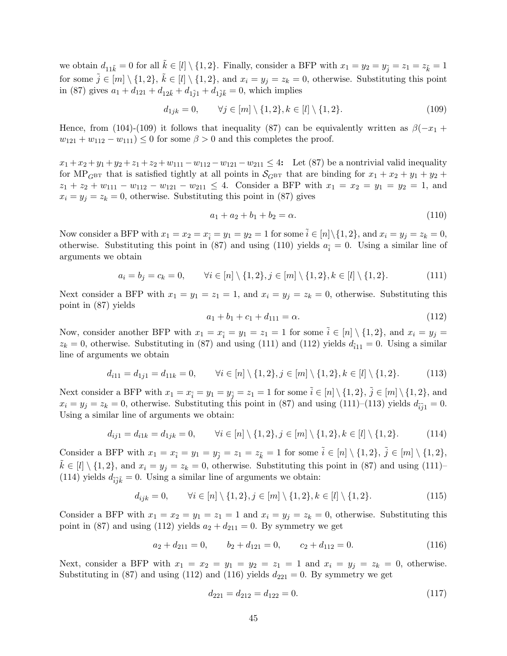we obtain  $d_{11\tilde{k}} = 0$  for all  $\tilde{k} \in [l] \setminus \{1, 2\}$ . Finally, consider a BFP with  $x_1 = y_2 = y_{\tilde{j}} = z_1 = z_{\tilde{k}} = 1$ for some  $\tilde{j} \in [m] \setminus \{1, 2\}, \ \tilde{k} \in [l] \setminus \{1, 2\}, \$  and  $x_i = y_j = z_k = 0$ , otherwise. Substituting this point in (87) gives  $a_1 + d_{121} + d_{12\tilde{k}} + d_{1\tilde{i}1} + d_{1\tilde{i}\tilde{k}} = 0$ , which implies

$$
d_{1jk} = 0, \qquad \forall j \in [m] \setminus \{1, 2\}, k \in [l] \setminus \{1, 2\}.
$$
 (109)

Hence, from (104)-(109) it follows that inequality (87) can be equivalently written as  $\beta(-x_1 +$  $w_{121} + w_{112} - w_{111} \leq 0$  for some  $\beta > 0$  and this completes the proof.

 $x_1 + x_2 + y_1 + y_2 + z_1 + z_2 + w_{111} - w_{112} - w_{121} - w_{211} \leq 4$ : Let (87) be a nontrivial valid inequality for MP<sub>GBT</sub> that is satisfied tightly at all points in  $S_{\text{GBT}}$  that are binding for  $x_1 + x_2 + y_1 + y_2 +$  $z_1 + z_2 + w_{111} - w_{112} - w_{121} - w_{211} \leq 4$ . Consider a BFP with  $x_1 = x_2 = y_1 = y_2 = 1$ , and  $x_i = y_j = z_k = 0$ , otherwise. Substituting this point in (87) gives

$$
a_1 + a_2 + b_1 + b_2 = \alpha.
$$
 (110)

Now consider a BFP with  $x_1 = x_2 = x_{\tilde{i}} = y_1 = y_2 = 1$  for some  $\tilde{i} \in [n] \setminus \{1, 2\}$ , and  $x_i = y_j = z_k = 0$ , otherwise. Substituting this point in (87) and using (110) yields  $a_{\tilde{i}} = 0$ . Using a similar line of arguments we obtain

$$
a_i = b_j = c_k = 0, \qquad \forall i \in [n] \setminus \{1, 2\}, j \in [m] \setminus \{1, 2\}, k \in [l] \setminus \{1, 2\}. \tag{111}
$$

Next consider a BFP with  $x_1 = y_1 = z_1 = 1$ , and  $x_i = y_j = z_k = 0$ , otherwise. Substituting this point in (87) yields

$$
a_1 + b_1 + c_1 + d_{111} = \alpha.
$$
\n(112)

Now, consider another BFP with  $x_1 = x_{\tilde{i}} = y_1 = z_1 = 1$  for some  $\tilde{i} \in [n] \setminus \{1, 2\}$ , and  $x_i = y_j =$  $z_k = 0$ , otherwise. Substituting in (87) and using (111) and (112) yields  $d_{\tilde{i}11} = 0$ . Using a similar line of arguments we obtain

$$
d_{i11} = d_{1j1} = d_{11k} = 0, \qquad \forall i \in [n] \setminus \{1, 2\}, j \in [m] \setminus \{1, 2\}, k \in [l] \setminus \{1, 2\}. \tag{113}
$$

Next consider a BFP with  $x_1 = x_{\tilde{i}} = y_1 = y_{\tilde{j}} = z_1 = 1$  for some  $\tilde{i} \in [n] \setminus \{1, 2\}$ ,  $\tilde{j} \in [m] \setminus \{1, 2\}$ , and  $x_i = y_j = z_k = 0$ , otherwise. Substituting this point in (87) and using (111)–(113) yields  $d_{\tilde{i}\tilde{j}} = 0$ . Using a similar line of arguments we obtain:

$$
d_{ij1} = d_{i1k} = d_{1jk} = 0, \qquad \forall i \in [n] \setminus \{1, 2\}, j \in [m] \setminus \{1, 2\}, k \in [l] \setminus \{1, 2\}. \tag{114}
$$

Consider a BFP with  $x_1 = x_{\tilde{i}} = y_1 = y_{\tilde{j}} = z_1 = z_{\tilde{k}} = 1$  for some  $\tilde{i} \in [n] \setminus \{1, 2\}, \tilde{j} \in [m] \setminus \{1, 2\},$  $k \in [l] \setminus \{1, 2\}$ , and  $x_i = y_j = z_k = 0$ , otherwise. Substituting this point in (87) and using (111)– (114) yields  $d_{\tilde{i}\tilde{j}\tilde{k}} = 0$ . Using a similar line of arguments we obtain:

$$
d_{ijk} = 0, \qquad \forall i \in [n] \setminus \{1, 2\}, j \in [m] \setminus \{1, 2\}, k \in [l] \setminus \{1, 2\}. \tag{115}
$$

Consider a BFP with  $x_1 = x_2 = y_1 = z_1 = 1$  and  $x_i = y_j = z_k = 0$ , otherwise. Substituting this point in (87) and using (112) yields  $a_2 + d_{211} = 0$ . By symmetry we get

$$
a_2 + d_{211} = 0, \qquad b_2 + d_{121} = 0, \qquad c_2 + d_{112} = 0. \tag{116}
$$

Next, consider a BFP with  $x_1 = x_2 = y_1 = y_2 = z_1 = 1$  and  $x_i = y_j = z_k = 0$ , otherwise. Substituting in (87) and using (112) and (116) yields  $d_{221} = 0$ . By symmetry we get

$$
d_{221} = d_{212} = d_{122} = 0.\t(117)
$$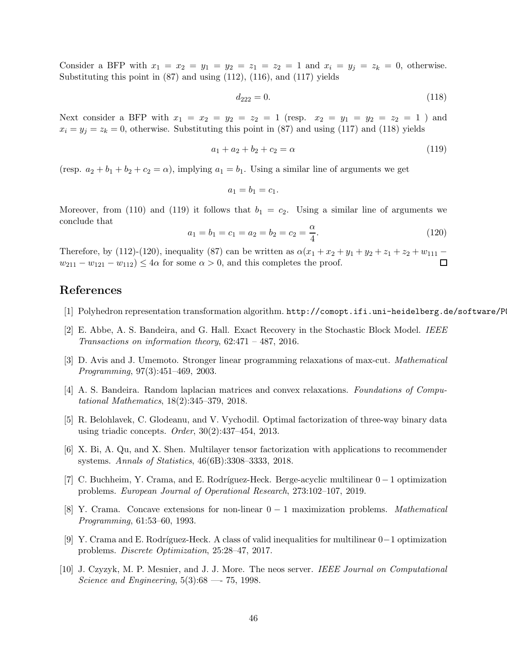Consider a BFP with  $x_1 = x_2 = y_1 = y_2 = z_1 = z_2 = 1$  and  $x_i = y_j = z_k = 0$ , otherwise. Substituting this point in (87) and using (112), (116), and (117) yields

$$
d_{222} = 0.\t(118)
$$

Next consider a BFP with  $x_1 = x_2 = y_2 = z_2 = 1$  (resp.  $x_2 = y_1 = y_2 = z_2 = 1$ ) and  $x_i = y_j = z_k = 0$ , otherwise. Substituting this point in (87) and using (117) and (118) yields

$$
a_1 + a_2 + b_2 + c_2 = \alpha \tag{119}
$$

(resp.  $a_2 + b_1 + b_2 + c_2 = \alpha$ ), implying  $a_1 = b_1$ . Using a similar line of arguments we get

$$
a_1 = b_1 = c_1.
$$

Moreover, from (110) and (119) it follows that  $b_1 = c_2$ . Using a similar line of arguments we conclude that

$$
a_1 = b_1 = c_1 = a_2 = b_2 = c_2 = \frac{\alpha}{4}.
$$
\n(120)

Therefore, by (112)-(120), inequality (87) can be written as  $\alpha(x_1 + x_2 + y_1 + y_2 + z_1 + z_2 + w_{111} - w_{211} - w_{122} - w_{112}) \le 4\alpha$  for some  $\alpha > 0$ , and this completes the proof.  $w_{211} - w_{121} - w_{112} \leq 4\alpha$  for some  $\alpha > 0$ , and this completes the proof.

# References

- [1] Polyhedron representation transformation algorithm. http://comopt.ifi.uni-heidelberg.de/software/P
- [2] E. Abbe, A. S. Bandeira, and G. Hall. Exact Recovery in the Stochastic Block Model. IEEE Transactions on information theory,  $62:471 - 487$ ,  $2016$ .
- [3] D. Avis and J. Umemoto. Stronger linear programming relaxations of max-cut. Mathematical Programming, 97(3):451–469, 2003.
- [4] A. S. Bandeira. Random laplacian matrices and convex relaxations. Foundations of Computational Mathematics, 18(2):345–379, 2018.
- [5] R. Belohlavek, C. Glodeanu, and V. Vychodil. Optimal factorization of three-way binary data using triadic concepts. Order,  $30(2):437-454$ , 2013.
- [6] X. Bi, A. Qu, and X. Shen. Multilayer tensor factorization with applications to recommender systems. Annals of Statistics, 46(6B):3308–3333, 2018.
- [7] C. Buchheim, Y. Crama, and E. Rodríguez-Heck. Berge-acyclic multilinear  $0-1$  optimization problems. European Journal of Operational Research, 273:102–107, 2019.
- [8] Y. Crama. Concave extensions for non-linear  $0 1$  maximization problems. Mathematical Programming, 61:53–60, 1993.
- [9] Y. Crama and E. Rodríguez-Heck. A class of valid inequalities for multilinear 0−1 optimization problems. Discrete Optimization, 25:28–47, 2017.
- [10] J. Czyzyk, M. P. Mesnier, and J. J. More. The neos server. IEEE Journal on Computational Science and Engineering,  $5(3):68$  — 75, 1998.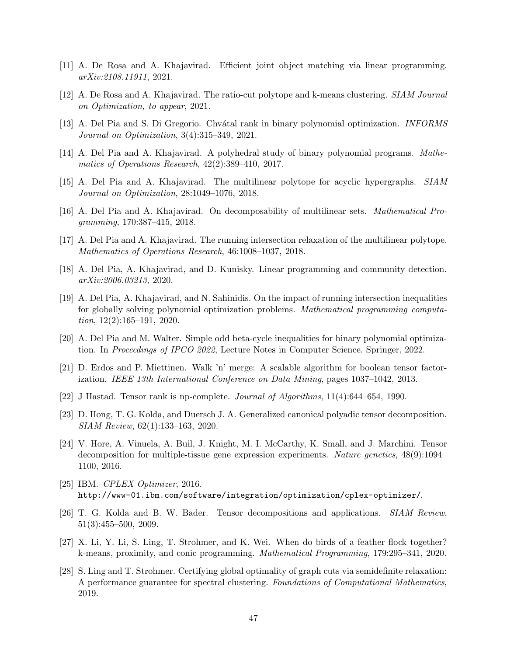- [11] A. De Rosa and A. Khajavirad. Efficient joint object matching via linear programming. arXiv:2108.11911, 2021.
- [12] A. De Rosa and A. Khajavirad. The ratio-cut polytope and k-means clustering. SIAM Journal on Optimization, to appear, 2021.
- [13] A. Del Pia and S. Di Gregorio. Chvátal rank in binary polynomial optimization. *INFORMS* Journal on Optimization, 3(4):315–349, 2021.
- [14] A. Del Pia and A. Khajavirad. A polyhedral study of binary polynomial programs. Mathematics of Operations Research, 42(2):389–410, 2017.
- [15] A. Del Pia and A. Khajavirad. The multilinear polytope for acyclic hypergraphs. SIAM Journal on Optimization, 28:1049–1076, 2018.
- [16] A. Del Pia and A. Khajavirad. On decomposability of multilinear sets. Mathematical Programming, 170:387–415, 2018.
- [17] A. Del Pia and A. Khajavirad. The running intersection relaxation of the multilinear polytope. Mathematics of Operations Research, 46:1008–1037, 2018.
- [18] A. Del Pia, A. Khajavirad, and D. Kunisky. Linear programming and community detection. arXiv:2006.03213, 2020.
- [19] A. Del Pia, A. Khajavirad, and N. Sahinidis. On the impact of running intersection inequalities for globally solving polynomial optimization problems. *Mathematical programming computa*tion,  $12(2):165-191$ ,  $2020$ .
- [20] A. Del Pia and M. Walter. Simple odd beta-cycle inequalities for binary polynomial optimization. In Proceedings of IPCO 2022, Lecture Notes in Computer Science. Springer, 2022.
- [21] D. Erdos and P. Miettinen. Walk 'n' merge: A scalable algorithm for boolean tensor factorization. IEEE 13th International Conference on Data Mining, pages 1037–1042, 2013.
- [22] J Hastad. Tensor rank is np-complete. Journal of Algorithms, 11(4):644–654, 1990.
- [23] D. Hong, T. G. Kolda, and Duersch J. A. Generalized canonical polyadic tensor decomposition. SIAM Review, 62(1):133–163, 2020.
- [24] V. Hore, A. Vinuela, A. Buil, J. Knight, M. I. McCarthy, K. Small, and J. Marchini. Tensor decomposition for multiple-tissue gene expression experiments. Nature genetics, 48(9):1094– 1100, 2016.
- [25] IBM. CPLEX Optimizer, 2016. http://www-01.ibm.com/software/integration/optimization/cplex-optimizer/.
- [26] T. G. Kolda and B. W. Bader. Tensor decompositions and applications. SIAM Review, 51(3):455–500, 2009.
- [27] X. Li, Y. Li, S. Ling, T. Strohmer, and K. Wei. When do birds of a feather flock together? k-means, proximity, and conic programming. Mathematical Programming, 179:295–341, 2020.
- [28] S. Ling and T. Strohmer. Certifying global optimality of graph cuts via semidefinite relaxation: A performance guarantee for spectral clustering. Foundations of Computational Mathematics, 2019.